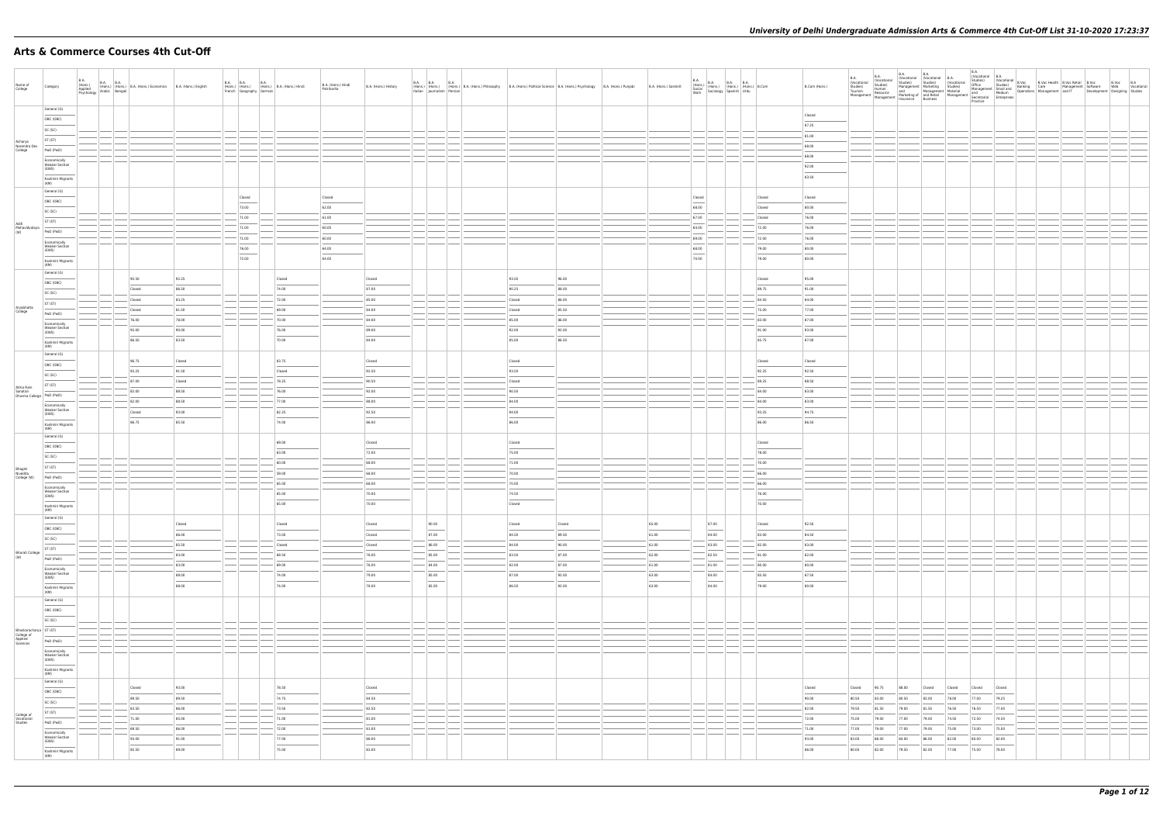## **Arts & Commerce Courses 4th Cut-Off**

| Name of                               |                                                                                                                                                                                                                                                                                                                                                                                                                                                                                       |                                          |                                                                              |                | <b>B.A. B.A.</b>                                                                                                                                                                                                                                                                                                                                                                                                                                                           | <b>B.A.</b>             |           |                                            | B.A. (Hons.) Hindi |                      | B.A. B.A. B.A.                                                                                                                                                                                                                                                                                                                                                                                                                                                             |                                                                                                                             |        |                       |                                                                                                                                                                                                                                                                                                                                                                                                                          |        |                |                |                |                |                |                |                |                |  | B.Voc B.A<br>Web Vocational   |  |
|---------------------------------------|---------------------------------------------------------------------------------------------------------------------------------------------------------------------------------------------------------------------------------------------------------------------------------------------------------------------------------------------------------------------------------------------------------------------------------------------------------------------------------------|------------------------------------------|------------------------------------------------------------------------------|----------------|----------------------------------------------------------------------------------------------------------------------------------------------------------------------------------------------------------------------------------------------------------------------------------------------------------------------------------------------------------------------------------------------------------------------------------------------------------------------------|-------------------------|-----------|--------------------------------------------|--------------------|----------------------|----------------------------------------------------------------------------------------------------------------------------------------------------------------------------------------------------------------------------------------------------------------------------------------------------------------------------------------------------------------------------------------------------------------------------------------------------------------------------|-----------------------------------------------------------------------------------------------------------------------------|--------|-----------------------|--------------------------------------------------------------------------------------------------------------------------------------------------------------------------------------------------------------------------------------------------------------------------------------------------------------------------------------------------------------------------------------------------------------------------|--------|----------------|----------------|----------------|----------------|----------------|----------------|----------------|----------------|--|-------------------------------|--|
| Iva<br>College                        | Category                                                                                                                                                                                                                                                                                                                                                                                                                                                                              | B.A.<br>(Hons.)<br>Applied<br>Psychology | B.A. B.A. (Hons.) B.A. (Hons.) Economics B.A. (Hons.) English Arabic Bengali |                |                                                                                                                                                                                                                                                                                                                                                                                                                                                                            | French Geography German |           | (Hons.) (Hons.) (Hons.) B.A. (Hons.) Hindi | Patrikarita        | B.A. (Hons.) History | Italian Journalism Persian                                                                                                                                                                                                                                                                                                                                                                                                                                                 | (Hons.) (Hons.) (Hons.) B.A. (Hons.) Philosophy B.A. (Hons.) Political Science B.A. (Hons.) Psychology B.A. (Hons.) Punjabi |        | B.A. (Hons.) Sanskrit | $\begin{tabular}{ l l l l } \hline B.A. & B.A. & B.A. & B.A. & B.A. & B.A. & B. & B.A. & B. & B. & B. & B. \\ \hline \textbf{Sociall} & \textbf{(Hons.)} & \textbf{(Hons.)} & \textbf{(Hons.)} & \textbf{B.} & \textbf{B.} & \textbf{B.} & \textbf{B.} & \textbf{B.} \\ \hline \textbf{Wortk} & \textbf{Sociology} & \textbf{Spanish} & \textbf{Urdu} & \textbf{B.} & \textbf{B.} & \textbf{B.} \\ \hline \end{tabular}$ |        | B.Com (Hons.)  |                |                |                |                |                |                |                |  | Development Designing Studies |  |
|                                       | General (G)                                                                                                                                                                                                                                                                                                                                                                                                                                                                           |                                          |                                                                              |                |                                                                                                                                                                                                                                                                                                                                                                                                                                                                            |                         |           |                                            |                    |                      |                                                                                                                                                                                                                                                                                                                                                                                                                                                                            |                                                                                                                             |        |                       |                                                                                                                                                                                                                                                                                                                                                                                                                          |        | Closed         |                |                |                |                |                |                |                |  |                               |  |
|                                       | OBC (OBC)<br>SC (SC)                                                                                                                                                                                                                                                                                                                                                                                                                                                                  |                                          |                                                                              |                |                                                                                                                                                                                                                                                                                                                                                                                                                                                                            |                         |           |                                            |                    |                      |                                                                                                                                                                                                                                                                                                                                                                                                                                                                            |                                                                                                                             |        |                       |                                                                                                                                                                                                                                                                                                                                                                                                                          |        | 87.25          |                |                |                |                |                |                |                |  |                               |  |
|                                       | ST (ST)                                                                                                                                                                                                                                                                                                                                                                                                                                                                               |                                          |                                                                              |                |                                                                                                                                                                                                                                                                                                                                                                                                                                                                            |                         |           |                                            |                    |                      |                                                                                                                                                                                                                                                                                                                                                                                                                                                                            |                                                                                                                             |        |                       |                                                                                                                                                                                                                                                                                                                                                                                                                          |        | 81.00          |                |                |                |                |                |                |                |  |                               |  |
| Acharya<br>Narendra Dev<br>College    | PwD (PwD)                                                                                                                                                                                                                                                                                                                                                                                                                                                                             |                                          |                                                                              |                |                                                                                                                                                                                                                                                                                                                                                                                                                                                                            |                         |           |                                            |                    |                      |                                                                                                                                                                                                                                                                                                                                                                                                                                                                            |                                                                                                                             |        |                       |                                                                                                                                                                                                                                                                                                                                                                                                                          |        | 68.00          |                |                |                |                |                |                |                |  |                               |  |
|                                       | Economically                                                                                                                                                                                                                                                                                                                                                                                                                                                                          |                                          |                                                                              |                |                                                                                                                                                                                                                                                                                                                                                                                                                                                                            |                         |           |                                            |                    |                      |                                                                                                                                                                                                                                                                                                                                                                                                                                                                            |                                                                                                                             |        |                       |                                                                                                                                                                                                                                                                                                                                                                                                                          |        | 68.00          |                |                |                |                |                |                |                |  |                               |  |
|                                       | <b>Weaker Section</b><br>(EWS)                                                                                                                                                                                                                                                                                                                                                                                                                                                        |                                          |                                                                              |                |                                                                                                                                                                                                                                                                                                                                                                                                                                                                            |                         |           |                                            |                    |                      |                                                                                                                                                                                                                                                                                                                                                                                                                                                                            |                                                                                                                             |        |                       |                                                                                                                                                                                                                                                                                                                                                                                                                          |        | 92.00          |                |                |                |                |                |                |                |  |                               |  |
|                                       | Kashmiri Migrants                                                                                                                                                                                                                                                                                                                                                                                                                                                                     |                                          |                                                                              |                |                                                                                                                                                                                                                                                                                                                                                                                                                                                                            |                         |           |                                            |                    |                      |                                                                                                                                                                                                                                                                                                                                                                                                                                                                            |                                                                                                                             |        |                       |                                                                                                                                                                                                                                                                                                                                                                                                                          |        | 83.50          |                |                |                |                |                |                |                |  |                               |  |
|                                       | (KM)<br>General (G)                                                                                                                                                                                                                                                                                                                                                                                                                                                                   |                                          |                                                                              |                |                                                                                                                                                                                                                                                                                                                                                                                                                                                                            |                         |           |                                            |                    |                      |                                                                                                                                                                                                                                                                                                                                                                                                                                                                            |                                                                                                                             |        |                       |                                                                                                                                                                                                                                                                                                                                                                                                                          |        |                |                |                |                |                |                |                |                |  |                               |  |
|                                       | OBC (OBC)                                                                                                                                                                                                                                                                                                                                                                                                                                                                             |                                          |                                                                              |                |                                                                                                                                                                                                                                                                                                                                                                                                                                                                            | Closed                  |           |                                            | Closed             |                      |                                                                                                                                                                                                                                                                                                                                                                                                                                                                            |                                                                                                                             |        |                       | Closed                                                                                                                                                                                                                                                                                                                                                                                                                   | Closed | Closed         |                |                |                |                |                |                |                |  |                               |  |
|                                       | SC (SC)                                                                                                                                                                                                                                                                                                                                                                                                                                                                               |                                          |                                                                              |                |                                                                                                                                                                                                                                                                                                                                                                                                                                                                            | 73.00                   |           |                                            | 62.00              |                      |                                                                                                                                                                                                                                                                                                                                                                                                                                                                            |                                                                                                                             |        |                       | 68.00                                                                                                                                                                                                                                                                                                                                                                                                                    | Closed | 80.00          |                |                |                |                |                |                |                |  |                               |  |
|                                       | ST (ST)                                                                                                                                                                                                                                                                                                                                                                                                                                                                               |                                          |                                                                              |                |                                                                                                                                                                                                                                                                                                                                                                                                                                                                            | 71.00                   |           |                                            | 61.00              |                      |                                                                                                                                                                                                                                                                                                                                                                                                                                                                            |                                                                                                                             |        |                       | 67.00                                                                                                                                                                                                                                                                                                                                                                                                                    | Closed | 76.00          |                |                |                |                |                |                |                |  |                               |  |
| Aditi<br>Mahavidyalaya<br>(W)         | PwD (PwD)                                                                                                                                                                                                                                                                                                                                                                                                                                                                             |                                          |                                                                              |                |                                                                                                                                                                                                                                                                                                                                                                                                                                                                            | 71.00                   |           |                                            | 60.00              |                      |                                                                                                                                                                                                                                                                                                                                                                                                                                                                            |                                                                                                                             |        |                       | 64.00                                                                                                                                                                                                                                                                                                                                                                                                                    | 72.00  | 76.00          |                |                |                |                |                |                |                |  |                               |  |
|                                       | Economically                                                                                                                                                                                                                                                                                                                                                                                                                                                                          |                                          |                                                                              |                |                                                                                                                                                                                                                                                                                                                                                                                                                                                                            | $-71.00$                |           |                                            | 60.00              |                      |                                                                                                                                                                                                                                                                                                                                                                                                                                                                            |                                                                                                                             |        |                       | 69.00                                                                                                                                                                                                                                                                                                                                                                                                                    | 72.00  | 76.00          |                |                |                |                |                |                |                |  |                               |  |
|                                       | <b>Weaker Section</b><br>(EWS)                                                                                                                                                                                                                                                                                                                                                                                                                                                        |                                          |                                                                              |                |                                                                                                                                                                                                                                                                                                                                                                                                                                                                            | 76.00                   |           |                                            | 64.00              |                      |                                                                                                                                                                                                                                                                                                                                                                                                                                                                            |                                                                                                                             |        |                       | 68.00                                                                                                                                                                                                                                                                                                                                                                                                                    | 79.00  | 80.00          |                |                |                |                |                |                |                |  |                               |  |
|                                       | Kashmiri Migrants                                                                                                                                                                                                                                                                                                                                                                                                                                                                     |                                          |                                                                              |                |                                                                                                                                                                                                                                                                                                                                                                                                                                                                            | 72.00                   |           |                                            | 64.00              |                      |                                                                                                                                                                                                                                                                                                                                                                                                                                                                            |                                                                                                                             |        |                       | 70.00                                                                                                                                                                                                                                                                                                                                                                                                                    | 79.00  | 80.00          |                |                |                |                |                |                |                |  |                               |  |
|                                       | (KM)<br>General (G)                                                                                                                                                                                                                                                                                                                                                                                                                                                                   |                                          |                                                                              |                |                                                                                                                                                                                                                                                                                                                                                                                                                                                                            |                         |           |                                            |                    |                      |                                                                                                                                                                                                                                                                                                                                                                                                                                                                            |                                                                                                                             |        |                       |                                                                                                                                                                                                                                                                                                                                                                                                                          |        |                |                |                |                |                |                |                |                |  |                               |  |
|                                       | OBC (OBC)                                                                                                                                                                                                                                                                                                                                                                                                                                                                             |                                          | 95.50                                                                        | 92.25          |                                                                                                                                                                                                                                                                                                                                                                                                                                                                            |                         |           | Closed                                     |                    | Closed               |                                                                                                                                                                                                                                                                                                                                                                                                                                                                            | 93.50                                                                                                                       | 96.00  |                       |                                                                                                                                                                                                                                                                                                                                                                                                                          | Closed | 95.00          |                |                |                |                |                |                |                |  |                               |  |
|                                       | SC (SC)                                                                                                                                                                                                                                                                                                                                                                                                                                                                               |                                          | Closed                                                                       | 86.50          |                                                                                                                                                                                                                                                                                                                                                                                                                                                                            |                         | 74.00     |                                            |                    | 87.00                |                                                                                                                                                                                                                                                                                                                                                                                                                                                                            | 90.25                                                                                                                       | 88.00  |                       |                                                                                                                                                                                                                                                                                                                                                                                                                          | 89.75  | 91.00          |                |                |                |                |                |                |                |  |                               |  |
|                                       | ST (ST)                                                                                                                                                                                                                                                                                                                                                                                                                                                                               |                                          | Closed                                                                       | 83.25          | $\frac{1}{2} \left( \frac{1}{2} \right) \left( \frac{1}{2} \right) \left( \frac{1}{2} \right) \left( \frac{1}{2} \right) \left( \frac{1}{2} \right) \left( \frac{1}{2} \right) \left( \frac{1}{2} \right) \left( \frac{1}{2} \right) \left( \frac{1}{2} \right) \left( \frac{1}{2} \right) \left( \frac{1}{2} \right) \left( \frac{1}{2} \right) \left( \frac{1}{2} \right) \left( \frac{1}{2} \right) \left( \frac{1}{2} \right) \left( \frac{1}{2} \right) \left( \frac$ |                         | 72.00     |                                            |                    | 85.00                |                                                                                                                                                                                                                                                                                                                                                                                                                                                                            | Closed                                                                                                                      | 86.00  |                       |                                                                                                                                                                                                                                                                                                                                                                                                                          | 84.50  | 84.00          |                |                |                |                |                |                |                |  |                               |  |
| Aryabhatta<br>College                 | PwD (PwD)                                                                                                                                                                                                                                                                                                                                                                                                                                                                             |                                          | Closed                                                                       | 81.50          |                                                                                                                                                                                                                                                                                                                                                                                                                                                                            |                         | 69.00     |                                            |                    | 84.00                |                                                                                                                                                                                                                                                                                                                                                                                                                                                                            | Closed                                                                                                                      | 85.50  |                       |                                                                                                                                                                                                                                                                                                                                                                                                                          | 75.00  | 77.00          |                |                |                |                |                |                |                |  |                               |  |
|                                       | Economically                                                                                                                                                                                                                                                                                                                                                                                                                                                                          |                                          | 76.00                                                                        | 78.00          | $\frac{1}{2} \left( \frac{1}{2} \right) \left( \frac{1}{2} \right) \left( \frac{1}{2} \right) \left( \frac{1}{2} \right) \left( \frac{1}{2} \right) \left( \frac{1}{2} \right) \left( \frac{1}{2} \right) \left( \frac{1}{2} \right) \left( \frac{1}{2} \right) \left( \frac{1}{2} \right) \left( \frac{1}{2} \right) \left( \frac{1}{2} \right) \left( \frac{1}{2} \right) \left( \frac{1}{2} \right) \left( \frac{1}{2} \right) \left( \frac{1}{2} \right) \left( \frac$ |                         |           | 70.00                                      |                    | 84.00                |                                                                                                                                                                                                                                                                                                                                                                                                                                                                            | 85.00                                                                                                                       | 86.00  |                       |                                                                                                                                                                                                                                                                                                                                                                                                                          | 83.00  | 87.00          |                |                |                |                |                |                |                |  |                               |  |
|                                       | <b>Weaker Section</b><br>(EWS)                                                                                                                                                                                                                                                                                                                                                                                                                                                        |                                          | 93.00                                                                        | 90.00          |                                                                                                                                                                                                                                                                                                                                                                                                                                                                            |                         |           | 76.00                                      |                    | 89.00                |                                                                                                                                                                                                                                                                                                                                                                                                                                                                            | 92.00                                                                                                                       | 92.00  |                       |                                                                                                                                                                                                                                                                                                                                                                                                                          | 91.00  | 93.00          |                |                |                |                |                |                |                |  |                               |  |
|                                       | Kashmiri Migrants<br>(KM)                                                                                                                                                                                                                                                                                                                                                                                                                                                             |                                          | 86.50                                                                        | 83.50          |                                                                                                                                                                                                                                                                                                                                                                                                                                                                            |                         |           | 70.00                                      |                    | 84.00                |                                                                                                                                                                                                                                                                                                                                                                                                                                                                            | 85.00                                                                                                                       | 86.50  |                       |                                                                                                                                                                                                                                                                                                                                                                                                                          | 85.75  | 87.00          |                |                |                |                |                |                |                |  |                               |  |
|                                       | General (G)                                                                                                                                                                                                                                                                                                                                                                                                                                                                           |                                          |                                                                              |                |                                                                                                                                                                                                                                                                                                                                                                                                                                                                            |                         |           |                                            |                    |                      |                                                                                                                                                                                                                                                                                                                                                                                                                                                                            |                                                                                                                             |        |                       |                                                                                                                                                                                                                                                                                                                                                                                                                          |        |                |                |                |                |                |                |                |                |  |                               |  |
|                                       | OBC (OBC)                                                                                                                                                                                                                                                                                                                                                                                                                                                                             |                                          | 96.75                                                                        | Closed         |                                                                                                                                                                                                                                                                                                                                                                                                                                                                            |                         | 83.75     |                                            |                    | Closed               |                                                                                                                                                                                                                                                                                                                                                                                                                                                                            | Closed                                                                                                                      |        |                       |                                                                                                                                                                                                                                                                                                                                                                                                                          | Closed | Closed         |                |                |                |                |                |                |                |  |                               |  |
|                                       | SC (SC)                                                                                                                                                                                                                                                                                                                                                                                                                                                                               |                                          | 93.25                                                                        | 91.50          |                                                                                                                                                                                                                                                                                                                                                                                                                                                                            |                         |           | Closed                                     |                    | 92.50                |                                                                                                                                                                                                                                                                                                                                                                                                                                                                            | 93.50                                                                                                                       |        |                       |                                                                                                                                                                                                                                                                                                                                                                                                                          | 92.25  | 92.50          |                |                |                |                |                |                |                |  |                               |  |
| Atma Ram                              | ST (ST)                                                                                                                                                                                                                                                                                                                                                                                                                                                                               |                                          | 87.00                                                                        | Closed         | $\frac{1}{2} \left( \frac{1}{2} \right) \left( \frac{1}{2} \right) \left( \frac{1}{2} \right) \left( \frac{1}{2} \right) \left( \frac{1}{2} \right) \left( \frac{1}{2} \right) \left( \frac{1}{2} \right) \left( \frac{1}{2} \right) \left( \frac{1}{2} \right) \left( \frac{1}{2} \right) \left( \frac{1}{2} \right) \left( \frac{1}{2} \right) \left( \frac{1}{2} \right) \left( \frac{1}{2} \right) \left( \frac{1}{2} \right) \left( \frac{1}{2} \right) \left( \frac$ |                         |           | 78.25                                      |                    | 90.50                |                                                                                                                                                                                                                                                                                                                                                                                                                                                                            | Closed                                                                                                                      |        |                       |                                                                                                                                                                                                                                                                                                                                                                                                                          | 89.25  | 88.50          |                |                |                |                |                |                |                |  |                               |  |
| Sanatan<br>Dharma College   PwD (PwD) |                                                                                                                                                                                                                                                                                                                                                                                                                                                                                       |                                          | 82.00                                                                        | 88.50          |                                                                                                                                                                                                                                                                                                                                                                                                                                                                            |                         |           | 76.00                                      |                    | 92.00                |                                                                                                                                                                                                                                                                                                                                                                                                                                                                            | 90.50                                                                                                                       |        |                       |                                                                                                                                                                                                                                                                                                                                                                                                                          | 84.00  | 83.00          |                |                |                |                |                |                |                |  |                               |  |
|                                       | Economically<br><b>Weaker Section</b>                                                                                                                                                                                                                                                                                                                                                                                                                                                 |                                          | 82.00                                                                        | 88.50          | $\frac{1}{2} \left( \frac{1}{2} \right) \left( \frac{1}{2} \right) \left( \frac{1}{2} \right) \left( \frac{1}{2} \right) \left( \frac{1}{2} \right) \left( \frac{1}{2} \right) \left( \frac{1}{2} \right) \left( \frac{1}{2} \right) \left( \frac{1}{2} \right) \left( \frac{1}{2} \right) \left( \frac{1}{2} \right) \left( \frac{1}{2} \right) \left( \frac{1}{2} \right) \left( \frac{1}{2} \right) \left( \frac{1}{2} \right) \left( \frac{1}{2} \right) \left( \frac$ |                         | $-77.00$  |                                            |                    | 88.00                |                                                                                                                                                                                                                                                                                                                                                                                                                                                                            | 84.00                                                                                                                       |        |                       |                                                                                                                                                                                                                                                                                                                                                                                                                          | 84.00  | 83.00          |                |                |                |                |                |                |                |  |                               |  |
|                                       | (EWS)                                                                                                                                                                                                                                                                                                                                                                                                                                                                                 |                                          | Closed                                                                       | 93.00          |                                                                                                                                                                                                                                                                                                                                                                                                                                                                            |                         | 82.25     |                                            |                    | 92.50                |                                                                                                                                                                                                                                                                                                                                                                                                                                                                            | 94.00                                                                                                                       |        |                       |                                                                                                                                                                                                                                                                                                                                                                                                                          | 93.25  | 94.75          |                |                |                |                |                |                |                |  |                               |  |
|                                       | Kashmiri Migrants<br>(KM)                                                                                                                                                                                                                                                                                                                                                                                                                                                             |                                          | 86.75                                                                        | 85.50          |                                                                                                                                                                                                                                                                                                                                                                                                                                                                            |                         | 74.00     |                                            |                    | 86.00                |                                                                                                                                                                                                                                                                                                                                                                                                                                                                            | 86.00                                                                                                                       |        |                       |                                                                                                                                                                                                                                                                                                                                                                                                                          | 86.00  | 86.50          |                |                |                |                |                |                |                |  |                               |  |
|                                       | General (G)                                                                                                                                                                                                                                                                                                                                                                                                                                                                           |                                          |                                                                              |                |                                                                                                                                                                                                                                                                                                                                                                                                                                                                            |                         | 69.00     |                                            |                    |                      |                                                                                                                                                                                                                                                                                                                                                                                                                                                                            |                                                                                                                             |        |                       |                                                                                                                                                                                                                                                                                                                                                                                                                          | Closed |                |                |                |                |                |                |                |                |  |                               |  |
|                                       | OBC (OBC)                                                                                                                                                                                                                                                                                                                                                                                                                                                                             |                                          |                                                                              |                |                                                                                                                                                                                                                                                                                                                                                                                                                                                                            |                         | 63.00     |                                            |                    | Closed<br>72.00      |                                                                                                                                                                                                                                                                                                                                                                                                                                                                            | Closed<br>75.00                                                                                                             |        |                       |                                                                                                                                                                                                                                                                                                                                                                                                                          | 78.00  |                |                |                |                |                |                |                |                |  |                               |  |
|                                       | SC (SC)                                                                                                                                                                                                                                                                                                                                                                                                                                                                               |                                          |                                                                              |                |                                                                                                                                                                                                                                                                                                                                                                                                                                                                            |                         |           | 60.00                                      |                    | 68.00                |                                                                                                                                                                                                                                                                                                                                                                                                                                                                            | 71.00                                                                                                                       |        |                       |                                                                                                                                                                                                                                                                                                                                                                                                                          | 70.00  |                |                |                |                |                |                |                |                |  |                               |  |
| Bhagini<br>Nivedita<br>College (W)    | ST (ST)                                                                                                                                                                                                                                                                                                                                                                                                                                                                               |                                          |                                                                              |                |                                                                                                                                                                                                                                                                                                                                                                                                                                                                            |                         | 59.00     |                                            |                    | 68.00                |                                                                                                                                                                                                                                                                                                                                                                                                                                                                            | 70.00                                                                                                                       |        |                       |                                                                                                                                                                                                                                                                                                                                                                                                                          | 66.00  |                |                |                |                |                |                |                |                |  |                               |  |
|                                       | PwD (PwD)                                                                                                                                                                                                                                                                                                                                                                                                                                                                             |                                          |                                                                              |                |                                                                                                                                                                                                                                                                                                                                                                                                                                                                            |                         | $- 65.00$ |                                            |                    | 68.00                |                                                                                                                                                                                                                                                                                                                                                                                                                                                                            | 70.00                                                                                                                       |        |                       |                                                                                                                                                                                                                                                                                                                                                                                                                          | 66.00  |                |                |                |                |                |                |                |                |  |                               |  |
|                                       | Economically<br><b>Weaker Section</b>                                                                                                                                                                                                                                                                                                                                                                                                                                                 |                                          |                                                                              |                |                                                                                                                                                                                                                                                                                                                                                                                                                                                                            |                         | 65.00     |                                            |                    | 70.00                |                                                                                                                                                                                                                                                                                                                                                                                                                                                                            | 74.50                                                                                                                       |        |                       |                                                                                                                                                                                                                                                                                                                                                                                                                          | 76.00  |                |                |                |                |                |                |                |                |  |                               |  |
|                                       | (EWS)                                                                                                                                                                                                                                                                                                                                                                                                                                                                                 |                                          |                                                                              |                |                                                                                                                                                                                                                                                                                                                                                                                                                                                                            |                         |           | 65.00                                      |                    | 70.00                |                                                                                                                                                                                                                                                                                                                                                                                                                                                                            | Closed                                                                                                                      |        |                       |                                                                                                                                                                                                                                                                                                                                                                                                                          | 70.00  |                |                |                |                |                |                |                |                |  |                               |  |
|                                       | Kashmiri Migrants<br>(KM)                                                                                                                                                                                                                                                                                                                                                                                                                                                             |                                          |                                                                              |                |                                                                                                                                                                                                                                                                                                                                                                                                                                                                            |                         |           |                                            |                    |                      |                                                                                                                                                                                                                                                                                                                                                                                                                                                                            |                                                                                                                             |        |                       |                                                                                                                                                                                                                                                                                                                                                                                                                          |        |                |                |                |                |                |                |                |                |  |                               |  |
|                                       | General (G)                                                                                                                                                                                                                                                                                                                                                                                                                                                                           |                                          |                                                                              | Closed         |                                                                                                                                                                                                                                                                                                                                                                                                                                                                            |                         |           | Closed                                     |                    | Closed               | 90.00                                                                                                                                                                                                                                                                                                                                                                                                                                                                      | Closed                                                                                                                      | Closed | 65.00                 | 87.00                                                                                                                                                                                                                                                                                                                                                                                                                    | Closed | 92.50          |                |                |                |                |                |                |                |  |                               |  |
|                                       | OBC (OBC)                                                                                                                                                                                                                                                                                                                                                                                                                                                                             |                                          |                                                                              | 86.00          |                                                                                                                                                                                                                                                                                                                                                                                                                                                                            |                         |           | 73.00                                      |                    | Closed               | $\overline{\phantom{a}}$<br>87.00                                                                                                                                                                                                                                                                                                                                                                                                                                          | 84.50                                                                                                                       | 89.50  | 61.00                 | $\overline{\phantom{a}}$<br>84.00                                                                                                                                                                                                                                                                                                                                                                                        | 83.00  | 84.50          |                |                |                |                |                |                |                |  |                               |  |
|                                       | SC (SC)                                                                                                                                                                                                                                                                                                                                                                                                                                                                               |                                          |                                                                              | 85.50          | $\frac{1}{2} \left( \frac{1}{2} \right) \left( \frac{1}{2} \right) \left( \frac{1}{2} \right) \left( \frac{1}{2} \right) \left( \frac{1}{2} \right) \left( \frac{1}{2} \right) \left( \frac{1}{2} \right) \left( \frac{1}{2} \right) \left( \frac{1}{2} \right) \left( \frac{1}{2} \right) \left( \frac{1}{2} \right) \left( \frac{1}{2} \right) \left( \frac{1}{2} \right) \left( \frac{1}{2} \right) \left( \frac{1}{2} \right) \left( \frac{1}{2} \right) \left( \frac$ |                         |           | Closed                                     |                    | Closed               | 86.00                                                                                                                                                                                                                                                                                                                                                                                                                                                                      | 84.00                                                                                                                       | 90.00  | 61.00                 | 83.00                                                                                                                                                                                                                                                                                                                                                                                                                    | 82.00  | 83.00          |                |                |                |                |                |                |                |  |                               |  |
| Bharati College                       | ST (ST)<br>PwD (PwD)                                                                                                                                                                                                                                                                                                                                                                                                                                                                  |                                          |                                                                              | 83.00          | $\left  - \right $<br>$\hspace{0.1mm}$                                                                                                                                                                                                                                                                                                                                                                                                                                     |                         |           | 68.50                                      |                    | 76.00                | 85.00                                                                                                                                                                                                                                                                                                                                                                                                                                                                      | 83.50                                                                                                                       | 87.00  | 62.00                 | 82.50                                                                                                                                                                                                                                                                                                                                                                                                                    | 81.00  | 82.00          |                |                |                |                |                |                |                |  |                               |  |
|                                       | Economically                                                                                                                                                                                                                                                                                                                                                                                                                                                                          |                                          |                                                                              | 83.00          | $\sim$                                                                                                                                                                                                                                                                                                                                                                                                                                                                     |                         |           | $-69.00$                                   |                    | 76.00                | $-$ 84.00                                                                                                                                                                                                                                                                                                                                                                                                                                                                  | 82.00                                                                                                                       | 87.00  | $-61.00$              | 81.00                                                                                                                                                                                                                                                                                                                                                                                                                    | 80.00  | 80.00          |                |                |                |                |                |                |                |  |                               |  |
|                                       | <b>Weaker Section</b><br>(EWS)                                                                                                                                                                                                                                                                                                                                                                                                                                                        |                                          |                                                                              | 88.00          |                                                                                                                                                                                                                                                                                                                                                                                                                                                                            |                         |           | 74.00                                      |                    | 79.00                | 85.00<br>$\sim$                                                                                                                                                                                                                                                                                                                                                                                                                                                            | 87.00<br>$\overline{\phantom{a}}$                                                                                           | 92.00  | 63.00                 | 84.00<br>$ $ $-$                                                                                                                                                                                                                                                                                                                                                                                                         | 85.50  | 87.50          |                |                |                |                |                |                |                |  |                               |  |
|                                       | Kashmiri Migrants                                                                                                                                                                                                                                                                                                                                                                                                                                                                     |                                          |                                                                              | 88.00          |                                                                                                                                                                                                                                                                                                                                                                                                                                                                            |                         |           | 74.00                                      |                    | 78.00                | 85.00                                                                                                                                                                                                                                                                                                                                                                                                                                                                      | 86.50                                                                                                                       | 92.00  | 63.00                 | 84.00                                                                                                                                                                                                                                                                                                                                                                                                                    | 79.00  | 80.00          |                |                |                |                |                |                |                |  |                               |  |
|                                       | (KM)<br>General (G)                                                                                                                                                                                                                                                                                                                                                                                                                                                                   |                                          |                                                                              |                |                                                                                                                                                                                                                                                                                                                                                                                                                                                                            |                         |           |                                            |                    |                      |                                                                                                                                                                                                                                                                                                                                                                                                                                                                            |                                                                                                                             |        |                       |                                                                                                                                                                                                                                                                                                                                                                                                                          |        |                |                |                |                |                |                |                |                |  |                               |  |
|                                       | OBC (OBC)                                                                                                                                                                                                                                                                                                                                                                                                                                                                             |                                          |                                                                              |                |                                                                                                                                                                                                                                                                                                                                                                                                                                                                            |                         |           |                                            |                    |                      |                                                                                                                                                                                                                                                                                                                                                                                                                                                                            |                                                                                                                             |        |                       |                                                                                                                                                                                                                                                                                                                                                                                                                          |        |                |                |                |                |                |                |                |                |  |                               |  |
|                                       | $\frac{1}{2} \left( \frac{1}{2} \right) \left( \frac{1}{2} \right) \left( \frac{1}{2} \right) \left( \frac{1}{2} \right) \left( \frac{1}{2} \right) \left( \frac{1}{2} \right) \left( \frac{1}{2} \right) \left( \frac{1}{2} \right) \left( \frac{1}{2} \right) \left( \frac{1}{2} \right) \left( \frac{1}{2} \right) \left( \frac{1}{2} \right) \left( \frac{1}{2} \right) \left( \frac{1}{2} \right) \left( \frac{1}{2} \right) \left( \frac{1}{2} \right) \left( \frac$<br>SC (SC) |                                          |                                                                              |                |                                                                                                                                                                                                                                                                                                                                                                                                                                                                            |                         |           |                                            |                    |                      |                                                                                                                                                                                                                                                                                                                                                                                                                                                                            |                                                                                                                             |        |                       |                                                                                                                                                                                                                                                                                                                                                                                                                          |        |                |                |                |                |                |                |                |                |  |                               |  |
| Bhaskaracharya ST (ST)                |                                                                                                                                                                                                                                                                                                                                                                                                                                                                                       |                                          |                                                                              |                |                                                                                                                                                                                                                                                                                                                                                                                                                                                                            |                         |           |                                            |                    |                      |                                                                                                                                                                                                                                                                                                                                                                                                                                                                            |                                                                                                                             |        |                       | $\leftarrow$ $\leftarrow$ $\leftarrow$ $\leftarrow$                                                                                                                                                                                                                                                                                                                                                                      |        |                |                |                |                |                |                |                |                |  |                               |  |
| College of<br>Applied<br>Sciences     | PwD (PwD)                                                                                                                                                                                                                                                                                                                                                                                                                                                                             |                                          |                                                                              |                | $-1$ $-$                                                                                                                                                                                                                                                                                                                                                                                                                                                                   |                         | $ -$      |                                            |                    |                      | ____                                                                                                                                                                                                                                                                                                                                                                                                                                                                       |                                                                                                                             |        |                       |                                                                                                                                                                                                                                                                                                                                                                                                                          |        |                |                |                |                |                |                |                |                |  |                               |  |
|                                       | Economically                                                                                                                                                                                                                                                                                                                                                                                                                                                                          |                                          |                                                                              |                |                                                                                                                                                                                                                                                                                                                                                                                                                                                                            |                         |           |                                            |                    |                      | ____                                                                                                                                                                                                                                                                                                                                                                                                                                                                       |                                                                                                                             |        |                       |                                                                                                                                                                                                                                                                                                                                                                                                                          |        |                |                |                |                |                |                |                |                |  |                               |  |
|                                       | <b>Weaker Section</b><br>(EWS)<br>$\overline{\phantom{a}}$                                                                                                                                                                                                                                                                                                                                                                                                                            |                                          |                                                                              |                |                                                                                                                                                                                                                                                                                                                                                                                                                                                                            |                         |           |                                            |                    |                      |                                                                                                                                                                                                                                                                                                                                                                                                                                                                            |                                                                                                                             |        |                       |                                                                                                                                                                                                                                                                                                                                                                                                                          |        |                |                |                |                |                |                |                |                |  |                               |  |
|                                       | Kashmiri Migrants<br>(KM)                                                                                                                                                                                                                                                                                                                                                                                                                                                             |                                          |                                                                              |                |                                                                                                                                                                                                                                                                                                                                                                                                                                                                            |                         |           |                                            |                    |                      |                                                                                                                                                                                                                                                                                                                                                                                                                                                                            |                                                                                                                             |        |                       |                                                                                                                                                                                                                                                                                                                                                                                                                          |        |                |                |                |                |                |                |                |                |  |                               |  |
|                                       | General (G)                                                                                                                                                                                                                                                                                                                                                                                                                                                                           |                                          |                                                                              |                |                                                                                                                                                                                                                                                                                                                                                                                                                                                                            |                         |           |                                            |                    |                      |                                                                                                                                                                                                                                                                                                                                                                                                                                                                            |                                                                                                                             |        |                       |                                                                                                                                                                                                                                                                                                                                                                                                                          |        |                |                |                |                |                |                |                |                |  |                               |  |
|                                       | OBC (OBC)                                                                                                                                                                                                                                                                                                                                                                                                                                                                             |                                          | Closed                                                                       | 93.00          |                                                                                                                                                                                                                                                                                                                                                                                                                                                                            |                         |           | 78.50                                      |                    | Closed               |                                                                                                                                                                                                                                                                                                                                                                                                                                                                            |                                                                                                                             |        |                       |                                                                                                                                                                                                                                                                                                                                                                                                                          |        | Closed         | Closed         | 90.75          | 88.00          | Closed         | Closed         | Closed         | Closed         |  |                               |  |
|                                       | SC (SC)                                                                                                                                                                                                                                                                                                                                                                                                                                                                               |                                          | 89.50                                                                        | 89.50          |                                                                                                                                                                                                                                                                                                                                                                                                                                                                            |                         |           | 74.75                                      |                    | 84.50                |                                                                                                                                                                                                                                                                                                                                                                                                                                                                            |                                                                                                                             |        |                       |                                                                                                                                                                                                                                                                                                                                                                                                                          |        | 90.00          | 80.50          | 83.00          | 80.50          | 83.00          | 78.00          | 77.00          | 79.25          |  |                               |  |
| College of                            | ST (ST)                                                                                                                                                                                                                                                                                                                                                                                                                                                                               |                                          | 83.50                                                                        | 86.00          | $\overline{\phantom{a}}$<br>$\sim$                                                                                                                                                                                                                                                                                                                                                                                                                                         |                         |           | 73.50                                      |                    | 82.50                |                                                                                                                                                                                                                                                                                                                                                                                                                                                                            |                                                                                                                             |        |                       |                                                                                                                                                                                                                                                                                                                                                                                                                          |        | 82.00          | 79.50          | 81.50          | 79.00          | 81.50          | 76.50          | 76.50          | 77.00          |  |                               |  |
| Vocational<br>Studies                 | PwD (PwD)<br>and the control of the con-                                                                                                                                                                                                                                                                                                                                                                                                                                              |                                          | 71.00                                                                        | 85.00          |                                                                                                                                                                                                                                                                                                                                                                                                                                                                            |                         |           | 71.00                                      |                    | 81.00                | $\frac{1}{2} \left( \frac{1}{2} \right) \left( \frac{1}{2} \right) \left( \frac{1}{2} \right) \left( \frac{1}{2} \right) \left( \frac{1}{2} \right) \left( \frac{1}{2} \right) \left( \frac{1}{2} \right) \left( \frac{1}{2} \right) \left( \frac{1}{2} \right) \left( \frac{1}{2} \right) \left( \frac{1}{2} \right) \left( \frac{1}{2} \right) \left( \frac{1}{2} \right) \left( \frac{1}{2} \right) \left( \frac{1}{2} \right) \left( \frac{1}{2} \right) \left( \frac$ |                                                                                                                             |        |                       |                                                                                                                                                                                                                                                                                                                                                                                                                          |        | 72.00          | 75.00          | 79.00          | 77.00          | 79.00          | 74.50          | 72.50          | 74.50          |  |                               |  |
|                                       | Economically<br><b>Weaker Section</b>                                                                                                                                                                                                                                                                                                                                                                                                                                                 |                                          | 69.50                                                                        | 86.00          |                                                                                                                                                                                                                                                                                                                                                                                                                                                                            |                         |           | $-72.00$                                   |                    | 81.00                |                                                                                                                                                                                                                                                                                                                                                                                                                                                                            |                                                                                                                             |        |                       |                                                                                                                                                                                                                                                                                                                                                                                                                          |        | 71.00          | 77.00          | 79.00          | 77.00          | 79.00          | 75.00          | 73.00          | 75.00          |  |                               |  |
|                                       | (EWS)                                                                                                                                                                                                                                                                                                                                                                                                                                                                                 |                                          | 93.00<br>85.50                                                               | 91.00<br>89.00 |                                                                                                                                                                                                                                                                                                                                                                                                                                                                            |                         |           | 77.00<br>75.00                             |                    | 86.00<br>83.00       |                                                                                                                                                                                                                                                                                                                                                                                                                                                                            |                                                                                                                             |        |                       |                                                                                                                                                                                                                                                                                                                                                                                                                          |        | 93.00<br>86.00 | 83.00<br>80.00 | 86.00<br>82.00 | 84.00<br>79.50 | 86.00<br>82.00 | 82.00<br>77.00 | 80.00<br>75.00 | 82.00<br>78.00 |  |                               |  |
|                                       | Kashmiri Migrants<br>(KM)                                                                                                                                                                                                                                                                                                                                                                                                                                                             |                                          |                                                                              |                |                                                                                                                                                                                                                                                                                                                                                                                                                                                                            |                         |           |                                            |                    |                      |                                                                                                                                                                                                                                                                                                                                                                                                                                                                            |                                                                                                                             |        |                       |                                                                                                                                                                                                                                                                                                                                                                                                                          |        |                |                |                |                |                |                |                |                |  |                               |  |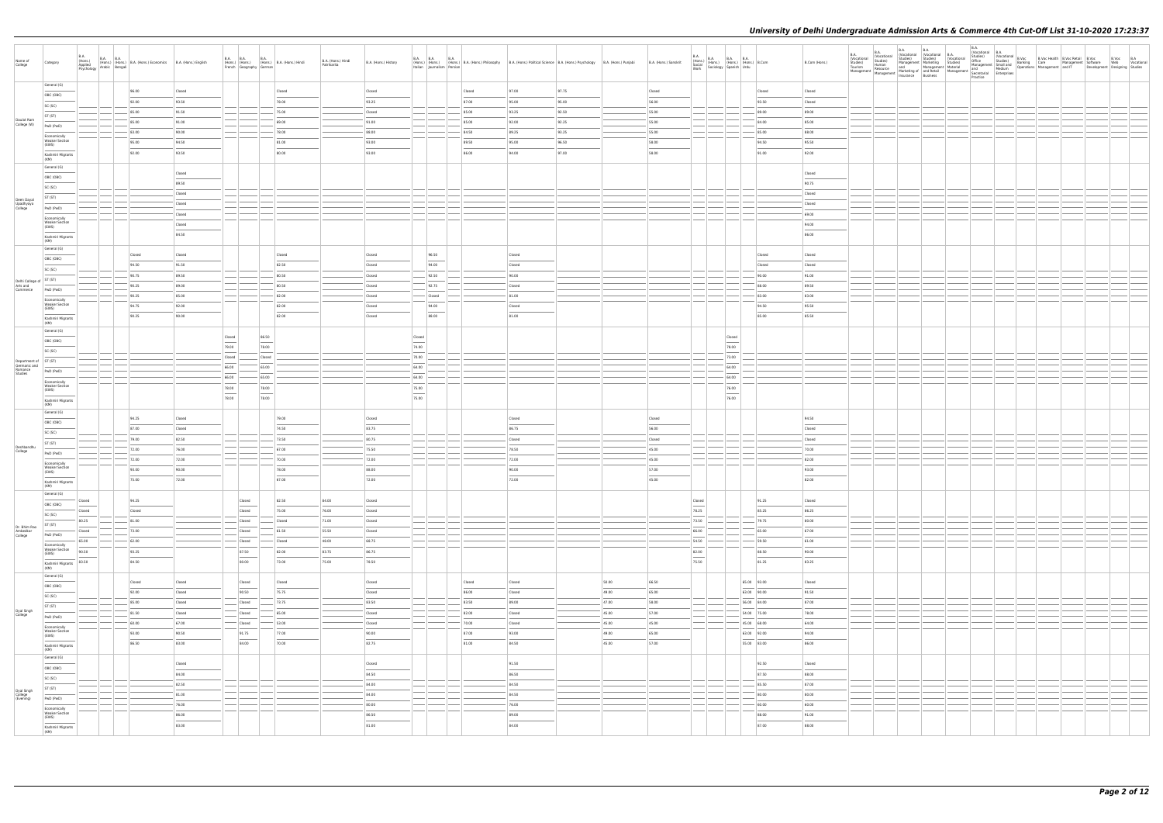| Name of<br>College                                          | Category                                                                                                                                                                                                                                                                                                                                                                                                                                                                   | <b>B.A.</b><br>(Hons.)<br>Applied                 | B.A. B.A. (Hons.) B.A. (Hons.) Economics B.A. (Hons.) English |        |                                                                                                                                                                                                                                                                                                                                                                                                                                                                                     |       | B.A. B.A. B.A. B.A. (Hons.) B.A. (Hons.) Hindi | B.A. (Hons.) Hindi<br>Patrikarita | B.A. (Hons.) History              |                 | B.A. B.A. B.A. B.A. Hons.) B.A. (Hons.) Philosophy B.A. (Hons.) Political Science B.A. (Hons.) Psychology B.A. (Hons.) Punjabi                                                                                                                                                                                                                                                                                                                                                      |                          |       |       | B.A. (Hons.) Sanskrit |        | $\begin{array}{l l l} \textsf{B.A.} & \textsf{B.A.} & \textsf{B.A.} & \textsf{B.A.} \\ \textsf{(Hons.)} & \textsf{(Hons.)} & \textsf{(Hons.)} & \textsf{B.A.} \\ \textsf{Social} & \textsf{(Sociology)} & \textsf{Spanish} & \textsf{(Hdu)} \\ \textsf{Work} & \textsf{Sociology} & \textsf{Spanish} & \textsf{Urdu} \end{array}$ |             | B.Com (Hons.) | B.A.<br>(Vocational<br>Studies)<br>Tourism | B.A.<br><b>B.A.</b> |  |  |  |  |
|-------------------------------------------------------------|----------------------------------------------------------------------------------------------------------------------------------------------------------------------------------------------------------------------------------------------------------------------------------------------------------------------------------------------------------------------------------------------------------------------------------------------------------------------------|---------------------------------------------------|---------------------------------------------------------------|--------|-------------------------------------------------------------------------------------------------------------------------------------------------------------------------------------------------------------------------------------------------------------------------------------------------------------------------------------------------------------------------------------------------------------------------------------------------------------------------------------|-------|------------------------------------------------|-----------------------------------|-----------------------------------|-----------------|-------------------------------------------------------------------------------------------------------------------------------------------------------------------------------------------------------------------------------------------------------------------------------------------------------------------------------------------------------------------------------------------------------------------------------------------------------------------------------------|--------------------------|-------|-------|-----------------------|--------|-----------------------------------------------------------------------------------------------------------------------------------------------------------------------------------------------------------------------------------------------------------------------------------------------------------------------------------|-------------|---------------|--------------------------------------------|---------------------|--|--|--|--|
|                                                             | General (G)                                                                                                                                                                                                                                                                                                                                                                                                                                                                | Arabic   (Hons.)<br>Psychology   Arabic   Bengali |                                                               |        | French Geography German                                                                                                                                                                                                                                                                                                                                                                                                                                                             |       |                                                |                                   |                                   |                 | Italian Journalism Persian                                                                                                                                                                                                                                                                                                                                                                                                                                                          |                          |       |       |                       |        |                                                                                                                                                                                                                                                                                                                                   |             |               | Management                                 |                     |  |  |  |  |
|                                                             | OBC (OBC)                                                                                                                                                                                                                                                                                                                                                                                                                                                                  |                                                   | 96.00                                                         | Closed |                                                                                                                                                                                                                                                                                                                                                                                                                                                                                     |       | Closed                                         |                                   | Closed                            |                 | Closed                                                                                                                                                                                                                                                                                                                                                                                                                                                                              | 97.00                    | 97.75 |       | Closed                |        |                                                                                                                                                                                                                                                                                                                                   | Closed      | Closed        |                                            |                     |  |  |  |  |
|                                                             | SC (SC)                                                                                                                                                                                                                                                                                                                                                                                                                                                                    |                                                   | 92.00                                                         | 93.50  |                                                                                                                                                                                                                                                                                                                                                                                                                                                                                     |       | 78.00                                          |                                   | 93.25                             |                 | 87.00                                                                                                                                                                                                                                                                                                                                                                                                                                                                               | 95.00                    | 95.00 |       | 56.00                 |        |                                                                                                                                                                                                                                                                                                                                   | 93.50       | Closed        |                                            |                     |  |  |  |  |
|                                                             | ST (ST)                                                                                                                                                                                                                                                                                                                                                                                                                                                                    |                                                   | 85.00                                                         | 91.50  |                                                                                                                                                                                                                                                                                                                                                                                                                                                                                     |       | 75.00                                          |                                   | Closed                            |                 | 85.00                                                                                                                                                                                                                                                                                                                                                                                                                                                                               | 93.25                    | 92.50 |       | 55.00                 |        |                                                                                                                                                                                                                                                                                                                                   | 89.00       | 89.00         |                                            |                     |  |  |  |  |
| Daulat Ram<br>College (W)                                   | PwD (PwD)                                                                                                                                                                                                                                                                                                                                                                                                                                                                  |                                                   | 85.00                                                         | 91.00  |                                                                                                                                                                                                                                                                                                                                                                                                                                                                                     |       | 69.00                                          |                                   | 91.00                             |                 | 85.00                                                                                                                                                                                                                                                                                                                                                                                                                                                                               | 92.00                    | 92.25 |       | 55.00                 |        |                                                                                                                                                                                                                                                                                                                                   | 84.00       | 85.00         |                                            |                     |  |  |  |  |
|                                                             | Economically                                                                                                                                                                                                                                                                                                                                                                                                                                                               |                                                   | 83.00                                                         | 90.00  |                                                                                                                                                                                                                                                                                                                                                                                                                                                                                     |       | 78.00                                          |                                   | 88.00                             |                 | 84.50                                                                                                                                                                                                                                                                                                                                                                                                                                                                               | 89.25                    | 93.25 |       | 55.00                 |        |                                                                                                                                                                                                                                                                                                                                   | 85.00       | 88.00         |                                            |                     |  |  |  |  |
|                                                             | <b>Weaker Section</b><br>(EWS)                                                                                                                                                                                                                                                                                                                                                                                                                                             |                                                   | 95.00                                                         | 94.50  |                                                                                                                                                                                                                                                                                                                                                                                                                                                                                     |       | 81.00                                          |                                   | 93.00                             |                 | 89.50                                                                                                                                                                                                                                                                                                                                                                                                                                                                               | 95.00                    | 96.50 |       | 58.00                 |        |                                                                                                                                                                                                                                                                                                                                   | 94.50       | 95.50         |                                            |                     |  |  |  |  |
|                                                             | Kashmiri Migrants<br>(KM)                                                                                                                                                                                                                                                                                                                                                                                                                                                  |                                                   | 92.00                                                         | 93.50  |                                                                                                                                                                                                                                                                                                                                                                                                                                                                                     |       | 80.00                                          |                                   | 93.00                             |                 | 86.00                                                                                                                                                                                                                                                                                                                                                                                                                                                                               | 94.00                    | 97.00 |       | 58.00                 |        |                                                                                                                                                                                                                                                                                                                                   | 91.00       | 92.00         |                                            |                     |  |  |  |  |
|                                                             | General (G)                                                                                                                                                                                                                                                                                                                                                                                                                                                                |                                                   |                                                               |        |                                                                                                                                                                                                                                                                                                                                                                                                                                                                                     |       |                                                |                                   |                                   |                 |                                                                                                                                                                                                                                                                                                                                                                                                                                                                                     |                          |       |       |                       |        |                                                                                                                                                                                                                                                                                                                                   |             |               |                                            |                     |  |  |  |  |
|                                                             | OBC (OBC)                                                                                                                                                                                                                                                                                                                                                                                                                                                                  |                                                   |                                                               | Closed |                                                                                                                                                                                                                                                                                                                                                                                                                                                                                     |       |                                                |                                   |                                   |                 |                                                                                                                                                                                                                                                                                                                                                                                                                                                                                     |                          |       |       |                       |        |                                                                                                                                                                                                                                                                                                                                   |             | Closed        |                                            |                     |  |  |  |  |
|                                                             | SC (SC)                                                                                                                                                                                                                                                                                                                                                                                                                                                                    |                                                   |                                                               | 89.50  |                                                                                                                                                                                                                                                                                                                                                                                                                                                                                     |       |                                                |                                   |                                   |                 |                                                                                                                                                                                                                                                                                                                                                                                                                                                                                     |                          |       |       |                       |        |                                                                                                                                                                                                                                                                                                                                   |             | 90.75         |                                            |                     |  |  |  |  |
|                                                             | ST (ST)                                                                                                                                                                                                                                                                                                                                                                                                                                                                    |                                                   |                                                               | Closed |                                                                                                                                                                                                                                                                                                                                                                                                                                                                                     |       |                                                |                                   |                                   |                 |                                                                                                                                                                                                                                                                                                                                                                                                                                                                                     |                          |       |       |                       |        |                                                                                                                                                                                                                                                                                                                                   |             | Closed        |                                            |                     |  |  |  |  |
| Deen Dayal<br>Upadhyaya<br>College                          | PwD (PwD)                                                                                                                                                                                                                                                                                                                                                                                                                                                                  |                                                   |                                                               | Closed |                                                                                                                                                                                                                                                                                                                                                                                                                                                                                     |       |                                                |                                   |                                   |                 |                                                                                                                                                                                                                                                                                                                                                                                                                                                                                     |                          |       |       |                       |        |                                                                                                                                                                                                                                                                                                                                   |             | Closed        |                                            |                     |  |  |  |  |
|                                                             | Economically                                                                                                                                                                                                                                                                                                                                                                                                                                                               |                                                   |                                                               | Closed |                                                                                                                                                                                                                                                                                                                                                                                                                                                                                     |       |                                                |                                   |                                   |                 |                                                                                                                                                                                                                                                                                                                                                                                                                                                                                     |                          |       |       |                       |        |                                                                                                                                                                                                                                                                                                                                   |             | 69.00         |                                            |                     |  |  |  |  |
|                                                             | <b>Weaker Section</b><br>(EWS)                                                                                                                                                                                                                                                                                                                                                                                                                                             |                                                   |                                                               | Closed |                                                                                                                                                                                                                                                                                                                                                                                                                                                                                     |       |                                                |                                   |                                   |                 |                                                                                                                                                                                                                                                                                                                                                                                                                                                                                     |                          |       |       |                       |        |                                                                                                                                                                                                                                                                                                                                   |             | 94.00         |                                            |                     |  |  |  |  |
|                                                             | Kashmiri Migrants                                                                                                                                                                                                                                                                                                                                                                                                                                                          |                                                   |                                                               | 84.50  |                                                                                                                                                                                                                                                                                                                                                                                                                                                                                     |       |                                                |                                   |                                   |                 |                                                                                                                                                                                                                                                                                                                                                                                                                                                                                     |                          |       |       |                       |        |                                                                                                                                                                                                                                                                                                                                   |             | 86.00         |                                            |                     |  |  |  |  |
|                                                             | (KM)<br>General (G)                                                                                                                                                                                                                                                                                                                                                                                                                                                        |                                                   |                                                               |        |                                                                                                                                                                                                                                                                                                                                                                                                                                                                                     |       |                                                |                                   |                                   |                 |                                                                                                                                                                                                                                                                                                                                                                                                                                                                                     |                          |       |       |                       |        |                                                                                                                                                                                                                                                                                                                                   |             |               |                                            |                     |  |  |  |  |
|                                                             | OBC (OBC)                                                                                                                                                                                                                                                                                                                                                                                                                                                                  |                                                   | Closed                                                        | Closed |                                                                                                                                                                                                                                                                                                                                                                                                                                                                                     |       | Closed                                         |                                   | Closed                            |                 | 96.50                                                                                                                                                                                                                                                                                                                                                                                                                                                                               | Closed                   |       |       |                       |        |                                                                                                                                                                                                                                                                                                                                   | Closed      | Closed        |                                            |                     |  |  |  |  |
|                                                             | SC (SC)                                                                                                                                                                                                                                                                                                                                                                                                                                                                    |                                                   | 94.50                                                         | 91.50  |                                                                                                                                                                                                                                                                                                                                                                                                                                                                                     |       | 82.50                                          |                                   | Closed                            |                 | $\frac{1}{2} \left( \frac{1}{2} \right) \left( \frac{1}{2} \right) \left( \frac{1}{2} \right) \left( \frac{1}{2} \right) \left( \frac{1}{2} \right) \left( \frac{1}{2} \right) \left( \frac{1}{2} \right) \left( \frac{1}{2} \right) \left( \frac{1}{2} \right) \left( \frac{1}{2} \right) \left( \frac{1}{2} \right) \left( \frac{1}{2} \right) \left( \frac{1}{2} \right) \left( \frac{1}{2} \right) \left( \frac{1}{2} \right) \left( \frac{1}{2} \right) \left( \frac$<br>94.00 | Closed                   |       |       |                       |        |                                                                                                                                                                                                                                                                                                                                   | Closed      | Closed        |                                            |                     |  |  |  |  |
|                                                             |                                                                                                                                                                                                                                                                                                                                                                                                                                                                            |                                                   | 90.75                                                         | 89.50  |                                                                                                                                                                                                                                                                                                                                                                                                                                                                                     |       | 80.50                                          |                                   | Closed                            |                 | 92.50                                                                                                                                                                                                                                                                                                                                                                                                                                                                               | 90.00                    |       |       |                       |        |                                                                                                                                                                                                                                                                                                                                   | 90.00       | 91.00         |                                            |                     |  |  |  |  |
| Delhi College of $ST (ST)$<br>Arts and                      |                                                                                                                                                                                                                                                                                                                                                                                                                                                                            |                                                   | 90.25                                                         | 89.00  |                                                                                                                                                                                                                                                                                                                                                                                                                                                                                     |       | 80.50                                          |                                   | Closed                            |                 | 92.75                                                                                                                                                                                                                                                                                                                                                                                                                                                                               | Closed                   |       |       |                       |        |                                                                                                                                                                                                                                                                                                                                   | 88.00       | 89.50         |                                            |                     |  |  |  |  |
| Commerce                                                    | PwD (PwD)                                                                                                                                                                                                                                                                                                                                                                                                                                                                  |                                                   | 90.25                                                         | 85.00  |                                                                                                                                                                                                                                                                                                                                                                                                                                                                                     |       | 82.00                                          |                                   | Closed                            |                 | Closed                                                                                                                                                                                                                                                                                                                                                                                                                                                                              | 81.00                    |       |       |                       |        |                                                                                                                                                                                                                                                                                                                                   | 83.00       | 83.00         |                                            |                     |  |  |  |  |
|                                                             | Economically<br><b>Weaker Section</b><br>(EWS)                                                                                                                                                                                                                                                                                                                                                                                                                             |                                                   | 94.75                                                         | 92.00  |                                                                                                                                                                                                                                                                                                                                                                                                                                                                                     |       | 82.00                                          |                                   | Closed                            |                 | 94.00                                                                                                                                                                                                                                                                                                                                                                                                                                                                               | Closed                   |       |       |                       |        |                                                                                                                                                                                                                                                                                                                                   | 94.50       | 95.50         |                                            |                     |  |  |  |  |
|                                                             | $\frac{1}{2}$<br>Kashmiri Migrants                                                                                                                                                                                                                                                                                                                                                                                                                                         |                                                   | 90.25                                                         | 90.00  |                                                                                                                                                                                                                                                                                                                                                                                                                                                                                     |       | 82.00                                          |                                   | Closed                            |                 | 88.00                                                                                                                                                                                                                                                                                                                                                                                                                                                                               | 81.00                    |       |       |                       |        |                                                                                                                                                                                                                                                                                                                                   | 85.00       | 85.50         |                                            |                     |  |  |  |  |
|                                                             | (KM)                                                                                                                                                                                                                                                                                                                                                                                                                                                                       |                                                   |                                                               |        |                                                                                                                                                                                                                                                                                                                                                                                                                                                                                     |       |                                                |                                   |                                   |                 |                                                                                                                                                                                                                                                                                                                                                                                                                                                                                     |                          |       |       |                       |        |                                                                                                                                                                                                                                                                                                                                   |             |               |                                            |                     |  |  |  |  |
|                                                             | General (G)                                                                                                                                                                                                                                                                                                                                                                                                                                                                |                                                   |                                                               |        | Closed                                                                                                                                                                                                                                                                                                                                                                                                                                                                              | 86.50 |                                                |                                   |                                   | Closed          |                                                                                                                                                                                                                                                                                                                                                                                                                                                                                     |                          |       |       |                       |        | Closed                                                                                                                                                                                                                                                                                                                            |             |               |                                            |                     |  |  |  |  |
|                                                             | OBC (OBC)                                                                                                                                                                                                                                                                                                                                                                                                                                                                  |                                                   |                                                               |        | $\overbrace{\hspace{15em}}$<br>79.00                                                                                                                                                                                                                                                                                                                                                                                                                                                | 78.00 |                                                |                                   |                                   | 74.00           |                                                                                                                                                                                                                                                                                                                                                                                                                                                                                     |                          |       |       |                       |        | 78.00                                                                                                                                                                                                                                                                                                                             |             |               |                                            |                     |  |  |  |  |
|                                                             | SC (SC)                                                                                                                                                                                                                                                                                                                                                                                                                                                                    |                                                   |                                                               |        | Closed                                                                                                                                                                                                                                                                                                                                                                                                                                                                              |       | Closed                                         |                                   |                                   | 70.00           |                                                                                                                                                                                                                                                                                                                                                                                                                                                                                     |                          |       |       |                       |        | 73.00                                                                                                                                                                                                                                                                                                                             |             |               |                                            |                     |  |  |  |  |
| Department of ST (ST)<br>Germanic and<br>Romance<br>Studies |                                                                                                                                                                                                                                                                                                                                                                                                                                                                            |                                                   |                                                               |        | 66.00                                                                                                                                                                                                                                                                                                                                                                                                                                                                               | 65.00 |                                                |                                   |                                   | 64.00           |                                                                                                                                                                                                                                                                                                                                                                                                                                                                                     |                          |       |       |                       |        | 64.00                                                                                                                                                                                                                                                                                                                             |             |               |                                            |                     |  |  |  |  |
|                                                             | PwD (PwD)                                                                                                                                                                                                                                                                                                                                                                                                                                                                  |                                                   |                                                               |        | 66.00                                                                                                                                                                                                                                                                                                                                                                                                                                                                               | 65.00 |                                                |                                   |                                   | 64.00           |                                                                                                                                                                                                                                                                                                                                                                                                                                                                                     |                          |       |       |                       |        | 64.00                                                                                                                                                                                                                                                                                                                             |             |               |                                            |                     |  |  |  |  |
|                                                             | Economically<br><b>Weaker Section</b><br>(EWS)                                                                                                                                                                                                                                                                                                                                                                                                                             |                                                   |                                                               |        | 78.00                                                                                                                                                                                                                                                                                                                                                                                                                                                                               | 78.00 |                                                |                                   |                                   | 75.00           |                                                                                                                                                                                                                                                                                                                                                                                                                                                                                     |                          |       |       |                       |        | 76.00                                                                                                                                                                                                                                                                                                                             |             |               |                                            |                     |  |  |  |  |
|                                                             | $\frac{1}{2}$<br>Kashmiri Migrants                                                                                                                                                                                                                                                                                                                                                                                                                                         |                                                   |                                                               |        | $\overline{\phantom{m}}$<br>78.00                                                                                                                                                                                                                                                                                                                                                                                                                                                   | 78.00 |                                                |                                   |                                   | $\sim$<br>75.00 |                                                                                                                                                                                                                                                                                                                                                                                                                                                                                     |                          |       |       |                       |        | 76.00                                                                                                                                                                                                                                                                                                                             |             |               |                                            |                     |  |  |  |  |
|                                                             | (KM)                                                                                                                                                                                                                                                                                                                                                                                                                                                                       |                                                   |                                                               |        |                                                                                                                                                                                                                                                                                                                                                                                                                                                                                     |       |                                                |                                   |                                   |                 |                                                                                                                                                                                                                                                                                                                                                                                                                                                                                     |                          |       |       |                       |        |                                                                                                                                                                                                                                                                                                                                   |             |               |                                            |                     |  |  |  |  |
|                                                             | General (G)                                                                                                                                                                                                                                                                                                                                                                                                                                                                |                                                   | 94.25                                                         | Closed |                                                                                                                                                                                                                                                                                                                                                                                                                                                                                     |       | 79.00                                          |                                   | Closed                            |                 |                                                                                                                                                                                                                                                                                                                                                                                                                                                                                     | Closed                   |       |       | Closed                |        |                                                                                                                                                                                                                                                                                                                                   |             | 94.50         |                                            |                     |  |  |  |  |
|                                                             | OBC (OBC)                                                                                                                                                                                                                                                                                                                                                                                                                                                                  |                                                   | 87.00                                                         | Closed |                                                                                                                                                                                                                                                                                                                                                                                                                                                                                     |       | 74.50                                          |                                   | 83.75                             |                 |                                                                                                                                                                                                                                                                                                                                                                                                                                                                                     | 86.75                    |       |       | 56.00                 |        |                                                                                                                                                                                                                                                                                                                                   |             | Closed        |                                            |                     |  |  |  |  |
|                                                             | SC (SC)                                                                                                                                                                                                                                                                                                                                                                                                                                                                    |                                                   | 79.00                                                         | 82.50  |                                                                                                                                                                                                                                                                                                                                                                                                                                                                                     |       | 73.50                                          |                                   | 80.75                             |                 |                                                                                                                                                                                                                                                                                                                                                                                                                                                                                     | Closed                   |       |       | Closed                |        |                                                                                                                                                                                                                                                                                                                                   |             | Closed        |                                            |                     |  |  |  |  |
| Deshbandhu<br>College                                       | ST (ST)                                                                                                                                                                                                                                                                                                                                                                                                                                                                    |                                                   | 72.00                                                         | 76.00  |                                                                                                                                                                                                                                                                                                                                                                                                                                                                                     |       | 67.00                                          |                                   | 75.50                             |                 |                                                                                                                                                                                                                                                                                                                                                                                                                                                                                     | 78.50                    |       |       | 45.00                 |        |                                                                                                                                                                                                                                                                                                                                   |             | 70.00         |                                            |                     |  |  |  |  |
|                                                             | PwD (PwD)                                                                                                                                                                                                                                                                                                                                                                                                                                                                  |                                                   | 72.00                                                         | 72.00  |                                                                                                                                                                                                                                                                                                                                                                                                                                                                                     |       | 70.00                                          |                                   | 72.00                             |                 |                                                                                                                                                                                                                                                                                                                                                                                                                                                                                     | 72.00                    |       |       | 45.00                 |        |                                                                                                                                                                                                                                                                                                                                   |             | 82.00         |                                            |                     |  |  |  |  |
|                                                             | Economically<br><b>Weaker Section</b><br>(EWS)                                                                                                                                                                                                                                                                                                                                                                                                                             |                                                   | 93.00                                                         | 90.00  |                                                                                                                                                                                                                                                                                                                                                                                                                                                                                     |       | 78.00                                          |                                   | 88.00                             |                 |                                                                                                                                                                                                                                                                                                                                                                                                                                                                                     | 90.00                    |       |       | 57.00                 |        |                                                                                                                                                                                                                                                                                                                                   |             | 93.00         |                                            |                     |  |  |  |  |
|                                                             | Kashmiri Migrants                                                                                                                                                                                                                                                                                                                                                                                                                                                          |                                                   | 75.00                                                         | 72.00  |                                                                                                                                                                                                                                                                                                                                                                                                                                                                                     |       | 67.00                                          |                                   | 72.00                             |                 |                                                                                                                                                                                                                                                                                                                                                                                                                                                                                     | 72.00                    |       |       | 45.00                 |        |                                                                                                                                                                                                                                                                                                                                   |             | 82.00         |                                            |                     |  |  |  |  |
|                                                             | (KM)                                                                                                                                                                                                                                                                                                                                                                                                                                                                       |                                                   |                                                               |        |                                                                                                                                                                                                                                                                                                                                                                                                                                                                                     |       |                                                |                                   |                                   |                 |                                                                                                                                                                                                                                                                                                                                                                                                                                                                                     |                          |       |       |                       |        |                                                                                                                                                                                                                                                                                                                                   |             |               |                                            |                     |  |  |  |  |
|                                                             | General (G)                                                                                                                                                                                                                                                                                                                                                                                                                                                                | Closed                                            | 94.25                                                         |        | Closed                                                                                                                                                                                                                                                                                                                                                                                                                                                                              |       | 82.50                                          | 84.00                             | Closed                            |                 |                                                                                                                                                                                                                                                                                                                                                                                                                                                                                     |                          |       |       |                       | Closed |                                                                                                                                                                                                                                                                                                                                   | 91.25       | Closed        |                                            |                     |  |  |  |  |
|                                                             | OBC (OBC)<br>$\frac{1}{2}$                                                                                                                                                                                                                                                                                                                                                                                                                                                 | Closed                                            | Closed                                                        |        | Closed                                                                                                                                                                                                                                                                                                                                                                                                                                                                              |       | 75.00                                          | 76.00                             | Closed                            |                 |                                                                                                                                                                                                                                                                                                                                                                                                                                                                                     |                          |       |       |                       | 78.25  |                                                                                                                                                                                                                                                                                                                                   | 85.25       | 86.25         |                                            |                     |  |  |  |  |
|                                                             | SC (SC)                                                                                                                                                                                                                                                                                                                                                                                                                                                                    | 80.25                                             | 81.00                                                         |        | Closed                                                                                                                                                                                                                                                                                                                                                                                                                                                                              |       | Closed                                         | 71.00                             | Closed                            |                 |                                                                                                                                                                                                                                                                                                                                                                                                                                                                                     |                          |       |       |                       | 73.50  |                                                                                                                                                                                                                                                                                                                                   | 79.75       | 80.00         |                                            |                     |  |  |  |  |
| Dr. Bhim Rao<br>Ambedkar<br>College                         | ST (ST)                                                                                                                                                                                                                                                                                                                                                                                                                                                                    | Closed                                            | 73.00                                                         |        | Closed                                                                                                                                                                                                                                                                                                                                                                                                                                                                              |       | 61.50                                          | 55.50                             | Closed                            |                 |                                                                                                                                                                                                                                                                                                                                                                                                                                                                                     |                          |       |       |                       | 66.00  |                                                                                                                                                                                                                                                                                                                                   | 65.00       | 67.00         |                                            |                     |  |  |  |  |
|                                                             | PwD (PwD)                                                                                                                                                                                                                                                                                                                                                                                                                                                                  | 65.00                                             | 62.00                                                         |        | Closed                                                                                                                                                                                                                                                                                                                                                                                                                                                                              |       | Closed                                         | 48.00                             | 68.75                             |                 |                                                                                                                                                                                                                                                                                                                                                                                                                                                                                     |                          |       |       |                       | 54.50  |                                                                                                                                                                                                                                                                                                                                   | 59.50       | 61.00         |                                            |                     |  |  |  |  |
|                                                             | Economically<br><b>Weaker Section</b><br>(EWS)                                                                                                                                                                                                                                                                                                                                                                                                                             | 90.50                                             | 93.25                                                         |        | 87.50                                                                                                                                                                                                                                                                                                                                                                                                                                                                               |       | 82.00                                          | 83.75                             | 86.75                             |                 |                                                                                                                                                                                                                                                                                                                                                                                                                                                                                     |                          |       |       |                       | 82.00  |                                                                                                                                                                                                                                                                                                                                   | 88.50       | 90.00         |                                            |                     |  |  |  |  |
|                                                             | $\frac{1}{2} \left( \frac{1}{2} \right) \left( \frac{1}{2} \right) \left( \frac{1}{2} \right) \left( \frac{1}{2} \right) \left( \frac{1}{2} \right) \left( \frac{1}{2} \right) \left( \frac{1}{2} \right) \left( \frac{1}{2} \right) \left( \frac{1}{2} \right) \left( \frac{1}{2} \right) \left( \frac{1}{2} \right) \left( \frac{1}{2} \right) \left( \frac{1}{2} \right) \left( \frac{1}{2} \right) \left( \frac{1}{2} \right) \left( \frac{1}{2} \right) \left( \frac$ | 83.50                                             | 84.50                                                         |        | $\frac{1}{2} \left( \frac{1}{2} \right) \left( \frac{1}{2} \right) \left( \frac{1}{2} \right) \left( \frac{1}{2} \right) \left( \frac{1}{2} \right) \left( \frac{1}{2} \right) \left( \frac{1}{2} \right) \left( \frac{1}{2} \right) \left( \frac{1}{2} \right) \left( \frac{1}{2} \right) \left( \frac{1}{2} \right) \left( \frac{1}{2} \right) \left( \frac{1}{2} \right) \left( \frac{1}{2} \right) \left( \frac{1}{2} \right) \left( \frac{1}{2} \right) \left( \frac$<br>80.00 |       | 73.00                                          | 75.00                             | 78.50                             |                 |                                                                                                                                                                                                                                                                                                                                                                                                                                                                                     |                          |       |       |                       | 75.50  |                                                                                                                                                                                                                                                                                                                                   | 81.25       | 83.25         |                                            |                     |  |  |  |  |
|                                                             | Kashmiri Migrants<br>(KM)                                                                                                                                                                                                                                                                                                                                                                                                                                                  |                                                   |                                                               |        |                                                                                                                                                                                                                                                                                                                                                                                                                                                                                     |       |                                                |                                   |                                   |                 |                                                                                                                                                                                                                                                                                                                                                                                                                                                                                     |                          |       |       |                       |        |                                                                                                                                                                                                                                                                                                                                   |             |               |                                            |                     |  |  |  |  |
|                                                             | General (G)                                                                                                                                                                                                                                                                                                                                                                                                                                                                |                                                   | Closed                                                        | Closed | Closed                                                                                                                                                                                                                                                                                                                                                                                                                                                                              |       | Closed                                         |                                   | Closed                            |                 | Closed                                                                                                                                                                                                                                                                                                                                                                                                                                                                              | Closed                   |       | 50.00 | 66.50                 |        |                                                                                                                                                                                                                                                                                                                                   | 65.00 93.00 | Closed        |                                            |                     |  |  |  |  |
|                                                             | OBC (OBC)<br>$\overline{\phantom{a}}$                                                                                                                                                                                                                                                                                                                                                                                                                                      |                                                   | 92.00                                                         | Closed | 90.50                                                                                                                                                                                                                                                                                                                                                                                                                                                                               |       | 75.75                                          |                                   | Closed                            |                 | 86.00                                                                                                                                                                                                                                                                                                                                                                                                                                                                               | Closed                   |       | 49.00 | 65.00                 |        |                                                                                                                                                                                                                                                                                                                                   | 63.00 90.00 | 91.50         |                                            |                     |  |  |  |  |
|                                                             | SC (SC)                                                                                                                                                                                                                                                                                                                                                                                                                                                                    |                                                   | 85.00                                                         | Closed | Closed                                                                                                                                                                                                                                                                                                                                                                                                                                                                              |       | 73.75                                          |                                   | 83.50                             |                 | 83.50                                                                                                                                                                                                                                                                                                                                                                                                                                                                               | 89.00                    |       | 47.00 | 58.00                 |        |                                                                                                                                                                                                                                                                                                                                   | 56.00 84.00 | 87.00         |                                            |                     |  |  |  |  |
| Dyal Singh<br>College                                       | ST (ST)                                                                                                                                                                                                                                                                                                                                                                                                                                                                    |                                                   | 81.50                                                         | Closed | Closed                                                                                                                                                                                                                                                                                                                                                                                                                                                                              |       | 65.00                                          |                                   | Closed                            |                 | 82.00                                                                                                                                                                                                                                                                                                                                                                                                                                                                               | Closed                   |       | 45.00 | 57.00                 |        |                                                                                                                                                                                                                                                                                                                                   | 54.00 75.00 | 78.00         |                                            |                     |  |  |  |  |
|                                                             | PwD (PwD)                                                                                                                                                                                                                                                                                                                                                                                                                                                                  |                                                   | 60.00                                                         | 67.00  | Closed                                                                                                                                                                                                                                                                                                                                                                                                                                                                              |       | 53.00                                          |                                   | Closed                            |                 | 70.00                                                                                                                                                                                                                                                                                                                                                                                                                                                                               | Closed                   |       | 45.00 | 45.00                 |        |                                                                                                                                                                                                                                                                                                                                   | 45.00 68.00 | 64.00         |                                            |                     |  |  |  |  |
|                                                             | Economically<br><b>Weaker Section</b><br>(EWS)                                                                                                                                                                                                                                                                                                                                                                                                                             |                                                   | 93.00                                                         | 90.50  | 91.75                                                                                                                                                                                                                                                                                                                                                                                                                                                                               |       | 77.00                                          |                                   | 90.00                             |                 | 87.00                                                                                                                                                                                                                                                                                                                                                                                                                                                                               | 93.00                    |       | 49.00 | 65.00                 |        |                                                                                                                                                                                                                                                                                                                                   | 63.00 92.00 | 94.00         |                                            |                     |  |  |  |  |
|                                                             | Kashmiri Migrants                                                                                                                                                                                                                                                                                                                                                                                                                                                          |                                                   | 86.50                                                         | 83.00  | 84.00                                                                                                                                                                                                                                                                                                                                                                                                                                                                               |       | 70.00                                          |                                   | $\overline{\phantom{a}}$<br>82.75 |                 | 81.00                                                                                                                                                                                                                                                                                                                                                                                                                                                                               | 84.50                    |       | 45.00 | 57.00                 |        |                                                                                                                                                                                                                                                                                                                                   | 55.00 83.00 | 86.00         |                                            |                     |  |  |  |  |
|                                                             | (KM)                                                                                                                                                                                                                                                                                                                                                                                                                                                                       |                                                   |                                                               |        |                                                                                                                                                                                                                                                                                                                                                                                                                                                                                     |       |                                                |                                   |                                   |                 |                                                                                                                                                                                                                                                                                                                                                                                                                                                                                     |                          |       |       |                       |        |                                                                                                                                                                                                                                                                                                                                   |             |               |                                            |                     |  |  |  |  |
|                                                             | General (G)                                                                                                                                                                                                                                                                                                                                                                                                                                                                |                                                   |                                                               | Closed |                                                                                                                                                                                                                                                                                                                                                                                                                                                                                     |       |                                                |                                   | Closed                            |                 |                                                                                                                                                                                                                                                                                                                                                                                                                                                                                     | 91.50                    |       |       |                       |        |                                                                                                                                                                                                                                                                                                                                   | 92.50       | Closed        |                                            |                     |  |  |  |  |
|                                                             | OBC (OBC)                                                                                                                                                                                                                                                                                                                                                                                                                                                                  |                                                   |                                                               | 84.00  |                                                                                                                                                                                                                                                                                                                                                                                                                                                                                     |       |                                                |                                   | 84.50                             |                 |                                                                                                                                                                                                                                                                                                                                                                                                                                                                                     | 86.50                    |       |       |                       |        |                                                                                                                                                                                                                                                                                                                                   | 87.50       | 88.00         |                                            |                     |  |  |  |  |
|                                                             | SC (SC)                                                                                                                                                                                                                                                                                                                                                                                                                                                                    |                                                   |                                                               | 82.50  |                                                                                                                                                                                                                                                                                                                                                                                                                                                                                     |       |                                                |                                   | 84.00                             |                 |                                                                                                                                                                                                                                                                                                                                                                                                                                                                                     | 84.50                    |       |       |                       |        |                                                                                                                                                                                                                                                                                                                                   | 85.50       | 87.00         |                                            |                     |  |  |  |  |
| Dyal Singh<br>College<br>(Evening)                          | ST (ST)                                                                                                                                                                                                                                                                                                                                                                                                                                                                    |                                                   |                                                               | 81.00  |                                                                                                                                                                                                                                                                                                                                                                                                                                                                                     |       |                                                |                                   | 84.00                             |                 |                                                                                                                                                                                                                                                                                                                                                                                                                                                                                     | 84.50                    |       |       |                       |        |                                                                                                                                                                                                                                                                                                                                   | 80.00       | 80.00         |                                            |                     |  |  |  |  |
|                                                             | PwD (PwD)                                                                                                                                                                                                                                                                                                                                                                                                                                                                  |                                                   |                                                               | 76.00  |                                                                                                                                                                                                                                                                                                                                                                                                                                                                                     |       |                                                |                                   | 80.00                             |                 |                                                                                                                                                                                                                                                                                                                                                                                                                                                                                     | 76.00                    |       |       |                       |        |                                                                                                                                                                                                                                                                                                                                   | 60.00       | 60.00         |                                            |                     |  |  |  |  |
|                                                             | Economically<br><b>Weaker Section</b>                                                                                                                                                                                                                                                                                                                                                                                                                                      |                                                   |                                                               | 86.00  |                                                                                                                                                                                                                                                                                                                                                                                                                                                                                     |       |                                                |                                   | 86.50                             |                 |                                                                                                                                                                                                                                                                                                                                                                                                                                                                                     | 89.00                    |       |       |                       |        |                                                                                                                                                                                                                                                                                                                                   | 88.00       | 91.00         |                                            |                     |  |  |  |  |
|                                                             | (EWS)                                                                                                                                                                                                                                                                                                                                                                                                                                                                      |                                                   |                                                               | 83.00  |                                                                                                                                                                                                                                                                                                                                                                                                                                                                                     |       |                                                |                                   | $\overline{\phantom{a}}$<br>81.00 |                 |                                                                                                                                                                                                                                                                                                                                                                                                                                                                                     | $\qquad \qquad$<br>84.00 |       |       |                       |        |                                                                                                                                                                                                                                                                                                                                   | 87.00       | 88.00         |                                            |                     |  |  |  |  |
|                                                             | Kashmiri Migrants<br>(KM)                                                                                                                                                                                                                                                                                                                                                                                                                                                  |                                                   |                                                               |        |                                                                                                                                                                                                                                                                                                                                                                                                                                                                                     |       |                                                |                                   |                                   |                 |                                                                                                                                                                                                                                                                                                                                                                                                                                                                                     |                          |       |       |                       |        |                                                                                                                                                                                                                                                                                                                                   |             |               |                                            |                     |  |  |  |  |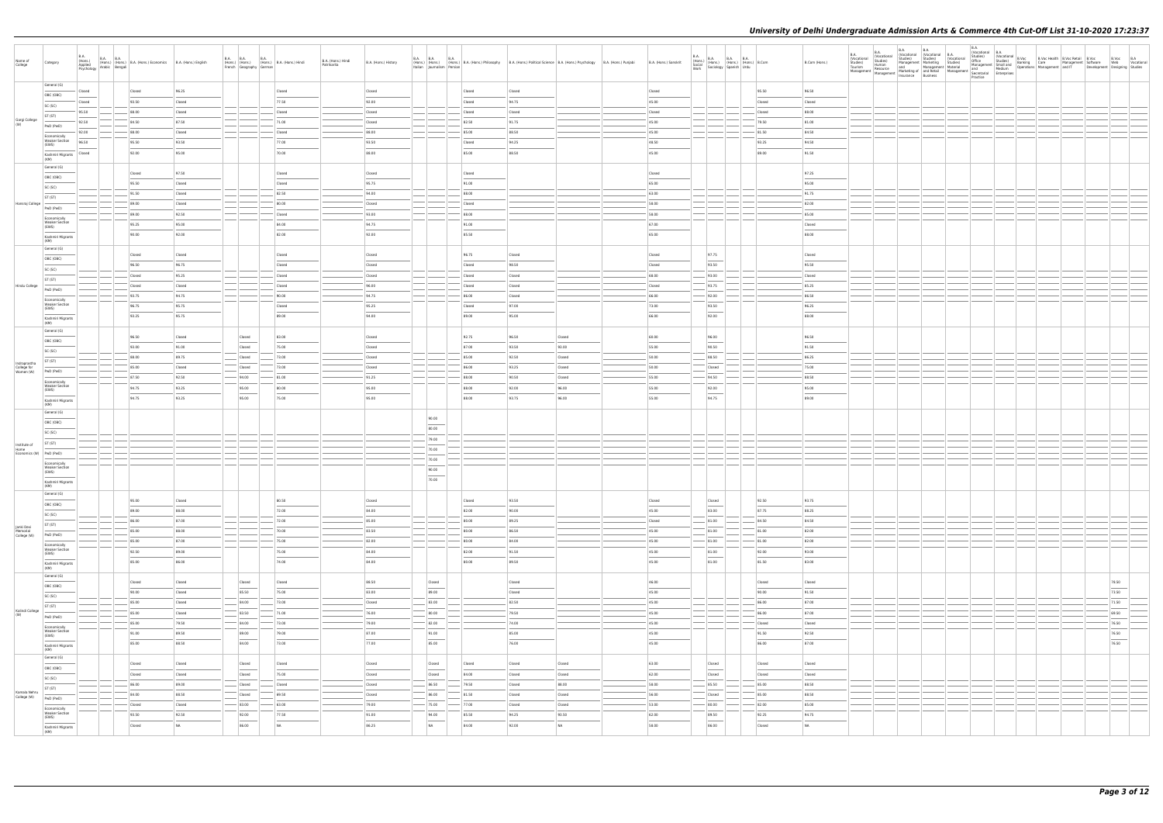| Name of<br>College                       | Category                                       | <b>B.A.</b><br>(Hons.)<br>Applied | B.A. B.A. (Hons.) B.A. (Hons.) Economics B.A. (Hons.) English<br>Applied<br>Psychology Arabic Bengali |                | French Geography German                                                                                                                                                                                                                                                                                                                                                                                                                                                    | B.A. B.A. B.A. B.A. (Hons.) B.A. (Hons.) Hindi<br>B.A. (Hons.) Hindi<br>Patrikarita | B.A. (Hons.) History            | Italian Journalism Persian |                |                  | B.A. B.A. B.A. B.A. (Hons.) B.A. (Hons.) Philosophy B.A. (Hons.) Political Science B.A. (Hons.) Psychology B.A. (Hons.) Punjabi | B.A. (Hons.) Sanskrit |               | $\begin{array}{l l l} \text{B.A.} \\ \text{(Hons.)} \\ \text{Social} \\ \text{Work} \\ \text{Work} \end{array} \hspace{1em} \begin{array}{l l } \text{B.A.} \\ \text{(Hons.)} \\ \text{(Hons.)} \\ \text{Storions.)} \\ \text{Spanish} \\ \text{Stor} \\ \text{Stor} \\ \text{Stor} \\ \text{Stor} \\ \text{Stor} \\ \text{Stor} \\ \text{Stor} \\ \text{Stor} \\ \text{Stor} \\ \text{Stor} \\ \text{Stor} \\ \text{Stor} \\ \text{Stor} \\ \text{Stor} \\ \text{Stor} \\ \text{Stor} \\$ |                | B.Com (Hons.)  | B.A.<br>(Vocational<br>Studies)<br>Tourism<br>Management | <b>B.A.</b><br>(Vocational<br>Studies)<br>Human | B.A. (Vocational B.A. (Vocational B.A. Studies) (Vocational B.A. (Vocational Studies) (Vocational Management Marketing Studies)<br>Human<br>Resource and Management Material Management Medium<br>Management Marketing diand Retail Management Secretarial Enterprises<br>Management Insurance Business<br>Practice Practice | <b>B.A.</b><br>Practice | B.A.<br>  Chuddis <br>  Chuddis   (Nocational B.Voc Bealth B.Voc Realti B.Voc B.Voc B.Voc B.A.<br>  Chuddis   Chuddis   Care Management Software Web Vocational<br>  Management Smalliand Banking Care Management and IT Development Desig |                        |  |
|------------------------------------------|------------------------------------------------|-----------------------------------|-------------------------------------------------------------------------------------------------------|----------------|----------------------------------------------------------------------------------------------------------------------------------------------------------------------------------------------------------------------------------------------------------------------------------------------------------------------------------------------------------------------------------------------------------------------------------------------------------------------------|-------------------------------------------------------------------------------------|---------------------------------|----------------------------|----------------|------------------|---------------------------------------------------------------------------------------------------------------------------------|-----------------------|---------------|--------------------------------------------------------------------------------------------------------------------------------------------------------------------------------------------------------------------------------------------------------------------------------------------------------------------------------------------------------------------------------------------------------------------------------------------------------------------------------------------|----------------|----------------|----------------------------------------------------------|-------------------------------------------------|------------------------------------------------------------------------------------------------------------------------------------------------------------------------------------------------------------------------------------------------------------------------------------------------------------------------------|-------------------------|--------------------------------------------------------------------------------------------------------------------------------------------------------------------------------------------------------------------------------------------|------------------------|--|
|                                          | General (G)                                    | Closed                            | Closed                                                                                                | 96.25          |                                                                                                                                                                                                                                                                                                                                                                                                                                                                            | Closed                                                                              | Closed                          |                            | Closed         | Closed           |                                                                                                                                 | Closed                |               |                                                                                                                                                                                                                                                                                                                                                                                                                                                                                            | 95.50          | 96.50          |                                                          |                                                 |                                                                                                                                                                                                                                                                                                                              |                         |                                                                                                                                                                                                                                            |                        |  |
|                                          | OBC (OBC)                                      | Closed                            | 93.50                                                                                                 | Closed         |                                                                                                                                                                                                                                                                                                                                                                                                                                                                            | 77.50                                                                               | 92.00                           |                            | Closed         | 94.75            |                                                                                                                                 | 45.00                 |               |                                                                                                                                                                                                                                                                                                                                                                                                                                                                                            | Closed         | Closed         |                                                          |                                                 |                                                                                                                                                                                                                                                                                                                              |                         |                                                                                                                                                                                                                                            |                        |  |
|                                          | SC (SC)<br>ST (ST)                             | 95.50                             | 88.00                                                                                                 | Closed         |                                                                                                                                                                                                                                                                                                                                                                                                                                                                            | Closed                                                                              | Closed                          |                            | Closed         | Closed           |                                                                                                                                 | Closed                |               |                                                                                                                                                                                                                                                                                                                                                                                                                                                                                            | Closed         | 88.00          |                                                          |                                                 |                                                                                                                                                                                                                                                                                                                              |                         |                                                                                                                                                                                                                                            |                        |  |
| Gargi College<br>(W)                     | PwD (PwD)                                      | 92.50                             | 84.50                                                                                                 | 87.50          |                                                                                                                                                                                                                                                                                                                                                                                                                                                                            | 71.00                                                                               | Closed                          |                            | 82.50          | 91.75            |                                                                                                                                 | 45.00                 |               |                                                                                                                                                                                                                                                                                                                                                                                                                                                                                            | 79.50          | 81.00          |                                                          |                                                 |                                                                                                                                                                                                                                                                                                                              |                         |                                                                                                                                                                                                                                            |                        |  |
|                                          | Economically                                   | 92.00                             | 88.00                                                                                                 | Closed         |                                                                                                                                                                                                                                                                                                                                                                                                                                                                            | Closed                                                                              | 88.00                           |                            | 85.00          | 88.50            |                                                                                                                                 | 45.00                 |               |                                                                                                                                                                                                                                                                                                                                                                                                                                                                                            | 81.50          | 84.50          |                                                          |                                                 |                                                                                                                                                                                                                                                                                                                              |                         |                                                                                                                                                                                                                                            |                        |  |
|                                          | <b>Weaker Section</b><br>(EWS)                 | 96.50                             | 95.50                                                                                                 | 93.50          |                                                                                                                                                                                                                                                                                                                                                                                                                                                                            | 77.00                                                                               | 93.50                           |                            | Closed         | 94.25            |                                                                                                                                 | 48.50                 |               |                                                                                                                                                                                                                                                                                                                                                                                                                                                                                            | 93.25          | 94.50          |                                                          |                                                 |                                                                                                                                                                                                                                                                                                                              |                         |                                                                                                                                                                                                                                            |                        |  |
|                                          | $\overline{\phantom{a}}$<br>Kashmiri Migrants  | Closed                            | 92.00                                                                                                 | 95.00          |                                                                                                                                                                                                                                                                                                                                                                                                                                                                            | 70.00                                                                               | 88.00                           |                            | 85.00          | 88.50            |                                                                                                                                 | 45.00                 |               |                                                                                                                                                                                                                                                                                                                                                                                                                                                                                            | 89.00          | 91.50          |                                                          |                                                 |                                                                                                                                                                                                                                                                                                                              |                         |                                                                                                                                                                                                                                            |                        |  |
|                                          | (KM)<br>General (G)                            |                                   |                                                                                                       |                |                                                                                                                                                                                                                                                                                                                                                                                                                                                                            |                                                                                     |                                 |                            |                |                  |                                                                                                                                 |                       |               |                                                                                                                                                                                                                                                                                                                                                                                                                                                                                            |                |                |                                                          |                                                 |                                                                                                                                                                                                                                                                                                                              |                         |                                                                                                                                                                                                                                            |                        |  |
|                                          | OBC (OBC)                                      |                                   | Closed                                                                                                | 97.50          |                                                                                                                                                                                                                                                                                                                                                                                                                                                                            | Closed                                                                              | Closed                          |                            | Closed         |                  |                                                                                                                                 | Closed                |               |                                                                                                                                                                                                                                                                                                                                                                                                                                                                                            |                | 97.25          |                                                          |                                                 |                                                                                                                                                                                                                                                                                                                              |                         |                                                                                                                                                                                                                                            |                        |  |
|                                          | SC (SC)                                        |                                   | 95.50                                                                                                 | Closed         |                                                                                                                                                                                                                                                                                                                                                                                                                                                                            | Closed                                                                              | 95.75                           |                            | 91.00          |                  |                                                                                                                                 | 65.00                 |               |                                                                                                                                                                                                                                                                                                                                                                                                                                                                                            |                | 95.00          |                                                          |                                                 |                                                                                                                                                                                                                                                                                                                              |                         |                                                                                                                                                                                                                                            |                        |  |
|                                          | ST (ST)                                        |                                   | 91.50                                                                                                 | Closed         |                                                                                                                                                                                                                                                                                                                                                                                                                                                                            | 82.50                                                                               | 94.00                           |                            | 88.00          |                  |                                                                                                                                 | 63.00                 |               |                                                                                                                                                                                                                                                                                                                                                                                                                                                                                            |                | 91.75          |                                                          |                                                 |                                                                                                                                                                                                                                                                                                                              |                         |                                                                                                                                                                                                                                            |                        |  |
| Hansraj College                          | PwD (PwD)                                      |                                   | 89.00                                                                                                 | Closed         |                                                                                                                                                                                                                                                                                                                                                                                                                                                                            | 80.00                                                                               | Closed                          |                            | Closed         |                  |                                                                                                                                 | 58.00                 |               |                                                                                                                                                                                                                                                                                                                                                                                                                                                                                            |                | 82.00          |                                                          |                                                 |                                                                                                                                                                                                                                                                                                                              |                         |                                                                                                                                                                                                                                            |                        |  |
|                                          | Economically<br><b>Weaker Section</b>          |                                   | 89.00                                                                                                 | 92.50          |                                                                                                                                                                                                                                                                                                                                                                                                                                                                            | Closed                                                                              | 93.00                           |                            | 88.00          |                  |                                                                                                                                 | 58.00                 |               |                                                                                                                                                                                                                                                                                                                                                                                                                                                                                            |                | 85.00          |                                                          |                                                 |                                                                                                                                                                                                                                                                                                                              |                         |                                                                                                                                                                                                                                            |                        |  |
|                                          | (EWS)                                          |                                   | 95.25                                                                                                 | 95.00          |                                                                                                                                                                                                                                                                                                                                                                                                                                                                            | 84.00                                                                               | 94.75                           |                            | 91.00          |                  |                                                                                                                                 | 67.00                 |               |                                                                                                                                                                                                                                                                                                                                                                                                                                                                                            |                | Closed         |                                                          |                                                 |                                                                                                                                                                                                                                                                                                                              |                         |                                                                                                                                                                                                                                            |                        |  |
|                                          | Kashmiri Migrants<br>(KM)                      |                                   | 90.00                                                                                                 | 92.00          |                                                                                                                                                                                                                                                                                                                                                                                                                                                                            | 82.00                                                                               | 92.00                           |                            | 85.50          |                  |                                                                                                                                 | 65.00                 |               |                                                                                                                                                                                                                                                                                                                                                                                                                                                                                            |                | 88.00          |                                                          |                                                 |                                                                                                                                                                                                                                                                                                                              |                         |                                                                                                                                                                                                                                            |                        |  |
|                                          | General (G)                                    |                                   | Closed                                                                                                | Closed         |                                                                                                                                                                                                                                                                                                                                                                                                                                                                            | Closed                                                                              | Closed                          |                            | 96.75          | Closed           |                                                                                                                                 | Closed                |               | 97.75                                                                                                                                                                                                                                                                                                                                                                                                                                                                                      |                | Closed         |                                                          |                                                 |                                                                                                                                                                                                                                                                                                                              |                         |                                                                                                                                                                                                                                            |                        |  |
|                                          | OBC (OBC)                                      |                                   | 96.50                                                                                                 | 96.75          |                                                                                                                                                                                                                                                                                                                                                                                                                                                                            | Closed                                                                              | Closed                          |                            | Closed         | 98.50            |                                                                                                                                 | Closed                |               | 93.50                                                                                                                                                                                                                                                                                                                                                                                                                                                                                      |                | 95.50          |                                                          |                                                 |                                                                                                                                                                                                                                                                                                                              |                         |                                                                                                                                                                                                                                            |                        |  |
|                                          | SC (SC)                                        |                                   | <b>Closed</b>                                                                                         | 95.25          |                                                                                                                                                                                                                                                                                                                                                                                                                                                                            | Closed                                                                              | Closed                          |                            | Closed         | Closed           |                                                                                                                                 | 68.00                 |               | 93.00                                                                                                                                                                                                                                                                                                                                                                                                                                                                                      |                | Closed         |                                                          |                                                 |                                                                                                                                                                                                                                                                                                                              |                         |                                                                                                                                                                                                                                            |                        |  |
| Hindu College                            | ST (ST)                                        |                                   | Closed                                                                                                | Closed         |                                                                                                                                                                                                                                                                                                                                                                                                                                                                            | Closed                                                                              | 96.00                           |                            | Closed         | Closed           |                                                                                                                                 | Closed                |               | 93.75                                                                                                                                                                                                                                                                                                                                                                                                                                                                                      |                | 85.25          |                                                          |                                                 |                                                                                                                                                                                                                                                                                                                              |                         |                                                                                                                                                                                                                                            |                        |  |
|                                          | PwD (PwD)                                      |                                   | 93.75                                                                                                 | 94.75          |                                                                                                                                                                                                                                                                                                                                                                                                                                                                            | 90.00                                                                               | 94.75                           |                            | 86.00          | Closed           |                                                                                                                                 | 66.00                 |               | 92.00                                                                                                                                                                                                                                                                                                                                                                                                                                                                                      |                | 86.50          |                                                          |                                                 |                                                                                                                                                                                                                                                                                                                              |                         |                                                                                                                                                                                                                                            |                        |  |
|                                          | Economically<br><b>Weaker Section</b><br>(EWS) |                                   | 96.75                                                                                                 | 95.75          |                                                                                                                                                                                                                                                                                                                                                                                                                                                                            | Closed                                                                              | 95.25                           |                            | Closed         | 97.00            |                                                                                                                                 | 73.00                 |               | 93.50                                                                                                                                                                                                                                                                                                                                                                                                                                                                                      |                | 96.25          |                                                          |                                                 |                                                                                                                                                                                                                                                                                                                              |                         |                                                                                                                                                                                                                                            |                        |  |
|                                          | Kashmiri Migrants                              |                                   | 93.25                                                                                                 | 95.75          |                                                                                                                                                                                                                                                                                                                                                                                                                                                                            | 89.00                                                                               | 94.00                           |                            | 89.00          | 95.00            |                                                                                                                                 | 66.00                 |               | 92.00                                                                                                                                                                                                                                                                                                                                                                                                                                                                                      |                | 88.00          |                                                          |                                                 |                                                                                                                                                                                                                                                                                                                              |                         |                                                                                                                                                                                                                                            |                        |  |
|                                          | (KM)<br>General (G)                            |                                   |                                                                                                       |                |                                                                                                                                                                                                                                                                                                                                                                                                                                                                            |                                                                                     |                                 |                            |                |                  |                                                                                                                                 |                       |               |                                                                                                                                                                                                                                                                                                                                                                                                                                                                                            |                |                |                                                          |                                                 |                                                                                                                                                                                                                                                                                                                              |                         |                                                                                                                                                                                                                                            |                        |  |
|                                          | OBC (OBC)                                      |                                   | 96.50                                                                                                 | Closed         | Closed                                                                                                                                                                                                                                                                                                                                                                                                                                                                     | 83.00                                                                               | Closed                          |                            | 92.75          | 96.50            | Closed                                                                                                                          | 60.00                 |               | 96.00                                                                                                                                                                                                                                                                                                                                                                                                                                                                                      |                | 96.50          |                                                          |                                                 |                                                                                                                                                                                                                                                                                                                              |                         |                                                                                                                                                                                                                                            |                        |  |
|                                          | SC (SC)                                        |                                   | 93.00                                                                                                 | 91.00          | Closed                                                                                                                                                                                                                                                                                                                                                                                                                                                                     | 75.00                                                                               | Closed                          |                            | 87.00          | 93.50            | 93.00                                                                                                                           | 55.00                 |               | 90.50                                                                                                                                                                                                                                                                                                                                                                                                                                                                                      |                | 91.50          |                                                          |                                                 |                                                                                                                                                                                                                                                                                                                              |                         |                                                                                                                                                                                                                                            |                        |  |
|                                          | ST (ST)                                        |                                   | 88.00                                                                                                 | 89.75          | Closed                                                                                                                                                                                                                                                                                                                                                                                                                                                                     | 73.00                                                                               | Closed                          |                            | 85.00          | 92.50            | Closed                                                                                                                          | 50.00                 |               | 88.50                                                                                                                                                                                                                                                                                                                                                                                                                                                                                      |                | 86.25          |                                                          |                                                 |                                                                                                                                                                                                                                                                                                                              |                         |                                                                                                                                                                                                                                            |                        |  |
| Indraprastha<br>College for<br>Women (W) | PwD (PwD)                                      |                                   | 85.00                                                                                                 | Closed         | Closed                                                                                                                                                                                                                                                                                                                                                                                                                                                                     | 73.00                                                                               | Closed                          |                            | 86.00          | 93.25            | Closed                                                                                                                          | 50.00                 |               | Closed                                                                                                                                                                                                                                                                                                                                                                                                                                                                                     |                | 75.00          |                                                          |                                                 |                                                                                                                                                                                                                                                                                                                              |                         |                                                                                                                                                                                                                                            |                        |  |
|                                          | Economically<br><b>Weaker Section</b>          |                                   | 87.50                                                                                                 | 92.50          | 94.00                                                                                                                                                                                                                                                                                                                                                                                                                                                                      | 81.00                                                                               | 91.25                           |                            | 88.00          | 90.50            | Closed                                                                                                                          | 55.00                 |               | 94.50                                                                                                                                                                                                                                                                                                                                                                                                                                                                                      |                | 88.50          |                                                          |                                                 |                                                                                                                                                                                                                                                                                                                              |                         |                                                                                                                                                                                                                                            |                        |  |
|                                          | (EWS)                                          |                                   | 94.75<br>94.75                                                                                        | 93.25<br>93.25 | 95.00<br>95.00                                                                                                                                                                                                                                                                                                                                                                                                                                                             | 80.00<br>75.00                                                                      | 95.00<br>95.00                  |                            | 88.00<br>88.00 | 92.00<br>93.75   | 96.00<br>96.00                                                                                                                  | 55.00<br>55.00        |               | 92.00<br>94.75                                                                                                                                                                                                                                                                                                                                                                                                                                                                             |                | 95.00<br>89.00 |                                                          |                                                 |                                                                                                                                                                                                                                                                                                                              |                         |                                                                                                                                                                                                                                            |                        |  |
|                                          | Kashmiri Migrants<br>(KM)                      |                                   |                                                                                                       |                |                                                                                                                                                                                                                                                                                                                                                                                                                                                                            |                                                                                     |                                 |                            |                |                  |                                                                                                                                 |                       |               |                                                                                                                                                                                                                                                                                                                                                                                                                                                                                            |                |                |                                                          |                                                 |                                                                                                                                                                                                                                                                                                                              |                         |                                                                                                                                                                                                                                            |                        |  |
|                                          | General (G)                                    |                                   |                                                                                                       |                |                                                                                                                                                                                                                                                                                                                                                                                                                                                                            |                                                                                     |                                 | 90.00                      |                |                  |                                                                                                                                 |                       |               |                                                                                                                                                                                                                                                                                                                                                                                                                                                                                            |                |                |                                                          |                                                 |                                                                                                                                                                                                                                                                                                                              |                         |                                                                                                                                                                                                                                            |                        |  |
|                                          | OBC (OBC)                                      |                                   |                                                                                                       |                |                                                                                                                                                                                                                                                                                                                                                                                                                                                                            |                                                                                     |                                 | 80.00                      |                |                  |                                                                                                                                 |                       |               |                                                                                                                                                                                                                                                                                                                                                                                                                                                                                            |                |                |                                                          |                                                 |                                                                                                                                                                                                                                                                                                                              |                         |                                                                                                                                                                                                                                            |                        |  |
|                                          | SC (SC)                                        |                                   |                                                                                                       |                |                                                                                                                                                                                                                                                                                                                                                                                                                                                                            |                                                                                     |                                 | 79.00                      |                |                  |                                                                                                                                 |                       |               |                                                                                                                                                                                                                                                                                                                                                                                                                                                                                            |                |                |                                                          |                                                 |                                                                                                                                                                                                                                                                                                                              |                         |                                                                                                                                                                                                                                            |                        |  |
| Institute of<br>Home                     | ST (ST)                                        |                                   |                                                                                                       |                |                                                                                                                                                                                                                                                                                                                                                                                                                                                                            |                                                                                     |                                 | 70.00                      |                |                  |                                                                                                                                 |                       |               |                                                                                                                                                                                                                                                                                                                                                                                                                                                                                            |                |                |                                                          |                                                 |                                                                                                                                                                                                                                                                                                                              |                         |                                                                                                                                                                                                                                            |                        |  |
| Economics (W) PwD (PwD)                  | Economically                                   |                                   |                                                                                                       |                |                                                                                                                                                                                                                                                                                                                                                                                                                                                                            |                                                                                     |                                 | 70.00                      |                |                  |                                                                                                                                 |                       |               |                                                                                                                                                                                                                                                                                                                                                                                                                                                                                            |                |                |                                                          |                                                 |                                                                                                                                                                                                                                                                                                                              |                         |                                                                                                                                                                                                                                            |                        |  |
|                                          | <b>Weaker Section</b><br>(EWS)                 |                                   |                                                                                                       |                |                                                                                                                                                                                                                                                                                                                                                                                                                                                                            |                                                                                     |                                 | 90.00                      |                |                  |                                                                                                                                 |                       |               |                                                                                                                                                                                                                                                                                                                                                                                                                                                                                            |                |                |                                                          |                                                 |                                                                                                                                                                                                                                                                                                                              |                         |                                                                                                                                                                                                                                            |                        |  |
|                                          | Kashmiri Migrants                              |                                   |                                                                                                       |                |                                                                                                                                                                                                                                                                                                                                                                                                                                                                            |                                                                                     |                                 | 70.00                      |                |                  |                                                                                                                                 |                       |               |                                                                                                                                                                                                                                                                                                                                                                                                                                                                                            |                |                |                                                          |                                                 |                                                                                                                                                                                                                                                                                                                              |                         |                                                                                                                                                                                                                                            |                        |  |
|                                          | (KM)<br>General (G)                            |                                   |                                                                                                       |                |                                                                                                                                                                                                                                                                                                                                                                                                                                                                            |                                                                                     |                                 |                            |                |                  |                                                                                                                                 |                       |               |                                                                                                                                                                                                                                                                                                                                                                                                                                                                                            |                |                |                                                          |                                                 |                                                                                                                                                                                                                                                                                                                              |                         |                                                                                                                                                                                                                                            |                        |  |
|                                          | OBC (OBC)                                      |                                   | 95.00                                                                                                 | Closed         |                                                                                                                                                                                                                                                                                                                                                                                                                                                                            | 80.50                                                                               | Closed                          |                            | Closed         | 93.50            |                                                                                                                                 | Closed                |               | Closed                                                                                                                                                                                                                                                                                                                                                                                                                                                                                     | 92.50          | 93.75          |                                                          |                                                 |                                                                                                                                                                                                                                                                                                                              |                         |                                                                                                                                                                                                                                            |                        |  |
|                                          | SC (SC)                                        |                                   | 89.00                                                                                                 | 88.00          |                                                                                                                                                                                                                                                                                                                                                                                                                                                                            | 72.00                                                                               | 84.00                           |                            | 82.00          | 90.00            |                                                                                                                                 | 45.00                 |               | 83.00                                                                                                                                                                                                                                                                                                                                                                                                                                                                                      | 87.75          | 88.25          |                                                          |                                                 |                                                                                                                                                                                                                                                                                                                              |                         |                                                                                                                                                                                                                                            |                        |  |
|                                          | ST (ST)                                        |                                   | 86.00                                                                                                 | 87.00          |                                                                                                                                                                                                                                                                                                                                                                                                                                                                            | $- 72.00$                                                                           | 85.00                           |                            | 80.00          | 89.25            |                                                                                                                                 | Closed                |               | 81.00                                                                                                                                                                                                                                                                                                                                                                                                                                                                                      | 84.50          | 84.50          |                                                          |                                                 |                                                                                                                                                                                                                                                                                                                              |                         |                                                                                                                                                                                                                                            |                        |  |
| Janki Devi<br>Memorial<br>College (W)    | PwD (PwD)                                      |                                   | 85.00                                                                                                 | 88.00          | $\frac{1}{2} \left( \frac{1}{2} \right) \left( \frac{1}{2} \right) \left( \frac{1}{2} \right) \left( \frac{1}{2} \right) \left( \frac{1}{2} \right) \left( \frac{1}{2} \right) \left( \frac{1}{2} \right) \left( \frac{1}{2} \right) \left( \frac{1}{2} \right) \left( \frac{1}{2} \right) \left( \frac{1}{2} \right) \left( \frac{1}{2} \right) \left( \frac{1}{2} \right) \left( \frac{1}{2} \right) \left( \frac{1}{2} \right) \left( \frac{1}{2} \right) \left( \frac$ | 70.00                                                                               | 83.50                           |                            | 80.00          | 86.50            |                                                                                                                                 | 45.00                 |               | 81.00                                                                                                                                                                                                                                                                                                                                                                                                                                                                                      | 81.00          | 82.00          |                                                          |                                                 |                                                                                                                                                                                                                                                                                                                              |                         |                                                                                                                                                                                                                                            |                        |  |
|                                          | Economically<br><b>Weaker Section</b>          |                                   | 85.00<br>92.50                                                                                        | 87.00<br>89.00 |                                                                                                                                                                                                                                                                                                                                                                                                                                                                            | $-75.00$<br>75.00                                                                   | 82.00<br>84.00                  |                            | 80.00<br>82.00 | 84.00<br>91.50   |                                                                                                                                 | 45.00<br>45.00        |               | 81.00<br>81.00                                                                                                                                                                                                                                                                                                                                                                                                                                                                             | 81.00<br>92.00 | 82.00<br>93.00 |                                                          |                                                 |                                                                                                                                                                                                                                                                                                                              |                         |                                                                                                                                                                                                                                            |                        |  |
|                                          | (EWS)                                          |                                   | 85.00                                                                                                 | 86.00          |                                                                                                                                                                                                                                                                                                                                                                                                                                                                            | 74.00                                                                               | 84.00                           |                            | 80.00          | 89.50            |                                                                                                                                 | 45.00                 |               | $\overline{\phantom{a}}$<br>81.00                                                                                                                                                                                                                                                                                                                                                                                                                                                          | 81.50          | 83.00          |                                                          |                                                 |                                                                                                                                                                                                                                                                                                                              |                         |                                                                                                                                                                                                                                            |                        |  |
|                                          | Kashmiri Migrants<br>(KM)                      |                                   |                                                                                                       |                |                                                                                                                                                                                                                                                                                                                                                                                                                                                                            |                                                                                     |                                 |                            |                |                  |                                                                                                                                 |                       |               |                                                                                                                                                                                                                                                                                                                                                                                                                                                                                            |                |                |                                                          |                                                 |                                                                                                                                                                                                                                                                                                                              |                         |                                                                                                                                                                                                                                            |                        |  |
|                                          | General (G)                                    |                                   | Closed                                                                                                | Closed         | Closed                                                                                                                                                                                                                                                                                                                                                                                                                                                                     | Closed                                                                              | 88.50                           | Closed                     |                | Closed           |                                                                                                                                 | 46.00                 |               |                                                                                                                                                                                                                                                                                                                                                                                                                                                                                            | Closed         | Closed         |                                                          |                                                 |                                                                                                                                                                                                                                                                                                                              |                         |                                                                                                                                                                                                                                            | 78.50                  |  |
|                                          | OBC (OBC)<br>SC (SC)                           |                                   | 90.00                                                                                                 | Closed         | 85.50                                                                                                                                                                                                                                                                                                                                                                                                                                                                      | 75.00                                                                               | 83.00                           | $\sim$<br>89.00            |                | Closed           |                                                                                                                                 | 45.00                 |               |                                                                                                                                                                                                                                                                                                                                                                                                                                                                                            | 90.00          | 91.50          |                                                          |                                                 |                                                                                                                                                                                                                                                                                                                              |                         |                                                                                                                                                                                                                                            | 73.50                  |  |
|                                          | ST (ST)                                        |                                   | 85.00                                                                                                 | Closed         | $- 84.00$                                                                                                                                                                                                                                                                                                                                                                                                                                                                  | 73.00                                                                               | $\overline{\phantom{a}}$ Closed | 83.00                      |                | 82.50            |                                                                                                                                 | 45.00                 |               |                                                                                                                                                                                                                                                                                                                                                                                                                                                                                            | 86.00          | 87.00          |                                                          |                                                 |                                                                                                                                                                                                                                                                                                                              |                         |                                                                                                                                                                                                                                            | 71.50                  |  |
| Kalindi College                          | PwD (PwD)                                      |                                   | 85.00                                                                                                 | Closed         | 83.50                                                                                                                                                                                                                                                                                                                                                                                                                                                                      | 71.00                                                                               | 76.00                           | 80.00                      |                | 79.50            |                                                                                                                                 | 45.00                 |               |                                                                                                                                                                                                                                                                                                                                                                                                                                                                                            | 86.00          | 87.00          |                                                          |                                                 |                                                                                                                                                                                                                                                                                                                              |                         |                                                                                                                                                                                                                                            | 69.50                  |  |
|                                          | Economically                                   |                                   | 85.00                                                                                                 | 79.50          | $-$ 84.00                                                                                                                                                                                                                                                                                                                                                                                                                                                                  | $- 73.00$                                                                           | 79.00                           | $-$ 82.00                  |                | 74.00            |                                                                                                                                 | 45.00                 | $\frac{1}{2}$ |                                                                                                                                                                                                                                                                                                                                                                                                                                                                                            | Closed         | Closed         |                                                          |                                                 |                                                                                                                                                                                                                                                                                                                              |                         |                                                                                                                                                                                                                                            | 76.50                  |  |
|                                          | <b>Weaker Section</b><br>(EWS)                 |                                   | 91.00                                                                                                 | 89.50          | 89.00                                                                                                                                                                                                                                                                                                                                                                                                                                                                      | 79.00                                                                               | 87.00                           | 91.00<br>$\sim$            |                | 85.00            |                                                                                                                                 | 45.00                 |               |                                                                                                                                                                                                                                                                                                                                                                                                                                                                                            | 91.50          | 92.50          |                                                          |                                                 |                                                                                                                                                                                                                                                                                                                              |                         |                                                                                                                                                                                                                                            | 76.50<br>$\frac{1}{2}$ |  |
|                                          | Kashmiri Migrants<br>(KM)                      |                                   | 85.00                                                                                                 | 88.50          | 84.00                                                                                                                                                                                                                                                                                                                                                                                                                                                                      | 73.00                                                                               | 77.00                           | 85.00                      |                | 76.00            |                                                                                                                                 | 45.00                 |               |                                                                                                                                                                                                                                                                                                                                                                                                                                                                                            | 86.00          | 87.00          |                                                          |                                                 |                                                                                                                                                                                                                                                                                                                              |                         |                                                                                                                                                                                                                                            | 76.50                  |  |
|                                          | General (G)                                    |                                   |                                                                                                       |                |                                                                                                                                                                                                                                                                                                                                                                                                                                                                            |                                                                                     |                                 |                            |                |                  |                                                                                                                                 |                       |               |                                                                                                                                                                                                                                                                                                                                                                                                                                                                                            |                |                |                                                          |                                                 |                                                                                                                                                                                                                                                                                                                              |                         |                                                                                                                                                                                                                                            |                        |  |
|                                          | OBC (OBC)                                      |                                   | Closed                                                                                                | Closed         | Closed                                                                                                                                                                                                                                                                                                                                                                                                                                                                     | Closed                                                                              | Closed                          | Closed<br>$\sim$           | Closed         | Closed           | Closed                                                                                                                          | 63.00                 |               | Closed                                                                                                                                                                                                                                                                                                                                                                                                                                                                                     | Closed         | Closed         |                                                          |                                                 |                                                                                                                                                                                                                                                                                                                              |                         |                                                                                                                                                                                                                                            |                        |  |
|                                          | SC (SC)                                        |                                   | Closed                                                                                                | Closed         | Closed                                                                                                                                                                                                                                                                                                                                                                                                                                                                     | 75.00                                                                               | Closed                          | Closed                     | 84.00          | Closed           | Closed                                                                                                                          | 62.00                 |               | Closed                                                                                                                                                                                                                                                                                                                                                                                                                                                                                     | Closed         | Closed         |                                                          |                                                 |                                                                                                                                                                                                                                                                                                                              |                         |                                                                                                                                                                                                                                            |                        |  |
| Kamala Nehru                             | ST (ST)                                        |                                   | 86.00<br>84.00                                                                                        | 89.00<br>88.50 | Closed<br>Closed                                                                                                                                                                                                                                                                                                                                                                                                                                                           | Closed<br>69.50                                                                     | Closed<br>Closed                | 86.50<br>86.00             | 79.50<br>81.50 | Closed<br>Closed | 88.00<br>Closed                                                                                                                 | 58.00<br>56.00        |               | 85.50<br>Closed                                                                                                                                                                                                                                                                                                                                                                                                                                                                            | 85.00<br>85.00 | 88.50<br>88.50 |                                                          |                                                 |                                                                                                                                                                                                                                                                                                                              |                         |                                                                                                                                                                                                                                            |                        |  |
| College (W)                              | PwD (PwD)                                      |                                   | Closed                                                                                                | Closed         | $-$ 83.00                                                                                                                                                                                                                                                                                                                                                                                                                                                                  | 63.00                                                                               | $-79.00$                        | $- 75.00$                  | $- 77.00$      | Closed           | Closed                                                                                                                          | 53.00                 |               | 80.00                                                                                                                                                                                                                                                                                                                                                                                                                                                                                      | 82.00          | 85.00          |                                                          |                                                 |                                                                                                                                                                                                                                                                                                                              |                         |                                                                                                                                                                                                                                            |                        |  |
|                                          | Economically<br><b>Weaker Section</b>          |                                   | 93.50                                                                                                 | 92.50          | 92.00                                                                                                                                                                                                                                                                                                                                                                                                                                                                      | 77.50                                                                               | 91.00                           | 94.00                      | 85.50          | 94.25            | 93.50                                                                                                                           | 62.00                 |               | 89.50                                                                                                                                                                                                                                                                                                                                                                                                                                                                                      | 92.25          | 94.75          |                                                          |                                                 |                                                                                                                                                                                                                                                                                                                              |                         |                                                                                                                                                                                                                                            |                        |  |
|                                          | (EWS)<br>Kashmiri Migrants                     |                                   | Closed                                                                                                | NA             | 86.00                                                                                                                                                                                                                                                                                                                                                                                                                                                                      | <b>NA</b>                                                                           | 86.25                           | <b>NA</b>                  | 84.00          | 92.00            | NA                                                                                                                              | 58.00                 |               | $\overline{\phantom{a}}$<br>86.00                                                                                                                                                                                                                                                                                                                                                                                                                                                          | Closed         | NA             |                                                          |                                                 |                                                                                                                                                                                                                                                                                                                              |                         |                                                                                                                                                                                                                                            |                        |  |
|                                          | (KM)                                           |                                   |                                                                                                       |                |                                                                                                                                                                                                                                                                                                                                                                                                                                                                            |                                                                                     |                                 |                            |                |                  |                                                                                                                                 |                       |               |                                                                                                                                                                                                                                                                                                                                                                                                                                                                                            |                |                |                                                          |                                                 |                                                                                                                                                                                                                                                                                                                              |                         |                                                                                                                                                                                                                                            |                        |  |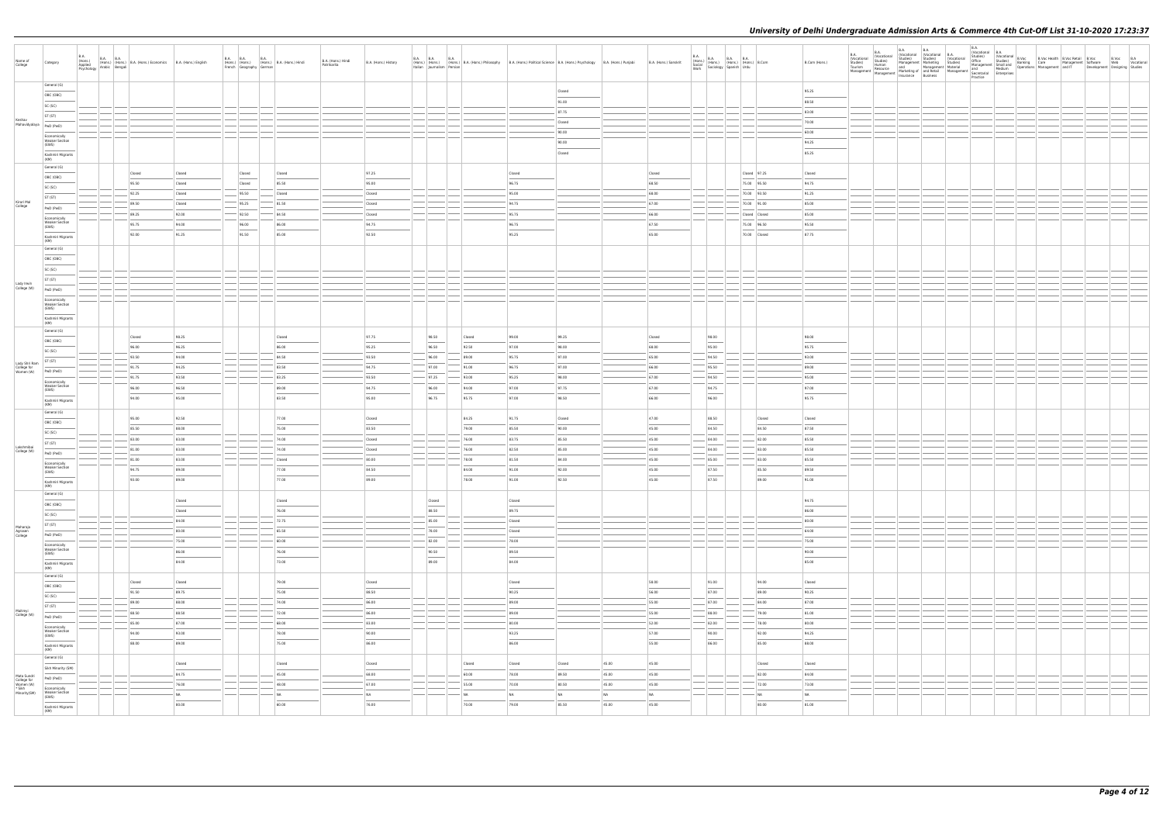| Name of<br>College                                                | Category                                                                         | <b>B.A.</b> |                           | B.A. (Hons.) B.A. B.A. (Hons.) B.A. (Hons.) Economics B.A. (Hons.) English Asplied (Hons.) English Psychology Arabic Bengali |                                                                                                                                                                                                                                                                                                                                                                                                                                                                            |                          | B.A. (Hons.) B.A. (Hons.) B.A. (Hons.) Hindi<br>French Geography German B.A. (Hons.) Hindi<br>B.A. (Hons.) Hindi<br>Patrikarita | B.A. (Hons.) History      |  |                                   |                         | B.A. B.A.<br>(Hons.) (Hons.) (Hons.) B.A. (Hons.) Philosophy B.A. (Hons.) Political Science B.A. (Hons.) Psychology B.A. (Hons.) Punjabi<br>Italian Journalism Persian |                             |                               | B.A. (Hons.) Sanskrit                      | $\begin{array}{l l l} \textsf{B.A.} & \textsf{B.A.} & \textsf{B.A.} & \textsf{B.A.} \\ \textsf{(Hons.)} & \textsf{(Hons.)} & \textsf{(Hons.)} & \textsf{B.A.} \\ \textsf{Social} & \textsf{(Sociology)} & \textsf{Spanish} & \textsf{(Hdu)} \\ \textsf{Work} & \textsf{Sociology} & \textsf{Spanish} & \textsf{Urdu} \end{array}$ |                                              | B.Com (Hons.)                     | B.A.<br>(Vocational<br>Studies)<br>Tourism<br>Management | <b>B.A.</b> | <b>B.A.</b><br>B.A. | Practice |  | B.A.<br>al Orocational B.A.<br>al Orocational B.Voc Health B.Voc Retail B.Voc B.Voc B.A.<br>al Orocational Studies) Banking Care Management Software Web Vocational<br>Management Small one Management and IT Development Designing St |  |
|-------------------------------------------------------------------|----------------------------------------------------------------------------------|-------------|---------------------------|------------------------------------------------------------------------------------------------------------------------------|----------------------------------------------------------------------------------------------------------------------------------------------------------------------------------------------------------------------------------------------------------------------------------------------------------------------------------------------------------------------------------------------------------------------------------------------------------------------------|--------------------------|---------------------------------------------------------------------------------------------------------------------------------|---------------------------|--|-----------------------------------|-------------------------|------------------------------------------------------------------------------------------------------------------------------------------------------------------------|-----------------------------|-------------------------------|--------------------------------------------|-----------------------------------------------------------------------------------------------------------------------------------------------------------------------------------------------------------------------------------------------------------------------------------------------------------------------------------|----------------------------------------------|-----------------------------------|----------------------------------------------------------|-------------|---------------------|----------|--|----------------------------------------------------------------------------------------------------------------------------------------------------------------------------------------------------------------------------------------|--|
|                                                                   | General (G)<br>OBC (OBC)<br>SC (SC)                                              |             |                           |                                                                                                                              |                                                                                                                                                                                                                                                                                                                                                                                                                                                                            |                          |                                                                                                                                 |                           |  |                                   |                         |                                                                                                                                                                        | Closed<br>91.00<br>87.75    |                               |                                            |                                                                                                                                                                                                                                                                                                                                   |                                              | 95.25<br>88.50<br>83.00           |                                                          |             |                     |          |  |                                                                                                                                                                                                                                        |  |
| Keshav<br>Mahavidyalaya                                           | ST (ST)<br>PwD (PwD)<br>Economically<br><b>Weaker Section</b><br>(EWS)           |             |                           |                                                                                                                              |                                                                                                                                                                                                                                                                                                                                                                                                                                                                            |                          |                                                                                                                                 |                           |  |                                   |                         |                                                                                                                                                                        | Closed<br>90.00<br>90.00    |                               |                                            |                                                                                                                                                                                                                                                                                                                                   |                                              | 70.00<br>60.00<br>94.25           |                                                          |             |                     |          |  |                                                                                                                                                                                                                                        |  |
|                                                                   | Kashmiri Migrants<br>(KM)<br>General (G)<br>OBC (OBC)                            |             | Closed                    | Closed                                                                                                                       |                                                                                                                                                                                                                                                                                                                                                                                                                                                                            | Closed                   | Closed                                                                                                                          | 97.25                     |  |                                   |                         | Closed                                                                                                                                                                 | Closed                      |                               | Closed                                     |                                                                                                                                                                                                                                                                                                                                   | Closed 97.25                                 | 85.25<br>Closed                   |                                                          |             |                     |          |  |                                                                                                                                                                                                                                        |  |
| Kirori Mal<br>College                                             | SC (SC)<br>ST (ST)<br>PwD (PwD)                                                  |             | 95.50<br>92.25<br>89.50   | Closed<br>Closed<br>Closed                                                                                                   |                                                                                                                                                                                                                                                                                                                                                                                                                                                                            | Closed<br>95.50<br>95.25 | 85.50<br>Closed<br>81.50                                                                                                        | 95.00<br>Closed<br>Closed |  |                                   |                         | 96.75<br>95.00<br>94.75                                                                                                                                                |                             |                               | 68.50<br>68.00<br>67.00                    |                                                                                                                                                                                                                                                                                                                                   | 75.00 95.50<br>70.00 93.50<br>70.00 91.00    | 94.75<br>91.25<br>85.00           |                                                          |             |                     |          |  |                                                                                                                                                                                                                                        |  |
|                                                                   | Economically<br><b>Weaker Section</b><br>(EWS)<br>Kashmiri Migrants<br>(KM)      |             | 89.25<br>95.75<br>92.00   | 92.00<br>94.00<br>91.25                                                                                                      |                                                                                                                                                                                                                                                                                                                                                                                                                                                                            | 92.50<br>96.00<br>91.50  | 84.50<br>86.00<br>85.00                                                                                                         | Closed<br>94.75<br>92.50  |  |                                   |                         | 95.75<br>96.75<br>95.25                                                                                                                                                |                             |                               | 66.00<br>67.50<br>65.00                    |                                                                                                                                                                                                                                                                                                                                   | Closed Closed<br>75.00 96.50<br>70.00 Closed | 85.00<br>95.50<br>87.75           |                                                          |             |                     |          |  |                                                                                                                                                                                                                                        |  |
|                                                                   | General (G)<br>OBC (OBC)<br>SC (SC)                                              |             |                           |                                                                                                                              |                                                                                                                                                                                                                                                                                                                                                                                                                                                                            |                          |                                                                                                                                 |                           |  |                                   |                         |                                                                                                                                                                        |                             |                               |                                            |                                                                                                                                                                                                                                                                                                                                   |                                              |                                   |                                                          |             |                     |          |  |                                                                                                                                                                                                                                        |  |
| Lady Irwin<br>College (W)                                         | ST (ST)<br>PwD (PwD)<br>Economically<br><b>Weaker Section</b>                    |             |                           |                                                                                                                              |                                                                                                                                                                                                                                                                                                                                                                                                                                                                            |                          |                                                                                                                                 |                           |  |                                   |                         |                                                                                                                                                                        |                             |                               |                                            |                                                                                                                                                                                                                                                                                                                                   |                                              |                                   |                                                          |             |                     |          |  |                                                                                                                                                                                                                                        |  |
|                                                                   | (EWS)<br>Kashmiri Migrants<br>(KM)<br>General (G)<br>OBC (OBC)                   |             | Closed                    | 98.25                                                                                                                        |                                                                                                                                                                                                                                                                                                                                                                                                                                                                            |                          | Closed                                                                                                                          | 97.75                     |  | 98.50                             | Closed                  | 99.00                                                                                                                                                                  | 99.25                       |                               | Closed                                     | 98.00                                                                                                                                                                                                                                                                                                                             |                                              | 98.00                             |                                                          |             |                     |          |  |                                                                                                                                                                                                                                        |  |
| Lady Shri Ram<br>College for<br>Women (W)                         | SC (SC)<br>ST (ST)<br>PwD (PwD)                                                  |             | 96.00<br>93.50<br>91.75   | 96.25<br>94.00<br>94.25                                                                                                      |                                                                                                                                                                                                                                                                                                                                                                                                                                                                            |                          | 86.00<br>84.50<br>83.50                                                                                                         | 95.25<br>93.50<br>94.75   |  | 96.50<br>96.00<br>97.00           | 92.50<br>89.00<br>91.00 | 97.00<br>95.75<br>96.75                                                                                                                                                | 98.00<br>97.00<br>97.00     |                               | 68.00<br>65.00<br>66.00                    | 95.00<br>94.50<br>95.50                                                                                                                                                                                                                                                                                                           |                                              | 95.75<br>93.00<br>89.00           |                                                          |             |                     |          |  |                                                                                                                                                                                                                                        |  |
|                                                                   | Economically<br>Weaker Section<br>(EWS)<br>Kashmiri Migrants<br>(KM)             |             | 91.75<br>96.00<br>94.00   | 93.50<br>96.50<br>95.00                                                                                                      |                                                                                                                                                                                                                                                                                                                                                                                                                                                                            |                          | 83.25<br>89.00<br>83.50                                                                                                         | 93.50<br>94.75<br>95.00   |  | $-$ 97.25<br>96.00<br>96.75       | 93.00<br>94.00<br>95.75 | 95.25<br>97.00<br>97.00                                                                                                                                                | 98.00<br>97.75<br>98.50     |                               | 67.00<br>67.00<br>66.00                    | 94.50<br>94.75<br>96.00                                                                                                                                                                                                                                                                                                           |                                              | 95.00<br>97.00<br>95.75           |                                                          |             |                     |          |  |                                                                                                                                                                                                                                        |  |
|                                                                   | General (G)<br>OBC (OBC)<br>SC (SC)                                              |             | 95.00<br>85.50<br>83.00   | 92.50<br>88.00<br>83.00                                                                                                      |                                                                                                                                                                                                                                                                                                                                                                                                                                                                            |                          | 77.00<br>75.00<br>74.00                                                                                                         | Closed<br>83.50<br>Closed |  |                                   | 84.25<br>79.00<br>76.00 | 91.75<br>85.50<br>83.75                                                                                                                                                | Closed<br>90.00<br>85.50    |                               | 47.00<br>45.00<br>45.00                    | 88.50<br>84.50<br>84.00                                                                                                                                                                                                                                                                                                           | Closed<br>84.50<br>82.00                     | Closed<br>87.50<br>85.50          |                                                          |             |                     |          |  |                                                                                                                                                                                                                                        |  |
| Lakshmibai<br>College (W)                                         | ST (ST)<br>PwD (PwD)<br>Economically<br><b>Weaker Section</b><br>(EWS)           |             | 81.00<br> 81.00 <br>94.75 | 83.00<br>83.00<br>89.00                                                                                                      |                                                                                                                                                                                                                                                                                                                                                                                                                                                                            |                          | 74.00<br>Closed<br>77.00                                                                                                        | Closed<br> 80.00<br>84.50 |  |                                   | 76.00<br>78.00<br>84.00 | 82.50<br>81.50<br>91.00                                                                                                                                                | 85.00<br>84.00<br>92.00     |                               | 45.00<br>45.00<br>45.00                    | 84.00<br>85.00<br>87.50                                                                                                                                                                                                                                                                                                           | 83.00<br>83.00<br>85.50                      | 85.50<br>85.50<br>89.50           |                                                          |             |                     |          |  |                                                                                                                                                                                                                                        |  |
|                                                                   | Kashmiri Migrants<br>(KM)<br>General (G)<br>OBC (OBC)                            |             | 93.00                     | 89.00<br>Closed                                                                                                              |                                                                                                                                                                                                                                                                                                                                                                                                                                                                            |                          | 77.00<br>Closed                                                                                                                 | 89.00                     |  | Closed<br>$\sim$                  | 78.00                   | 91.00<br>Closed                                                                                                                                                        | 92.50                       |                               | 45.00                                      | 87.50                                                                                                                                                                                                                                                                                                                             | 89.00                                        | 91.00<br>94.75                    |                                                          |             |                     |          |  |                                                                                                                                                                                                                                        |  |
| Maharaja<br>Agrasen<br>College                                    | SC (SC)<br>ST (ST)<br>PwD (PwD)                                                  |             |                           | Closed<br>84.00<br>80.00                                                                                                     | $\frac{1}{2}$                                                                                                                                                                                                                                                                                                                                                                                                                                                              |                          | 76.00<br>$- 72.75$<br>65.50                                                                                                     |                           |  | 88.50<br>85.00<br>78.00           |                         | 89.75<br>Closed<br>Closed                                                                                                                                              |                             |                               |                                            |                                                                                                                                                                                                                                                                                                                                   |                                              | 86.00<br>80.00<br>64.00           |                                                          |             |                     |          |  |                                                                                                                                                                                                                                        |  |
|                                                                   | Economically<br><b>Weaker Section</b><br>(EWS)<br>Kashmiri Migrants<br>(KM)      |             |                           | 75.00<br>86.00<br>84.00                                                                                                      | $\frac{1}{2} \left( \frac{1}{2} \right) \left( \frac{1}{2} \right) \left( \frac{1}{2} \right) \left( \frac{1}{2} \right) \left( \frac{1}{2} \right) \left( \frac{1}{2} \right) \left( \frac{1}{2} \right) \left( \frac{1}{2} \right) \left( \frac{1}{2} \right) \left( \frac{1}{2} \right) \left( \frac{1}{2} \right) \left( \frac{1}{2} \right) \left( \frac{1}{2} \right) \left( \frac{1}{2} \right) \left( \frac{1}{2} \right) \left( \frac{1}{2} \right) \left( \frac$ |                          | 60.00<br>76.00<br>73.00                                                                                                         |                           |  | 82.00<br>90.50<br>$\sim$<br>89.00 |                         | 78.00<br>89.50<br>84.00                                                                                                                                                |                             |                               |                                            |                                                                                                                                                                                                                                                                                                                                   |                                              | 75.00<br>90.00<br>$\sim$<br>85.00 |                                                          |             |                     |          |  |                                                                                                                                                                                                                                        |  |
|                                                                   | General (G)<br>OBC (OBC)<br>SC (SC)                                              |             | Closed<br>91.50<br>89.00  | Closed<br>89.75<br>88.00                                                                                                     |                                                                                                                                                                                                                                                                                                                                                                                                                                                                            |                          | 79.00<br>$\sim$<br>75.00<br>74.00                                                                                               | Closed<br>88.50<br>86.00  |  |                                   |                         | Closed<br>$\overline{\phantom{a}}$<br>90.25<br>89.00                                                                                                                   |                             |                               | 58.00<br>56.00<br>55.00                    | 91.00<br>$\overline{\phantom{a}}$<br>87.00<br>87.00                                                                                                                                                                                                                                                                               | 94.00<br>89.00<br>84.00                      | Closed<br>90.25<br>87.00          |                                                          |             |                     |          |  |                                                                                                                                                                                                                                        |  |
| Maitreyi<br>College (W)                                           | ST (ST)<br>PwD (PwD)<br>Economically<br><b>Weaker Section</b><br>(EWS)           |             | 88.50<br>85.00<br>94.00   | 88.50<br>87.00<br>93.00                                                                                                      | $\overline{\phantom{a}}$                                                                                                                                                                                                                                                                                                                                                                                                                                                   |                          | 72.00<br>68.00<br>78.00                                                                                                         | 86.00<br> 83.00<br>90.00  |  |                                   |                         | 89.00<br>80.00<br>93.25                                                                                                                                                |                             |                               | 55.00<br>52.00<br>57.00                    | 88.00<br>82.00<br>90.00                                                                                                                                                                                                                                                                                                           | 79.00<br>78.00<br>92.00                      | 81.00<br>80.00<br>94.25           |                                                          |             |                     |          |  |                                                                                                                                                                                                                                        |  |
|                                                                   | Kashmiri Migrants<br>(KM)<br>General (G)<br>Sikh Minority (SM)                   |             | 88.00                     | 89.00<br>Closed<br>$\sim$                                                                                                    |                                                                                                                                                                                                                                                                                                                                                                                                                                                                            |                          | 75.00<br>Closed                                                                                                                 | 86.00<br>Closed           |  |                                   | Closed                  | 86.00<br>Closed                                                                                                                                                        | Closed                      | 45.00                         | $\overline{\phantom{a}}$<br>55.00<br>45.00 | $\overline{\phantom{a}}$<br>86.00                                                                                                                                                                                                                                                                                                 | 85.00<br>Closed                              | 88.00<br>Closed                   |                                                          |             |                     |          |  |                                                                                                                                                                                                                                        |  |
| Mata Sundri<br>College for<br>Women (W)<br>* Sikh<br>Minority(SM) | PwD (PwD)<br>Economically<br>Weaker Section<br>(EWS)<br>$\overline{\phantom{a}}$ |             |                           | 84.75<br>76.00<br>NA<br>80.00                                                                                                |                                                                                                                                                                                                                                                                                                                                                                                                                                                                            |                          | 45.00<br>48.00<br><b>NA</b><br>60.00                                                                                            | 68.00<br>67.00<br>NA      |  |                                   | 60.00<br>55.00<br>NA    | 78.00<br>70.00<br><b>NA</b>                                                                                                                                            | 89.50<br>80.50<br><b>NA</b> | 45.00<br>45.00<br>NA<br>45.00 | 45.00<br>45.00<br>N <sub>A</sub>           |                                                                                                                                                                                                                                                                                                                                   | 82.00<br>72.00<br>N <sub>A</sub><br>80.00    | 84.00<br>73.00<br>NA              |                                                          |             |                     |          |  |                                                                                                                                                                                                                                        |  |
|                                                                   | Kashmiri Migrants<br>(KM)                                                        |             |                           |                                                                                                                              |                                                                                                                                                                                                                                                                                                                                                                                                                                                                            |                          |                                                                                                                                 | 76.00                     |  |                                   | 70.00                   | 79.00                                                                                                                                                                  | 85.50                       |                               | 45.00                                      |                                                                                                                                                                                                                                                                                                                                   |                                              | 81.00                             |                                                          |             |                     |          |  |                                                                                                                                                                                                                                        |  |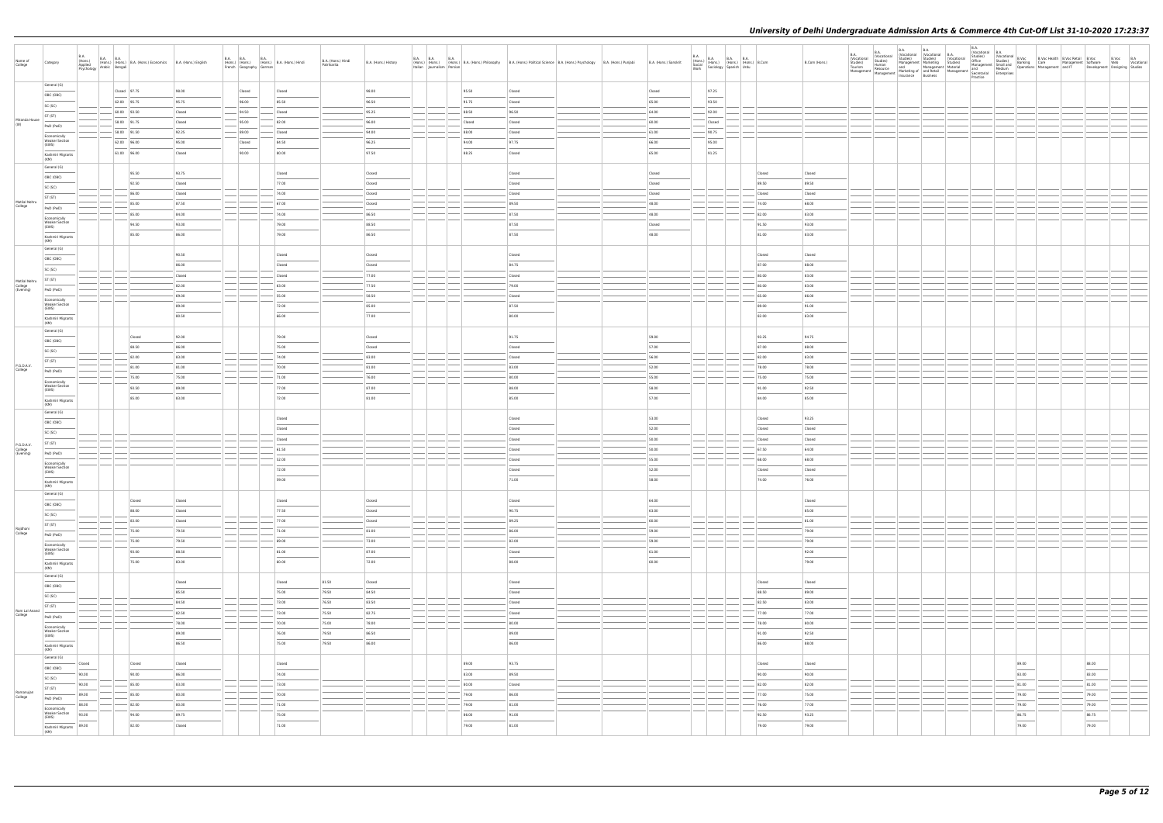| Name of<br>College                    | Category                                       | <b>B.A.</b><br>(Hons.)<br>Applied<br>Psychology | B.A. B.A. (Hons.) B.A. (Hons.) Economics B.A. (Hons.) English<br>Arabic Bengali |                 |                                                                                                                                                                                                                                                                                                                                                                                                                                                                            | French Geography German | B.A. (Hons.) B.A. (Hons.) B.A. (Hons.) Hindi | B.A. (Hons.) Hindi<br>Patrikarita | B.A. (Hons.) History   | Italian Journalism Persian | B.A. B.A. B.A. B.A. B.A. (Hons.) Philosophy | B.A. (Hons.) Political Science B.A. (Hons.) Psychology B.A. (Hons.) Punjabi                                                                                                                                                                                                                                                                                                                                                                                                         | B.A. (Hons.) Sanskrit | <b>B.A.</b><br>Work |        | B.A.<br>(Hons.) B.A. B.A. B.A.<br>Social (Hons.) (Hons.) (Hons.) B.Com<br>Work Sociology Spanish Urdu |                | B.Com (Hons.)   | B.A.<br>(Vocational<br>Studies)<br>Tourism<br>Management |  |  |                                            |                                            |  |
|---------------------------------------|------------------------------------------------|-------------------------------------------------|---------------------------------------------------------------------------------|-----------------|----------------------------------------------------------------------------------------------------------------------------------------------------------------------------------------------------------------------------------------------------------------------------------------------------------------------------------------------------------------------------------------------------------------------------------------------------------------------------|-------------------------|----------------------------------------------|-----------------------------------|------------------------|----------------------------|---------------------------------------------|-------------------------------------------------------------------------------------------------------------------------------------------------------------------------------------------------------------------------------------------------------------------------------------------------------------------------------------------------------------------------------------------------------------------------------------------------------------------------------------|-----------------------|---------------------|--------|-------------------------------------------------------------------------------------------------------|----------------|-----------------|----------------------------------------------------------|--|--|--------------------------------------------|--------------------------------------------|--|
|                                       | General (G)                                    |                                                 | $\vert$ Closed $\vert$ 97.75                                                    | 98.00           |                                                                                                                                                                                                                                                                                                                                                                                                                                                                            | Closed                  | Closed                                       |                                   | 98.00                  |                            | 95.50                                       | Closed                                                                                                                                                                                                                                                                                                                                                                                                                                                                              | Closed                |                     | 97.25  |                                                                                                       |                |                 |                                                          |  |  |                                            |                                            |  |
|                                       | OBC (OBC)                                      |                                                 | 62.00 95.75                                                                     | 95.75           |                                                                                                                                                                                                                                                                                                                                                                                                                                                                            | 96.00                   | 85.50                                        |                                   | 96.50                  |                            | 91.75                                       | Closed                                                                                                                                                                                                                                                                                                                                                                                                                                                                              | 65.00                 |                     | 93.50  |                                                                                                       |                |                 |                                                          |  |  |                                            |                                            |  |
|                                       | SC (SC)<br>ST (ST)                             |                                                 | 60.00 93.50                                                                     | Closed          |                                                                                                                                                                                                                                                                                                                                                                                                                                                                            | 94.50                   | Closed                                       |                                   | 95.25                  |                            | 88.50                                       | 96.50                                                                                                                                                                                                                                                                                                                                                                                                                                                                               | $-64.00$              |                     | 92.00  |                                                                                                       |                |                 |                                                          |  |  |                                            |                                            |  |
| Miranda House<br>(W)                  | PwD (PwD)                                      |                                                 | 58.00 91.75                                                                     | Closed          |                                                                                                                                                                                                                                                                                                                                                                                                                                                                            | 95.00                   | 82.00                                        |                                   | 96.00                  |                            | Closed                                      | Closed                                                                                                                                                                                                                                                                                                                                                                                                                                                                              | 60.00                 |                     | Closed |                                                                                                       |                |                 |                                                          |  |  |                                            |                                            |  |
|                                       | Economically                                   |                                                 | 58.00 91.50                                                                     | 92.25           |                                                                                                                                                                                                                                                                                                                                                                                                                                                                            | 89.00                   | Closed                                       |                                   | 94.00                  |                            | 88.00                                       | Closed                                                                                                                                                                                                                                                                                                                                                                                                                                                                              | $-61.00$              |                     | 90.75  |                                                                                                       |                |                 |                                                          |  |  |                                            |                                            |  |
|                                       | <b>Weaker Section</b><br>(EWS)                 |                                                 | 62.00 96.00                                                                     | 95.00           |                                                                                                                                                                                                                                                                                                                                                                                                                                                                            | Closed                  | 84.50                                        |                                   | 96.25                  |                            | 94.00                                       | 97.75                                                                                                                                                                                                                                                                                                                                                                                                                                                                               | 66.00                 |                     | 95.00  |                                                                                                       |                |                 |                                                          |  |  |                                            |                                            |  |
|                                       | Kashmiri Migrants<br>(KM)                      |                                                 | 61.00 96.00                                                                     | Closed          |                                                                                                                                                                                                                                                                                                                                                                                                                                                                            | 90.00                   | 80.00                                        |                                   | 97.50                  |                            | 88.25                                       | Closed                                                                                                                                                                                                                                                                                                                                                                                                                                                                              | 65.00                 |                     | 91.25  |                                                                                                       |                |                 |                                                          |  |  |                                            |                                            |  |
|                                       | General (G)                                    |                                                 | 95.50                                                                           | 93.75           |                                                                                                                                                                                                                                                                                                                                                                                                                                                                            |                         | Closed                                       |                                   | Closed                 |                            |                                             | Closed                                                                                                                                                                                                                                                                                                                                                                                                                                                                              | Closed                |                     |        |                                                                                                       | Closed         | Closed          |                                                          |  |  |                                            |                                            |  |
|                                       | OBC (OBC)<br>SC (SC)                           |                                                 | 92.50                                                                           | Closed          |                                                                                                                                                                                                                                                                                                                                                                                                                                                                            |                         | 77.00                                        |                                   | Closed                 |                            |                                             | Closed                                                                                                                                                                                                                                                                                                                                                                                                                                                                              | Closed                |                     |        |                                                                                                       | 89.50          | 89.50           |                                                          |  |  |                                            |                                            |  |
|                                       | ST (ST)                                        |                                                 | 86.00                                                                           | Closed          |                                                                                                                                                                                                                                                                                                                                                                                                                                                                            |                         | 74.00                                        |                                   | Closed                 |                            |                                             | Closed                                                                                                                                                                                                                                                                                                                                                                                                                                                                              | Closed                |                     |        |                                                                                                       | Closed         | Closed          |                                                          |  |  |                                            |                                            |  |
| Motilal Nehru<br>College              | PwD (PwD)                                      |                                                 | 85.00                                                                           | 87.50           |                                                                                                                                                                                                                                                                                                                                                                                                                                                                            |                         | 67.00                                        |                                   | Closed                 |                            |                                             | 89.50                                                                                                                                                                                                                                                                                                                                                                                                                                                                               | 48.00                 |                     |        |                                                                                                       | 74.00          | 68.00           |                                                          |  |  |                                            |                                            |  |
|                                       | Economically<br><b>Weaker Section</b>          |                                                 | 85.00                                                                           | 84.00           |                                                                                                                                                                                                                                                                                                                                                                                                                                                                            |                         | 74.00                                        |                                   | 86.50                  |                            |                                             | 87.50                                                                                                                                                                                                                                                                                                                                                                                                                                                                               | 48.00                 |                     |        |                                                                                                       | 82.00          | 83.00           |                                                          |  |  |                                            |                                            |  |
|                                       | (EWS)                                          |                                                 | 94.50<br>85.00                                                                  | 93.00<br>86.00  |                                                                                                                                                                                                                                                                                                                                                                                                                                                                            |                         | 79.00<br>79.00                               |                                   | 88.50<br>86.50         |                            |                                             | 87.50<br>87.50                                                                                                                                                                                                                                                                                                                                                                                                                                                                      | Closed<br>48.00       |                     |        |                                                                                                       | 91.50<br>81.00 | 93.00<br>83.00  |                                                          |  |  |                                            |                                            |  |
|                                       | Kashmiri Migrants<br>(KM)                      |                                                 |                                                                                 |                 |                                                                                                                                                                                                                                                                                                                                                                                                                                                                            |                         |                                              |                                   |                        |                            |                                             |                                                                                                                                                                                                                                                                                                                                                                                                                                                                                     |                       |                     |        |                                                                                                       |                |                 |                                                          |  |  |                                            |                                            |  |
|                                       | General (G)                                    |                                                 |                                                                                 | 90.50           |                                                                                                                                                                                                                                                                                                                                                                                                                                                                            |                         | Closed                                       |                                   | Closed                 |                            |                                             | Closed                                                                                                                                                                                                                                                                                                                                                                                                                                                                              |                       |                     |        |                                                                                                       | Closed         | Closed          |                                                          |  |  |                                            |                                            |  |
|                                       | OBC (OBC)<br>SC (SC)                           |                                                 |                                                                                 | 86.00           |                                                                                                                                                                                                                                                                                                                                                                                                                                                                            |                         | Closed                                       |                                   | Closed                 |                            |                                             | 84.75                                                                                                                                                                                                                                                                                                                                                                                                                                                                               |                       |                     |        |                                                                                                       | 87.00          | 88.00           |                                                          |  |  |                                            |                                            |  |
|                                       | ST (ST)                                        |                                                 |                                                                                 | Closed          |                                                                                                                                                                                                                                                                                                                                                                                                                                                                            |                         | Closed                                       |                                   | 77.00                  |                            |                                             | Closed                                                                                                                                                                                                                                                                                                                                                                                                                                                                              |                       |                     |        |                                                                                                       | 80.00          | 83.00           |                                                          |  |  |                                            |                                            |  |
| Motilal Nehru<br>College<br>(Evening) | PwD (PwD)                                      |                                                 |                                                                                 | 82.00           | <b>STATE</b>                                                                                                                                                                                                                                                                                                                                                                                                                                                               |                         | 63.00                                        |                                   | 77.50                  |                            |                                             | 79.00                                                                                                                                                                                                                                                                                                                                                                                                                                                                               |                       |                     |        |                                                                                                       | 80.00          | 83.00           |                                                          |  |  |                                            |                                            |  |
|                                       | Economically<br><b>Weaker Section</b>          |                                                 |                                                                                 | 69.00           |                                                                                                                                                                                                                                                                                                                                                                                                                                                                            |                         | 55.00                                        |                                   | 58.50                  |                            |                                             | Closed                                                                                                                                                                                                                                                                                                                                                                                                                                                                              |                       |                     |        |                                                                                                       | 65.00          | 66.00           |                                                          |  |  |                                            |                                            |  |
|                                       | (EWS)                                          |                                                 |                                                                                 | 89.00<br>80.50  |                                                                                                                                                                                                                                                                                                                                                                                                                                                                            |                         | 72.00<br>66.00                               |                                   | 85.00<br>77.00         |                            |                                             | 87.50<br>80.00                                                                                                                                                                                                                                                                                                                                                                                                                                                                      |                       |                     |        |                                                                                                       | 89.00<br>82.00 | 91.00<br>83.00  |                                                          |  |  |                                            |                                            |  |
|                                       | Kashmiri Migrants<br>(KM)                      |                                                 |                                                                                 |                 |                                                                                                                                                                                                                                                                                                                                                                                                                                                                            |                         |                                              |                                   |                        |                            |                                             |                                                                                                                                                                                                                                                                                                                                                                                                                                                                                     |                       |                     |        |                                                                                                       |                |                 |                                                          |  |  |                                            |                                            |  |
|                                       | General (G)<br>OBC (OBC)                       |                                                 | Closed                                                                          | 92.00           |                                                                                                                                                                                                                                                                                                                                                                                                                                                                            |                         | 79.00                                        |                                   | Closed                 |                            |                                             | 91.75                                                                                                                                                                                                                                                                                                                                                                                                                                                                               | 59.00                 |                     |        |                                                                                                       | 93.25          | 94.75           |                                                          |  |  |                                            |                                            |  |
|                                       | SC (SC)                                        |                                                 | 88.50                                                                           | 86.00           |                                                                                                                                                                                                                                                                                                                                                                                                                                                                            |                         | 75.00                                        |                                   | Closed                 |                            |                                             | Closed                                                                                                                                                                                                                                                                                                                                                                                                                                                                              | 57.00                 |                     |        |                                                                                                       | 87.00          | 88.00           |                                                          |  |  |                                            |                                            |  |
|                                       | ST (ST)                                        |                                                 | 82.00                                                                           | 83.00           |                                                                                                                                                                                                                                                                                                                                                                                                                                                                            |                         | 74.00                                        |                                   | 83.00                  |                            |                                             | Closed                                                                                                                                                                                                                                                                                                                                                                                                                                                                              | 56.00                 |                     |        |                                                                                                       | 82.00          | 83.00           |                                                          |  |  |                                            |                                            |  |
| P.G.D.A.V.<br>College                 | PwD (PwD)                                      |                                                 | 81.00                                                                           | 81.00           |                                                                                                                                                                                                                                                                                                                                                                                                                                                                            |                         | 70.00                                        |                                   | 81.00                  |                            |                                             | 83.00                                                                                                                                                                                                                                                                                                                                                                                                                                                                               | 52.00                 |                     |        |                                                                                                       | 78.00          | 78.00           |                                                          |  |  |                                            |                                            |  |
|                                       | Economically<br><b>Weaker Section</b>          |                                                 | 75.00<br>93.50                                                                  | 75.00<br>89.00  |                                                                                                                                                                                                                                                                                                                                                                                                                                                                            |                         | 71.00<br>77.00                               |                                   | 76.00<br>87.00         |                            |                                             | 80.00<br>88.00                                                                                                                                                                                                                                                                                                                                                                                                                                                                      | $-$ 55.00<br>58.00    |                     |        |                                                                                                       | 75.00<br>91.00 | 75.00<br>92.50  |                                                          |  |  |                                            |                                            |  |
|                                       | (EWS)<br>Kashmiri Migrants                     |                                                 | 85.00                                                                           | 83.00           |                                                                                                                                                                                                                                                                                                                                                                                                                                                                            |                         | 72.00                                        |                                   | 81.00                  |                            |                                             | 85.00                                                                                                                                                                                                                                                                                                                                                                                                                                                                               | 57.00                 |                     |        |                                                                                                       | 84.00          | 85.00           |                                                          |  |  |                                            |                                            |  |
|                                       | (KM)<br>General (G)                            |                                                 |                                                                                 |                 |                                                                                                                                                                                                                                                                                                                                                                                                                                                                            |                         |                                              |                                   |                        |                            |                                             |                                                                                                                                                                                                                                                                                                                                                                                                                                                                                     |                       |                     |        |                                                                                                       |                |                 |                                                          |  |  |                                            |                                            |  |
|                                       | OBC (OBC)                                      |                                                 |                                                                                 |                 |                                                                                                                                                                                                                                                                                                                                                                                                                                                                            |                         | Closed                                       |                                   |                        |                            |                                             | Closed                                                                                                                                                                                                                                                                                                                                                                                                                                                                              | 53.00                 |                     |        |                                                                                                       | Closed         | 93.25           |                                                          |  |  |                                            |                                            |  |
|                                       | SC (SC)                                        |                                                 |                                                                                 |                 |                                                                                                                                                                                                                                                                                                                                                                                                                                                                            |                         | Closed                                       |                                   |                        |                            |                                             | Closed                                                                                                                                                                                                                                                                                                                                                                                                                                                                              | 52.00                 |                     |        |                                                                                                       | Closed         | Closed          |                                                          |  |  |                                            |                                            |  |
| P.G.D.A.V.                            | ST (ST)                                        |                                                 |                                                                                 |                 |                                                                                                                                                                                                                                                                                                                                                                                                                                                                            |                         | Closed                                       |                                   |                        |                            |                                             | Closed                                                                                                                                                                                                                                                                                                                                                                                                                                                                              | 50.00                 |                     |        |                                                                                                       | Closed         | Closed          |                                                          |  |  |                                            |                                            |  |
| College<br>(Evening)                  | PwD (PwD)                                      |                                                 |                                                                                 |                 |                                                                                                                                                                                                                                                                                                                                                                                                                                                                            |                         | 61.50<br>52.00                               |                                   |                        |                            |                                             | Closed<br>Closed                                                                                                                                                                                                                                                                                                                                                                                                                                                                    | 50.00<br>55.00        |                     |        |                                                                                                       | 67.50<br>68.00 | 64.00<br>68.00  |                                                          |  |  |                                            |                                            |  |
|                                       | Economically<br><b>Weaker Section</b><br>(EWS) |                                                 |                                                                                 |                 |                                                                                                                                                                                                                                                                                                                                                                                                                                                                            |                         | 72.00                                        |                                   |                        |                            |                                             | Closed                                                                                                                                                                                                                                                                                                                                                                                                                                                                              | 52.00                 |                     |        |                                                                                                       | Closed         | Closed          |                                                          |  |  |                                            |                                            |  |
|                                       | Kashmiri Migrants                              |                                                 |                                                                                 |                 |                                                                                                                                                                                                                                                                                                                                                                                                                                                                            |                         | 59.00                                        |                                   |                        |                            |                                             | 71.00                                                                                                                                                                                                                                                                                                                                                                                                                                                                               | 58.00                 |                     |        |                                                                                                       | 74.00          | 76.00           |                                                          |  |  |                                            |                                            |  |
|                                       | (KM)<br>General (G)                            |                                                 |                                                                                 |                 |                                                                                                                                                                                                                                                                                                                                                                                                                                                                            |                         |                                              |                                   |                        |                            |                                             |                                                                                                                                                                                                                                                                                                                                                                                                                                                                                     |                       |                     |        |                                                                                                       |                |                 |                                                          |  |  |                                            |                                            |  |
|                                       | OBC (OBC)                                      |                                                 | Closed                                                                          | Closed          |                                                                                                                                                                                                                                                                                                                                                                                                                                                                            |                         | Closed                                       |                                   | Closed                 |                            |                                             | Closed                                                                                                                                                                                                                                                                                                                                                                                                                                                                              | 64.00                 |                     |        |                                                                                                       |                | Closed          |                                                          |  |  |                                            |                                            |  |
|                                       | SC (SC)                                        |                                                 | 88.00                                                                           | Closed          |                                                                                                                                                                                                                                                                                                                                                                                                                                                                            |                         | 77.50                                        |                                   | Closed                 |                            |                                             | 90.75                                                                                                                                                                                                                                                                                                                                                                                                                                                                               | 63.00                 |                     |        |                                                                                                       |                | 85.00           |                                                          |  |  |                                            |                                            |  |
| Rajdhani                              | ST (ST)                                        |                                                 | 83.00<br>75.00                                                                  | Closed<br>79.50 | $\overline{\phantom{a}}$                                                                                                                                                                                                                                                                                                                                                                                                                                                   |                         | 77.00<br>71.00                               |                                   | Closed<br>81.00        |                            |                                             | 89.25<br>86.00                                                                                                                                                                                                                                                                                                                                                                                                                                                                      | 60.00<br>59.00        |                     |        |                                                                                                       |                | 81.00 <br>79.00 |                                                          |  |  |                                            |                                            |  |
| College                               | PwD (PwD)                                      |                                                 | 75.00                                                                           | 79.50           | $\overline{\phantom{a}}$                                                                                                                                                                                                                                                                                                                                                                                                                                                   |                         | $-69.00$                                     |                                   | 73.00                  |                            |                                             | 82.00                                                                                                                                                                                                                                                                                                                                                                                                                                                                               | 59.00                 |                     |        |                                                                                                       |                | 79.00           |                                                          |  |  |                                            |                                            |  |
|                                       | Economically<br><b>Weaker Section</b><br>(EWS) |                                                 | 93.00                                                                           | 88.50           |                                                                                                                                                                                                                                                                                                                                                                                                                                                                            |                         | 81.00                                        |                                   | 87.00                  |                            |                                             | Closed                                                                                                                                                                                                                                                                                                                                                                                                                                                                              | 61.00                 |                     |        |                                                                                                       |                | 92.00           |                                                          |  |  |                                            |                                            |  |
|                                       | Kashmiri Migrants<br>(KM)                      |                                                 | 75.00                                                                           | 83.00           |                                                                                                                                                                                                                                                                                                                                                                                                                                                                            |                         | 60.00                                        |                                   | $\frac{1}{2}$<br>72.00 |                            |                                             | $\frac{1}{2} \left( \frac{1}{2} \right) \left( \frac{1}{2} \right) \left( \frac{1}{2} \right) \left( \frac{1}{2} \right) \left( \frac{1}{2} \right) \left( \frac{1}{2} \right) \left( \frac{1}{2} \right) \left( \frac{1}{2} \right) \left( \frac{1}{2} \right) \left( \frac{1}{2} \right) \left( \frac{1}{2} \right) \left( \frac{1}{2} \right) \left( \frac{1}{2} \right) \left( \frac{1}{2} \right) \left( \frac{1}{2} \right) \left( \frac{1}{2} \right) \left( \frac$<br>88.00 | $\sim$<br>60.00       |                     |        |                                                                                                       |                | 79.00           |                                                          |  |  |                                            |                                            |  |
|                                       | General (G)                                    |                                                 |                                                                                 |                 |                                                                                                                                                                                                                                                                                                                                                                                                                                                                            |                         |                                              |                                   |                        |                            |                                             |                                                                                                                                                                                                                                                                                                                                                                                                                                                                                     |                       |                     |        |                                                                                                       |                |                 |                                                          |  |  |                                            |                                            |  |
|                                       | OBC (OBC)                                      |                                                 |                                                                                 | Closed          |                                                                                                                                                                                                                                                                                                                                                                                                                                                                            |                         | Closed                                       | 81.50                             | Closed                 |                            |                                             | Closed                                                                                                                                                                                                                                                                                                                                                                                                                                                                              |                       |                     |        |                                                                                                       | Closed         | Closed          |                                                          |  |  |                                            |                                            |  |
|                                       | SC (SC)                                        |                                                 |                                                                                 | 85.50<br>84.50  |                                                                                                                                                                                                                                                                                                                                                                                                                                                                            |                         | 75.00<br>73.00                               | 79.50<br>76.50                    | 84.50<br>83.50         |                            |                                             | Closed<br>Closed                                                                                                                                                                                                                                                                                                                                                                                                                                                                    |                       |                     |        |                                                                                                       | 88.50<br>82.50 | 89.00<br>83.00  |                                                          |  |  |                                            |                                            |  |
| Ram Lal Anand<br>College              | ST (ST)                                        |                                                 |                                                                                 | 82.50           | $\frac{1}{2} \left( \frac{1}{2} \right) \left( \frac{1}{2} \right) \left( \frac{1}{2} \right) \left( \frac{1}{2} \right) \left( \frac{1}{2} \right) \left( \frac{1}{2} \right) \left( \frac{1}{2} \right) \left( \frac{1}{2} \right) \left( \frac{1}{2} \right) \left( \frac{1}{2} \right) \left( \frac{1}{2} \right) \left( \frac{1}{2} \right) \left( \frac{1}{2} \right) \left( \frac{1}{2} \right) \left( \frac{1}{2} \right) \left( \frac{1}{2} \right) \left( \frac$ |                         | 73.00                                        | 75.50                             | 82.75                  |                            |                                             | $\vert$ Closed                                                                                                                                                                                                                                                                                                                                                                                                                                                                      |                       |                     |        |                                                                                                       | 77.00          | 77.00           |                                                          |  |  |                                            |                                            |  |
|                                       | PwD (PwD)<br>Economically                      |                                                 |                                                                                 | 78.00           | $\frac{1}{2} \left( \frac{1}{2} \right) \left( \frac{1}{2} \right) \left( \frac{1}{2} \right) \left( \frac{1}{2} \right) \left( \frac{1}{2} \right) \left( \frac{1}{2} \right) \left( \frac{1}{2} \right) \left( \frac{1}{2} \right) \left( \frac{1}{2} \right) \left( \frac{1}{2} \right) \left( \frac{1}{2} \right) \left( \frac{1}{2} \right) \left( \frac{1}{2} \right) \left( \frac{1}{2} \right) \left( \frac{1}{2} \right) \left( \frac{1}{2} \right) \left( \frac$ |                         | 70.00                                        | 75.00                             | 78.00                  |                            |                                             | 80.00                                                                                                                                                                                                                                                                                                                                                                                                                                                                               |                       |                     |        |                                                                                                       | 78.00          | 80.00           |                                                          |  |  |                                            |                                            |  |
|                                       | <b>Weaker Section</b><br>(EWS)                 |                                                 |                                                                                 | 89.00           |                                                                                                                                                                                                                                                                                                                                                                                                                                                                            |                         | 76.00                                        | 79.50                             | 86.50                  |                            |                                             | 89.00                                                                                                                                                                                                                                                                                                                                                                                                                                                                               |                       |                     |        |                                                                                                       | 91.00          | 92.50           |                                                          |  |  |                                            |                                            |  |
|                                       | Kashmiri Migrants<br>(KM)                      |                                                 |                                                                                 | 86.50           |                                                                                                                                                                                                                                                                                                                                                                                                                                                                            |                         | 75.00                                        | 79.50                             | 86.00                  |                            |                                             | 86.00                                                                                                                                                                                                                                                                                                                                                                                                                                                                               |                       |                     |        |                                                                                                       | 86.00          | 88.00           |                                                          |  |  |                                            |                                            |  |
|                                       | General (G)                                    |                                                 |                                                                                 |                 |                                                                                                                                                                                                                                                                                                                                                                                                                                                                            |                         |                                              |                                   |                        |                            |                                             |                                                                                                                                                                                                                                                                                                                                                                                                                                                                                     |                       |                     |        |                                                                                                       |                |                 |                                                          |  |  |                                            |                                            |  |
|                                       | OBC (OBC)                                      | Closed<br>__                                    | Closed                                                                          | Closed          |                                                                                                                                                                                                                                                                                                                                                                                                                                                                            |                         | Closed                                       |                                   |                        |                            | 89.00                                       | 93.75                                                                                                                                                                                                                                                                                                                                                                                                                                                                               |                       |                     |        |                                                                                                       | Closed         | Closed          |                                                          |  |  | 89.00<br>$\overline{\phantom{a}}$<br>83.00 | 88.00<br>$\overline{\phantom{a}}$<br>83.00 |  |
|                                       | SC (SC)                                        | 90.00<br>90.00                                  | 90.00<br>85.00                                                                  | 86.00<br>83.00  |                                                                                                                                                                                                                                                                                                                                                                                                                                                                            |                         | 74.00<br>73.00                               |                                   |                        |                            | 83.00<br>80.00                              | 89.50<br>Closed                                                                                                                                                                                                                                                                                                                                                                                                                                                                     |                       |                     |        |                                                                                                       | 90.00<br>82.00 | 90.00<br>82.00  |                                                          |  |  | 81.00                                      | 81.00                                      |  |
| Ramanujan<br>College                  | ST (ST)                                        | 89.00                                           | 85.00                                                                           | 80.00           | $\overline{\phantom{m}}$                                                                                                                                                                                                                                                                                                                                                                                                                                                   |                         | 70.00                                        |                                   |                        |                            | 79.00                                       | 86.00                                                                                                                                                                                                                                                                                                                                                                                                                                                                               |                       |                     |        |                                                                                                       | 77.00          | 75.00           |                                                          |  |  | 79.00                                      | 79.00                                      |  |
|                                       | PwD (PwD)<br>Economically                      | 88.00                                           | 82.00                                                                           | 80.00           | $\overline{\phantom{m}}$                                                                                                                                                                                                                                                                                                                                                                                                                                                   |                         | 71.00                                        |                                   |                        |                            | 79.00                                       | 81.00                                                                                                                                                                                                                                                                                                                                                                                                                                                                               |                       |                     |        |                                                                                                       | 76.00          | 77.00           |                                                          |  |  | 79.00                                      | 79.00                                      |  |
|                                       | <b>Weaker Section</b><br>(EWS)                 | 93.00                                           | 94.00                                                                           | 89.75           |                                                                                                                                                                                                                                                                                                                                                                                                                                                                            |                         | 75.00                                        |                                   |                        |                            | 86.00                                       | 91.00                                                                                                                                                                                                                                                                                                                                                                                                                                                                               |                       |                     |        |                                                                                                       | 92.50          | 93.25           |                                                          |  |  | 86.75                                      | 86.75                                      |  |
|                                       | Kashmiri Migrants<br>(KM)                      | 89.00                                           | 82.00                                                                           | Closed          |                                                                                                                                                                                                                                                                                                                                                                                                                                                                            |                         | 71.00                                        |                                   |                        |                            | 79.00                                       | 81.00                                                                                                                                                                                                                                                                                                                                                                                                                                                                               |                       |                     |        |                                                                                                       | 79.00          | 79.00           |                                                          |  |  | 79.00                                      | $\frac{1}{79.00}$                          |  |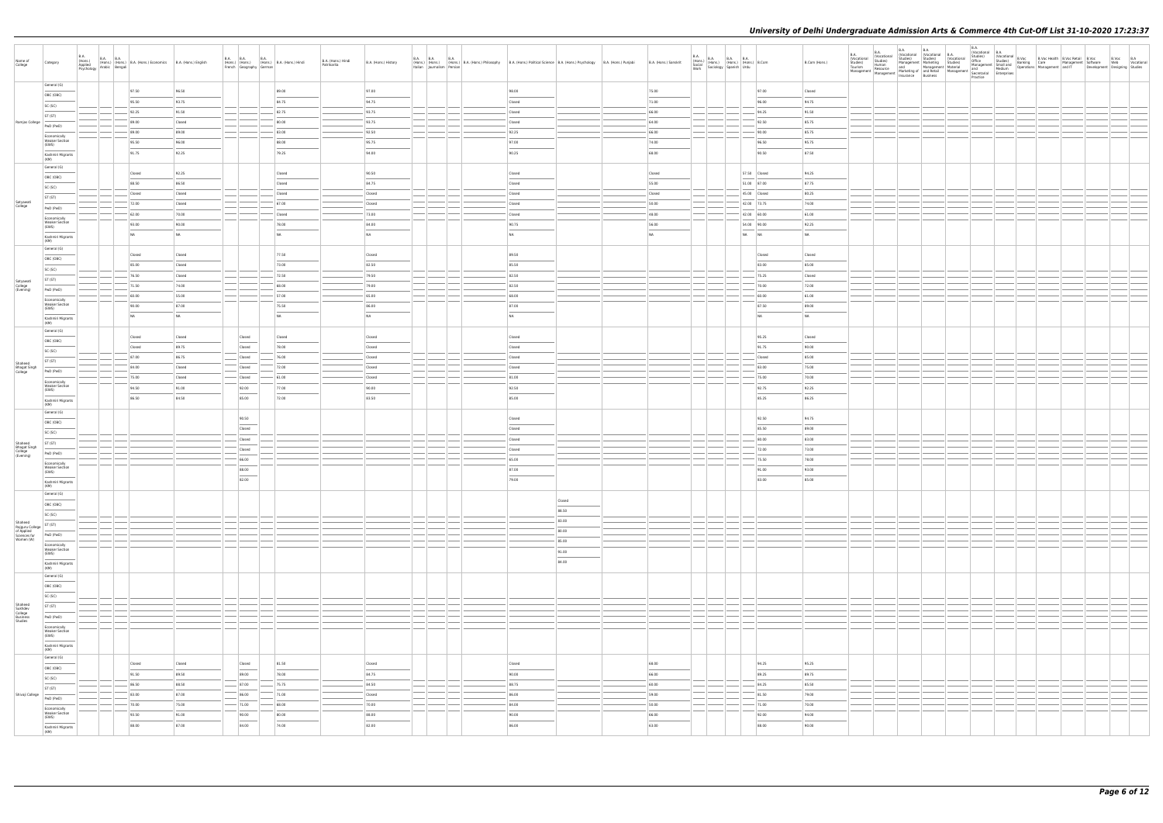| Name of<br>College                                   | Category                                                                                                                                                                                                                                                                                                                                                                                                                                                                                                | B.A.<br>(Hons.)<br>Applied | B.A. (Hons.) B.A. B.A. (Hons.) B.A. (Hons.) Economics B.A. (Hons.) English Asychology Arabic Bengali |                  | <b>B.A. B.A.</b><br>French Geography German | <b>B.A.</b><br>(Hons.) (Hons.) (Hons.) B.A. (Hons.) Hindi | B.A. (Hons.) Hindi<br>Patrikarita | B.A. (Hons.) History              | <b>B.A. B.A. B.A.</b> | (Hons.) (Hons.) B.A. (Hons.) Philosophy B.A. (Hons.) Political Science B.A. (Hons.) Psychology B.A. (Hons.) Punjabi<br>Italian Journalism Persian |        | B.A. (Hons.) Sanskrit             |                          | $\begin{tabular}{ l l l l } \hline B.A. & B.A. & B.A. & B.A. \\ (Hons.) & (Hons.) & (Hons.) & (Hons.) & B. Com \\ & Social & Sociology & Spanish & Urdu \\ \hline \end{tabular}$ | B.Com (Hons.)  | B.A.<br>(Vocational<br>Studies)<br>Tourism<br>Management | <b>B.A.</b><br>(Vocational<br>Studies)<br>Human | <b>B.A.</b><br><b>B.A.</b><br>(Vocational (Vocational B.A.<br>Studies) Studies (Vocational<br>Studies)<br>Human and Management Marketing Studies)<br>Human Management Marketing Studies<br>Management Marketing and Medium<br>Management Marketing and Medium<br>Management Marketing and Medium<br>Management Insurance Business<br>Pract | <b>B.A.</b><br>Practice |  |  |
|------------------------------------------------------|---------------------------------------------------------------------------------------------------------------------------------------------------------------------------------------------------------------------------------------------------------------------------------------------------------------------------------------------------------------------------------------------------------------------------------------------------------------------------------------------------------|----------------------------|------------------------------------------------------------------------------------------------------|------------------|---------------------------------------------|-----------------------------------------------------------|-----------------------------------|-----------------------------------|-----------------------|---------------------------------------------------------------------------------------------------------------------------------------------------|--------|-----------------------------------|--------------------------|----------------------------------------------------------------------------------------------------------------------------------------------------------------------------------|----------------|----------------------------------------------------------|-------------------------------------------------|--------------------------------------------------------------------------------------------------------------------------------------------------------------------------------------------------------------------------------------------------------------------------------------------------------------------------------------------|-------------------------|--|--|
|                                                      | General (G)                                                                                                                                                                                                                                                                                                                                                                                                                                                                                             |                            | 97.50                                                                                                | 96.50            |                                             | 89.00                                                     |                                   | 97.00                             |                       | 98.00                                                                                                                                             |        | 75.00                             |                          | 97.00                                                                                                                                                                            | Closed         |                                                          |                                                 |                                                                                                                                                                                                                                                                                                                                            |                         |  |  |
|                                                      | OBC (OBC)                                                                                                                                                                                                                                                                                                                                                                                                                                                                                               |                            | 95.50                                                                                                | 93.75            |                                             | 84.75                                                     |                                   | 94.75                             |                       | Closed                                                                                                                                            |        | 71.00                             |                          | 96.00                                                                                                                                                                            | 94.75          |                                                          |                                                 |                                                                                                                                                                                                                                                                                                                                            |                         |  |  |
|                                                      | SC (SC)<br>ST (ST)                                                                                                                                                                                                                                                                                                                                                                                                                                                                                      |                            | 92.25                                                                                                | 91.50            |                                             | 82.75                                                     |                                   | 93.75                             |                       | Closed                                                                                                                                            |        | 66.00                             |                          | 94.25                                                                                                                                                                            | 91.50          |                                                          |                                                 |                                                                                                                                                                                                                                                                                                                                            |                         |  |  |
| Ramjas College                                       | PwD (PwD)                                                                                                                                                                                                                                                                                                                                                                                                                                                                                               |                            | 89.00                                                                                                | Closed           |                                             | 80.00                                                     |                                   | 93.75                             |                       | Closed                                                                                                                                            |        | 64.00                             |                          | 92.50                                                                                                                                                                            | 85.75          |                                                          |                                                 |                                                                                                                                                                                                                                                                                                                                            |                         |  |  |
|                                                      | Economically                                                                                                                                                                                                                                                                                                                                                                                                                                                                                            |                            | 89.00                                                                                                | 89.00            |                                             | 83.00                                                     |                                   | 92.50                             |                       | 92.25                                                                                                                                             |        | 66.00                             |                          | 90.00                                                                                                                                                                            | 85.75          |                                                          |                                                 |                                                                                                                                                                                                                                                                                                                                            |                         |  |  |
|                                                      | <b>Weaker Section</b><br>(EWS)                                                                                                                                                                                                                                                                                                                                                                                                                                                                          |                            | 95.50                                                                                                | 96.00            |                                             | 88.00                                                     |                                   | 95.75                             |                       | 97.00                                                                                                                                             |        | 74.00                             |                          | 96.50                                                                                                                                                                            | 95.75          |                                                          |                                                 |                                                                                                                                                                                                                                                                                                                                            |                         |  |  |
|                                                      | Kashmiri Migrants<br>(KM)                                                                                                                                                                                                                                                                                                                                                                                                                                                                               |                            | 91.75                                                                                                | 92.25            |                                             | 79.25                                                     |                                   | 94.00                             |                       | 90.25                                                                                                                                             |        | 68.00                             |                          | 90.50                                                                                                                                                                            | 87.50          |                                                          |                                                 |                                                                                                                                                                                                                                                                                                                                            |                         |  |  |
|                                                      | General (G)                                                                                                                                                                                                                                                                                                                                                                                                                                                                                             |                            |                                                                                                      |                  |                                             |                                                           |                                   |                                   |                       |                                                                                                                                                   |        |                                   |                          |                                                                                                                                                                                  |                |                                                          |                                                 |                                                                                                                                                                                                                                                                                                                                            |                         |  |  |
|                                                      | OBC (OBC)                                                                                                                                                                                                                                                                                                                                                                                                                                                                                               |                            | Closed                                                                                               | 92.25            |                                             | Closed                                                    |                                   | 90.50                             |                       | Closed                                                                                                                                            |        | Closed                            |                          | 57.50 Closed                                                                                                                                                                     | 94.25          |                                                          |                                                 |                                                                                                                                                                                                                                                                                                                                            |                         |  |  |
|                                                      | SC (SC)                                                                                                                                                                                                                                                                                                                                                                                                                                                                                                 |                            | 88.50                                                                                                | 86.50            |                                             | Closed                                                    |                                   | 84.75                             |                       | Closed                                                                                                                                            |        | 55.00                             |                          | 51.00 87.00                                                                                                                                                                      | 87.75          |                                                          |                                                 |                                                                                                                                                                                                                                                                                                                                            |                         |  |  |
| Satyawati                                            | ST (ST)                                                                                                                                                                                                                                                                                                                                                                                                                                                                                                 |                            | Closed<br>72.00                                                                                      | Closed<br>Closed |                                             | Closed<br>67.00                                           |                                   | Closed<br>Closed                  |                       | Closed<br>Closed                                                                                                                                  |        | Closed<br>50.00                   |                          | 45.00 Closed<br>42.00 73.75                                                                                                                                                      | 80.25<br>74.00 |                                                          |                                                 |                                                                                                                                                                                                                                                                                                                                            |                         |  |  |
| College                                              | PwD (PwD)                                                                                                                                                                                                                                                                                                                                                                                                                                                                                               |                            | 62.00                                                                                                | 70.00            |                                             | Closed                                                    |                                   | 73.00                             |                       | Closed                                                                                                                                            |        | 48.00                             |                          | 42.00 60.00                                                                                                                                                                      | 61.00          |                                                          |                                                 |                                                                                                                                                                                                                                                                                                                                            |                         |  |  |
|                                                      | Economically<br><b>Weaker Section</b>                                                                                                                                                                                                                                                                                                                                                                                                                                                                   |                            | 93.00                                                                                                | 90.00            |                                             | 78.00                                                     |                                   | 84.00                             |                       | 90.75                                                                                                                                             |        | 56.00                             |                          | 54.00 90.00                                                                                                                                                                      | 92.25          |                                                          |                                                 |                                                                                                                                                                                                                                                                                                                                            |                         |  |  |
|                                                      | (EWS)<br>Kashmiri Migrants                                                                                                                                                                                                                                                                                                                                                                                                                                                                              |                            | NA                                                                                                   | NA               |                                             | NA                                                        |                                   | NA                                |                       | <b>NA</b>                                                                                                                                         |        | NA                                |                          | NA NA                                                                                                                                                                            | NA             |                                                          |                                                 |                                                                                                                                                                                                                                                                                                                                            |                         |  |  |
|                                                      | (KM)                                                                                                                                                                                                                                                                                                                                                                                                                                                                                                    |                            |                                                                                                      |                  |                                             |                                                           |                                   |                                   |                       |                                                                                                                                                   |        |                                   |                          |                                                                                                                                                                                  |                |                                                          |                                                 |                                                                                                                                                                                                                                                                                                                                            |                         |  |  |
|                                                      | General (G)                                                                                                                                                                                                                                                                                                                                                                                                                                                                                             |                            | Closed                                                                                               | Closed           |                                             | 77.50                                                     |                                   | Closed                            |                       | 89.50                                                                                                                                             |        |                                   |                          | Closed                                                                                                                                                                           | Closed         |                                                          |                                                 |                                                                                                                                                                                                                                                                                                                                            |                         |  |  |
|                                                      | OBC (OBC)<br>SC (SC)                                                                                                                                                                                                                                                                                                                                                                                                                                                                                    |                            | 85.00                                                                                                | Closed           |                                             | 73.00                                                     |                                   | 82.50                             |                       | 85.50                                                                                                                                             |        |                                   |                          | 83.00                                                                                                                                                                            | 85.00          |                                                          |                                                 |                                                                                                                                                                                                                                                                                                                                            |                         |  |  |
|                                                      | ST (ST)                                                                                                                                                                                                                                                                                                                                                                                                                                                                                                 |                            | 76.50                                                                                                | Closed           |                                             | 72.50                                                     |                                   | 79.50                             |                       | 82.50                                                                                                                                             |        |                                   |                          | 75.25                                                                                                                                                                            | Closed         |                                                          |                                                 |                                                                                                                                                                                                                                                                                                                                            |                         |  |  |
| Satyawati<br>College<br>(Evening)                    | PwD (PwD)                                                                                                                                                                                                                                                                                                                                                                                                                                                                                               |                            | 71.50                                                                                                | 74.00            |                                             | 68.00                                                     |                                   | 79.00                             |                       | 82.50                                                                                                                                             |        |                                   |                          | 70.00                                                                                                                                                                            | 72.00          |                                                          |                                                 |                                                                                                                                                                                                                                                                                                                                            |                         |  |  |
|                                                      | Economically                                                                                                                                                                                                                                                                                                                                                                                                                                                                                            |                            | 60.00                                                                                                | 55.00            |                                             | 57.00                                                     |                                   | 65.00                             |                       | 68.00                                                                                                                                             |        |                                   |                          | 60.00                                                                                                                                                                            | 61.00          |                                                          |                                                 |                                                                                                                                                                                                                                                                                                                                            |                         |  |  |
|                                                      | <b>Weaker Section</b><br>(EWS)                                                                                                                                                                                                                                                                                                                                                                                                                                                                          |                            | 90.00                                                                                                | 87.00            |                                             | 75.50                                                     |                                   | 86.00                             |                       | 87.00                                                                                                                                             |        |                                   |                          | 87.50                                                                                                                                                                            | 89.00          |                                                          |                                                 |                                                                                                                                                                                                                                                                                                                                            |                         |  |  |
|                                                      | Kashmiri Migrants<br>(KM)                                                                                                                                                                                                                                                                                                                                                                                                                                                                               |                            | NA                                                                                                   | <b>NA</b>        |                                             | NA                                                        |                                   | NA                                |                       | <b>NA</b>                                                                                                                                         |        |                                   |                          | NA                                                                                                                                                                               | NA             |                                                          |                                                 |                                                                                                                                                                                                                                                                                                                                            |                         |  |  |
|                                                      | General (G)                                                                                                                                                                                                                                                                                                                                                                                                                                                                                             |                            |                                                                                                      |                  |                                             |                                                           |                                   |                                   |                       |                                                                                                                                                   |        |                                   |                          |                                                                                                                                                                                  |                |                                                          |                                                 |                                                                                                                                                                                                                                                                                                                                            |                         |  |  |
|                                                      | OBC (OBC)                                                                                                                                                                                                                                                                                                                                                                                                                                                                                               |                            | Closed                                                                                               | Closed           | Closed                                      | Closed                                                    |                                   | Closed                            |                       | Closed                                                                                                                                            |        |                                   |                          | 95.25                                                                                                                                                                            | Closed         |                                                          |                                                 |                                                                                                                                                                                                                                                                                                                                            |                         |  |  |
|                                                      | SC (SC)                                                                                                                                                                                                                                                                                                                                                                                                                                                                                                 |                            | Closed<br>87.00                                                                                      | 89.75<br>86.75   | Closed<br>Closed                            | 78.00<br>76.00                                            |                                   | Closed<br>Closed                  |                       | Closed<br>Closed                                                                                                                                  |        |                                   |                          | 91.75<br>Closed                                                                                                                                                                  | 90.00<br>85.00 |                                                          |                                                 |                                                                                                                                                                                                                                                                                                                                            |                         |  |  |
| Shaheed                                              | ST (ST)                                                                                                                                                                                                                                                                                                                                                                                                                                                                                                 |                            | 84.00                                                                                                | Closed           | Closed                                      | 72.00                                                     |                                   | Closed                            |                       | Closed                                                                                                                                            |        |                                   |                          | 83.00                                                                                                                                                                            | 75.00          |                                                          |                                                 |                                                                                                                                                                                                                                                                                                                                            |                         |  |  |
| Bhagat Singh<br>College                              | PwD (PwD)                                                                                                                                                                                                                                                                                                                                                                                                                                                                                               |                            | 75.00                                                                                                | Closed           | $-$ Closed                                  | $-61.00$                                                  |                                   | Closed                            |                       | 81.00                                                                                                                                             |        |                                   |                          | 75.00                                                                                                                                                                            | 70.00          |                                                          |                                                 |                                                                                                                                                                                                                                                                                                                                            |                         |  |  |
|                                                      | Economically<br><b>Weaker Section</b><br>(EWS)                                                                                                                                                                                                                                                                                                                                                                                                                                                          |                            | 94.50                                                                                                | 91.00            | 92.00                                       | 77.00                                                     |                                   | 90.00                             |                       | 92.50                                                                                                                                             |        |                                   |                          | 92.75                                                                                                                                                                            | 92.25          |                                                          |                                                 |                                                                                                                                                                                                                                                                                                                                            |                         |  |  |
|                                                      | Kashmiri Migrants                                                                                                                                                                                                                                                                                                                                                                                                                                                                                       |                            | 86.50                                                                                                | 84.50            | 85.00                                       | 72.00                                                     |                                   | 83.50                             |                       | 85.00                                                                                                                                             |        |                                   |                          | 85.25                                                                                                                                                                            | 86.25          |                                                          |                                                 |                                                                                                                                                                                                                                                                                                                                            |                         |  |  |
|                                                      | (KM)<br>General (G)                                                                                                                                                                                                                                                                                                                                                                                                                                                                                     |                            |                                                                                                      |                  |                                             |                                                           |                                   |                                   |                       |                                                                                                                                                   |        |                                   |                          |                                                                                                                                                                                  |                |                                                          |                                                 |                                                                                                                                                                                                                                                                                                                                            |                         |  |  |
|                                                      | OBC (OBC)                                                                                                                                                                                                                                                                                                                                                                                                                                                                                               |                            |                                                                                                      |                  | 90.50                                       |                                                           |                                   |                                   |                       | Closed                                                                                                                                            |        |                                   |                          | 92.50                                                                                                                                                                            | 94.75          |                                                          |                                                 |                                                                                                                                                                                                                                                                                                                                            |                         |  |  |
|                                                      | SC (SC)                                                                                                                                                                                                                                                                                                                                                                                                                                                                                                 |                            |                                                                                                      |                  | Closed                                      |                                                           |                                   |                                   |                       | Closed                                                                                                                                            |        |                                   |                          | 85.50                                                                                                                                                                            | 89.00          |                                                          |                                                 |                                                                                                                                                                                                                                                                                                                                            |                         |  |  |
|                                                      | ST (ST)                                                                                                                                                                                                                                                                                                                                                                                                                                                                                                 |                            |                                                                                                      |                  | Closed                                      |                                                           |                                   |                                   |                       | Closed                                                                                                                                            |        |                                   |                          | 80.00                                                                                                                                                                            | 83.00          |                                                          |                                                 |                                                                                                                                                                                                                                                                                                                                            |                         |  |  |
| Shaheed<br>Bhagat Singh<br>College<br>(Evening)      | PwD (PwD)                                                                                                                                                                                                                                                                                                                                                                                                                                                                                               |                            |                                                                                                      |                  | Closed                                      |                                                           |                                   |                                   |                       | Closed                                                                                                                                            |        |                                   |                          | 72.00                                                                                                                                                                            | 73.00          |                                                          |                                                 |                                                                                                                                                                                                                                                                                                                                            |                         |  |  |
|                                                      | Economically<br><b>Weaker Section</b>                                                                                                                                                                                                                                                                                                                                                                                                                                                                   |                            |                                                                                                      |                  | 66.00                                       |                                                           |                                   |                                   |                       | 65.00                                                                                                                                             |        |                                   |                          | 75.50                                                                                                                                                                            | 78.00          |                                                          |                                                 |                                                                                                                                                                                                                                                                                                                                            |                         |  |  |
|                                                      | (EWS)                                                                                                                                                                                                                                                                                                                                                                                                                                                                                                   |                            |                                                                                                      |                  | 88.00                                       |                                                           |                                   |                                   |                       | 87.00                                                                                                                                             |        |                                   |                          | 91.00                                                                                                                                                                            | 93.00          |                                                          |                                                 |                                                                                                                                                                                                                                                                                                                                            |                         |  |  |
|                                                      | Kashmiri Migrants<br>(KM)                                                                                                                                                                                                                                                                                                                                                                                                                                                                               |                            |                                                                                                      |                  | 82.00                                       |                                                           |                                   |                                   |                       | 79.00                                                                                                                                             |        |                                   |                          | 83.00                                                                                                                                                                            | 85.00          |                                                          |                                                 |                                                                                                                                                                                                                                                                                                                                            |                         |  |  |
|                                                      | General (G)<br>$\sim$                                                                                                                                                                                                                                                                                                                                                                                                                                                                                   |                            |                                                                                                      |                  |                                             |                                                           |                                   |                                   |                       |                                                                                                                                                   | Closed |                                   |                          |                                                                                                                                                                                  |                |                                                          |                                                 |                                                                                                                                                                                                                                                                                                                                            |                         |  |  |
|                                                      | OBC (OBC)                                                                                                                                                                                                                                                                                                                                                                                                                                                                                               |                            |                                                                                                      |                  |                                             |                                                           |                                   |                                   |                       |                                                                                                                                                   | 88.50  |                                   |                          |                                                                                                                                                                                  |                |                                                          |                                                 |                                                                                                                                                                                                                                                                                                                                            |                         |  |  |
| Shaheed                                              | SC (SC)                                                                                                                                                                                                                                                                                                                                                                                                                                                                                                 |                            |                                                                                                      |                  |                                             |                                                           |                                   |                                   |                       |                                                                                                                                                   | 83.00  |                                   |                          |                                                                                                                                                                                  |                |                                                          |                                                 |                                                                                                                                                                                                                                                                                                                                            |                         |  |  |
| Rajguru College<br>of Applied<br>Sciences for        | ST (ST)<br>PwD (PwD)                                                                                                                                                                                                                                                                                                                                                                                                                                                                                    |                            |                                                                                                      |                  |                                             |                                                           |                                   |                                   |                       |                                                                                                                                                   | 80.00  |                                   |                          |                                                                                                                                                                                  |                |                                                          |                                                 |                                                                                                                                                                                                                                                                                                                                            |                         |  |  |
| Women (W)                                            | Economically                                                                                                                                                                                                                                                                                                                                                                                                                                                                                            |                            |                                                                                                      |                  |                                             |                                                           |                                   |                                   |                       |                                                                                                                                                   | 85.00  |                                   |                          |                                                                                                                                                                                  |                |                                                          |                                                 |                                                                                                                                                                                                                                                                                                                                            |                         |  |  |
|                                                      | <b>Weaker Section</b><br>(EWS)                                                                                                                                                                                                                                                                                                                                                                                                                                                                          |                            |                                                                                                      |                  |                                             |                                                           |                                   |                                   |                       |                                                                                                                                                   | 91.00  |                                   |                          |                                                                                                                                                                                  |                |                                                          |                                                 |                                                                                                                                                                                                                                                                                                                                            |                         |  |  |
|                                                      | $\frac{1}{2} \left( \frac{1}{2} \right) \left( \frac{1}{2} \right) \left( \frac{1}{2} \right) \left( \frac{1}{2} \right) \left( \frac{1}{2} \right) \left( \frac{1}{2} \right) \left( \frac{1}{2} \right) \left( \frac{1}{2} \right) \left( \frac{1}{2} \right) \left( \frac{1}{2} \right) \left( \frac{1}{2} \right) \left( \frac{1}{2} \right) \left( \frac{1}{2} \right) \left( \frac{1}{2} \right) \left( \frac{1}{2} \right) \left( \frac{1}{2} \right) \left( \frac$<br>Kashmiri Migrants<br>(KM) |                            |                                                                                                      |                  |                                             |                                                           |                                   |                                   |                       |                                                                                                                                                   | 84.00  |                                   |                          |                                                                                                                                                                                  |                |                                                          |                                                 |                                                                                                                                                                                                                                                                                                                                            |                         |  |  |
|                                                      | General (G)                                                                                                                                                                                                                                                                                                                                                                                                                                                                                             |                            |                                                                                                      |                  |                                             |                                                           |                                   |                                   |                       |                                                                                                                                                   |        |                                   |                          |                                                                                                                                                                                  |                |                                                          |                                                 |                                                                                                                                                                                                                                                                                                                                            |                         |  |  |
|                                                      | $\frac{1}{2} \left( \frac{1}{2} \right) \left( \frac{1}{2} \right) \left( \frac{1}{2} \right) \left( \frac{1}{2} \right) \left( \frac{1}{2} \right) \left( \frac{1}{2} \right) \left( \frac{1}{2} \right) \left( \frac{1}{2} \right) \left( \frac{1}{2} \right) \left( \frac{1}{2} \right) \left( \frac{1}{2} \right) \left( \frac{1}{2} \right) \left( \frac{1}{2} \right) \left( \frac{1}{2} \right) \left( \frac{1}{2} \right) \left( \frac{1}{2} \right) \left( \frac$<br>OBC (OBC)                 |                            |                                                                                                      |                  |                                             |                                                           |                                   |                                   |                       |                                                                                                                                                   |        |                                   |                          |                                                                                                                                                                                  |                |                                                          |                                                 |                                                                                                                                                                                                                                                                                                                                            |                         |  |  |
|                                                      | SC (SC)                                                                                                                                                                                                                                                                                                                                                                                                                                                                                                 |                            |                                                                                                      |                  |                                             |                                                           |                                   |                                   |                       |                                                                                                                                                   |        |                                   |                          |                                                                                                                                                                                  |                |                                                          |                                                 |                                                                                                                                                                                                                                                                                                                                            |                         |  |  |
|                                                      | ST (ST)                                                                                                                                                                                                                                                                                                                                                                                                                                                                                                 |                            |                                                                                                      |                  |                                             |                                                           |                                   |                                   |                       |                                                                                                                                                   |        |                                   |                          |                                                                                                                                                                                  |                |                                                          |                                                 |                                                                                                                                                                                                                                                                                                                                            |                         |  |  |
| Shaheed<br>Sukhdev<br>College<br>Business<br>Studies | PwD (PwD)                                                                                                                                                                                                                                                                                                                                                                                                                                                                                               |                            |                                                                                                      |                  |                                             |                                                           |                                   |                                   |                       |                                                                                                                                                   |        |                                   |                          |                                                                                                                                                                                  |                |                                                          |                                                 |                                                                                                                                                                                                                                                                                                                                            |                         |  |  |
|                                                      | Economically<br><b>Weaker Section</b>                                                                                                                                                                                                                                                                                                                                                                                                                                                                   |                            |                                                                                                      |                  |                                             |                                                           |                                   |                                   |                       |                                                                                                                                                   |        |                                   |                          |                                                                                                                                                                                  |                |                                                          |                                                 |                                                                                                                                                                                                                                                                                                                                            |                         |  |  |
|                                                      | (EWS)                                                                                                                                                                                                                                                                                                                                                                                                                                                                                                   |                            |                                                                                                      |                  |                                             |                                                           |                                   |                                   |                       |                                                                                                                                                   |        |                                   |                          |                                                                                                                                                                                  |                |                                                          |                                                 |                                                                                                                                                                                                                                                                                                                                            |                         |  |  |
|                                                      | Kashmiri Migrants<br>(KM)                                                                                                                                                                                                                                                                                                                                                                                                                                                                               |                            |                                                                                                      |                  |                                             |                                                           |                                   |                                   |                       |                                                                                                                                                   |        |                                   |                          |                                                                                                                                                                                  |                |                                                          |                                                 |                                                                                                                                                                                                                                                                                                                                            |                         |  |  |
|                                                      | General (G)<br>____                                                                                                                                                                                                                                                                                                                                                                                                                                                                                     |                            | Closed                                                                                               | Closed           | Closed                                      | 81.50                                                     |                                   | Closed                            |                       | Closed                                                                                                                                            |        | 68.00                             |                          | 94.25                                                                                                                                                                            | 95.25          |                                                          |                                                 |                                                                                                                                                                                                                                                                                                                                            |                         |  |  |
|                                                      | OBC (OBC)                                                                                                                                                                                                                                                                                                                                                                                                                                                                                               |                            | 91.50                                                                                                | 89.50            | $\overline{\phantom{a}}$<br>89.00           | $\sim$<br>78.00                                           |                                   | $\sim$<br>84.75                   |                       | $\overline{\phantom{a}}$<br>90.00                                                                                                                 |        | $\overline{\phantom{a}}$<br>66.00 |                          | 89.25                                                                                                                                                                            | 89.75          |                                                          |                                                 |                                                                                                                                                                                                                                                                                                                                            |                         |  |  |
|                                                      | SC (SC)<br>ST (ST)                                                                                                                                                                                                                                                                                                                                                                                                                                                                                      |                            | 86.50                                                                                                | 88.50            | $- 87.00$                                   | $- 75.75$                                                 |                                   | 84.50                             |                       | 88.75                                                                                                                                             |        | 60.00                             |                          | 84.25                                                                                                                                                                            | 85.50          |                                                          |                                                 |                                                                                                                                                                                                                                                                                                                                            |                         |  |  |
| Shivaji College                                      | PwD (PwD)                                                                                                                                                                                                                                                                                                                                                                                                                                                                                               |                            | 83.00                                                                                                | 87.00            | 86.00                                       | 71.00                                                     |                                   | Closed                            |                       | 86.00                                                                                                                                             |        | 59.00                             |                          | 81.50                                                                                                                                                                            | 79.00          |                                                          |                                                 |                                                                                                                                                                                                                                                                                                                                            |                         |  |  |
|                                                      | Economically                                                                                                                                                                                                                                                                                                                                                                                                                                                                                            |                            | 70.00                                                                                                | 75.00            | $-$ 71.00                                   | $- 68.00$                                                 |                                   | $-70.00$                          | ————                  | 84.00                                                                                                                                             |        | 50.00                             | $\overline{\phantom{a}}$ | $-71.00$                                                                                                                                                                         | 70.00          |                                                          |                                                 |                                                                                                                                                                                                                                                                                                                                            |                         |  |  |
|                                                      | Weaker Section<br>(EWS)<br>$\sim$ 100 $\mu$                                                                                                                                                                                                                                                                                                                                                                                                                                                             |                            | 93.50                                                                                                | 91.00            | 90.00<br>$\sim$                             | 80.00<br>$\sim$                                           |                                   | 88.00<br>$\overline{\phantom{a}}$ |                       | 90.00                                                                                                                                             |        | 66.00<br>$\overline{\phantom{a}}$ |                          | 92.00                                                                                                                                                                            | 94.00          |                                                          |                                                 |                                                                                                                                                                                                                                                                                                                                            |                         |  |  |
|                                                      | Kashmiri Migrants<br>(KM)                                                                                                                                                                                                                                                                                                                                                                                                                                                                               |                            | 88.00                                                                                                | 87.00            | 84.00                                       | 74.00                                                     |                                   | 82.00                             |                       | 86.00                                                                                                                                             |        | 63.00                             |                          | 88.00                                                                                                                                                                            | 90.00          |                                                          |                                                 |                                                                                                                                                                                                                                                                                                                                            |                         |  |  |
|                                                      |                                                                                                                                                                                                                                                                                                                                                                                                                                                                                                         |                            |                                                                                                      |                  |                                             |                                                           |                                   |                                   |                       |                                                                                                                                                   |        |                                   |                          |                                                                                                                                                                                  |                |                                                          |                                                 |                                                                                                                                                                                                                                                                                                                                            |                         |  |  |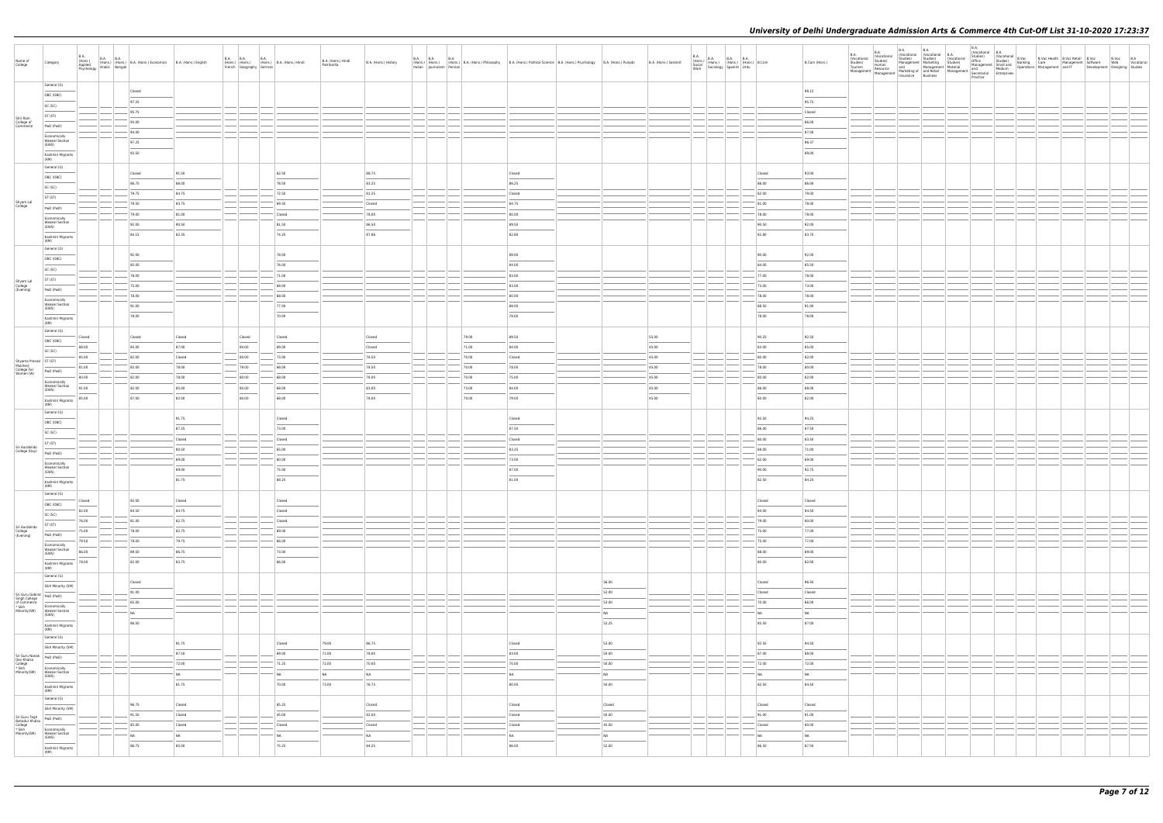| Name of<br>College                                                                          | <b>B.A.</b><br>Category                                                                                                                                                                                                                                                                                                                                                                                                                                                                               | (Hons.)<br>Applied<br>Psychology | B.A. B.A. (Hons.) B.A. (Hons.) Economics B.A. (Hons.) English Arabic Bengali |           |                                                                                                                                                                                                                                                                                                                                                                                                                                                                            | French Geography German | B.A. B.A. B.A. B.A. (Hons.) B.A. (Hons.) Hindi | B.A. (Hons.) Hindi<br>Patrikarita | B.A. (Hons.) History | <b>B.A. B.A.</b> | <b>B.A.</b><br>Italian Journalism Persian |       | (Hons.) (Hons.) B.A. (Hons.) Philosophy B.A. (Hons.) Philosophy B.A. (Hons.) Political Science B.A. (Hons.) Psychology B.A. (Hons.) Punjabi |        | B.A. (Hons.) Sanskrit | <b>B.A.</b><br>B.A.<br>(Hons.) B.A. B.A. B.A. (Hons.) (Hons.) B.Com<br>Social Sociology Spanish Urdu<br>Work Sociology Spanish Urdu<br>Work |           | B.Com (Hons.)  | B.A.<br>(Vocational<br>Studies)<br>Tourism<br>Management | B.A.<br>(Vocational<br>Studies)<br>Human<br>Resource<br>at |  |  |  |  | Development Designing Studies | B.Voc B.A<br>Web Vocational |  |
|---------------------------------------------------------------------------------------------|-------------------------------------------------------------------------------------------------------------------------------------------------------------------------------------------------------------------------------------------------------------------------------------------------------------------------------------------------------------------------------------------------------------------------------------------------------------------------------------------------------|----------------------------------|------------------------------------------------------------------------------|-----------|----------------------------------------------------------------------------------------------------------------------------------------------------------------------------------------------------------------------------------------------------------------------------------------------------------------------------------------------------------------------------------------------------------------------------------------------------------------------------|-------------------------|------------------------------------------------|-----------------------------------|----------------------|------------------|-------------------------------------------|-------|---------------------------------------------------------------------------------------------------------------------------------------------|--------|-----------------------|---------------------------------------------------------------------------------------------------------------------------------------------|-----------|----------------|----------------------------------------------------------|------------------------------------------------------------|--|--|--|--|-------------------------------|-----------------------------|--|
|                                                                                             | General (G)<br>OBC (OBC)                                                                                                                                                                                                                                                                                                                                                                                                                                                                              |                                  | Closed<br>97.25                                                              |           |                                                                                                                                                                                                                                                                                                                                                                                                                                                                            |                         |                                                |                                   |                      |                  |                                           |       |                                                                                                                                             |        |                       |                                                                                                                                             |           | 98.12<br>95.75 |                                                          |                                                            |  |  |  |  |                               |                             |  |
|                                                                                             | SC (SC)                                                                                                                                                                                                                                                                                                                                                                                                                                                                                               |                                  | 95.75                                                                        |           |                                                                                                                                                                                                                                                                                                                                                                                                                                                                            |                         |                                                |                                   |                      |                  |                                           |       |                                                                                                                                             |        |                       |                                                                                                                                             |           | Closed         |                                                          |                                                            |  |  |  |  |                               |                             |  |
|                                                                                             | ST (ST)                                                                                                                                                                                                                                                                                                                                                                                                                                                                                               |                                  |                                                                              |           |                                                                                                                                                                                                                                                                                                                                                                                                                                                                            |                         |                                                |                                   |                      |                  |                                           |       |                                                                                                                                             |        |                       |                                                                                                                                             |           |                |                                                          |                                                            |  |  |  |  |                               |                             |  |
| Shri Ram<br>College of<br>Commerce                                                          | PwD (PwD)                                                                                                                                                                                                                                                                                                                                                                                                                                                                                             |                                  | 93.00                                                                        |           |                                                                                                                                                                                                                                                                                                                                                                                                                                                                            |                         |                                                |                                   |                      |                  |                                           |       |                                                                                                                                             |        |                       |                                                                                                                                             |           | 86.00          |                                                          |                                                            |  |  |  |  |                               |                             |  |
|                                                                                             | Economically                                                                                                                                                                                                                                                                                                                                                                                                                                                                                          |                                  | 94.00                                                                        |           |                                                                                                                                                                                                                                                                                                                                                                                                                                                                            |                         |                                                |                                   |                      |                  |                                           |       |                                                                                                                                             |        |                       |                                                                                                                                             |           | 87.00          |                                                          |                                                            |  |  |  |  |                               |                             |  |
|                                                                                             | <b>Weaker Section</b><br>(EWS)                                                                                                                                                                                                                                                                                                                                                                                                                                                                        |                                  | 97.25                                                                        |           |                                                                                                                                                                                                                                                                                                                                                                                                                                                                            |                         |                                                |                                   |                      |                  |                                           |       |                                                                                                                                             |        |                       |                                                                                                                                             |           | 96.37          |                                                          |                                                            |  |  |  |  |                               |                             |  |
|                                                                                             | Kashmiri Migrants<br>(KM)                                                                                                                                                                                                                                                                                                                                                                                                                                                                             |                                  | 93.50                                                                        |           |                                                                                                                                                                                                                                                                                                                                                                                                                                                                            |                         |                                                |                                   |                      |                  |                                           |       |                                                                                                                                             |        |                       |                                                                                                                                             |           | 89.00          |                                                          |                                                            |  |  |  |  |                               |                             |  |
|                                                                                             | General (G)                                                                                                                                                                                                                                                                                                                                                                                                                                                                                           |                                  | Closed                                                                       | 91.50     |                                                                                                                                                                                                                                                                                                                                                                                                                                                                            |                         | 82.50                                          |                                   | 88.75                |                  |                                           |       | Closed                                                                                                                                      |        |                       |                                                                                                                                             | Closed    | 93.00          |                                                          |                                                            |  |  |  |  |                               |                             |  |
|                                                                                             | OBC (OBC)<br>SC (SC)                                                                                                                                                                                                                                                                                                                                                                                                                                                                                  |                                  | 86.75                                                                        | 86.00     |                                                                                                                                                                                                                                                                                                                                                                                                                                                                            |                         | 78.50                                          |                                   | 83.25                |                  |                                           |       | 86.25                                                                                                                                       |        |                       |                                                                                                                                             | 86.00     | 86.00          |                                                          |                                                            |  |  |  |  |                               |                             |  |
|                                                                                             |                                                                                                                                                                                                                                                                                                                                                                                                                                                                                                       |                                  | 79.75                                                                        | 84.75     |                                                                                                                                                                                                                                                                                                                                                                                                                                                                            |                         | 72.50                                          |                                   | 81.25                |                  |                                           |       | Closed                                                                                                                                      |        |                       |                                                                                                                                             | 82.00     | 79.00          |                                                          |                                                            |  |  |  |  |                               |                             |  |
| Shyam Lal<br>College                                                                        | ST (ST)                                                                                                                                                                                                                                                                                                                                                                                                                                                                                               |                                  | 79.50                                                                        | 83.75     | $\frac{1}{2} \left( \frac{1}{2} \right) \left( \frac{1}{2} \right) \left( \frac{1}{2} \right) \left( \frac{1}{2} \right) \left( \frac{1}{2} \right) \left( \frac{1}{2} \right) \left( \frac{1}{2} \right) \left( \frac{1}{2} \right) \left( \frac{1}{2} \right) \left( \frac{1}{2} \right) \left( \frac{1}{2} \right) \left( \frac{1}{2} \right) \left( \frac{1}{2} \right) \left( \frac{1}{2} \right) \left( \frac{1}{2} \right) \left( \frac{1}{2} \right) \left( \frac$ |                         | 69.50                                          |                                   | Closed               |                  |                                           |       | 84.75                                                                                                                                       |        |                       |                                                                                                                                             | 81.00     | 78.00          |                                                          |                                                            |  |  |  |  |                               |                             |  |
|                                                                                             | PwD (PwD)                                                                                                                                                                                                                                                                                                                                                                                                                                                                                             |                                  | 79.00                                                                        | 81.00     | $\frac{1}{2} \left( \frac{1}{2} \right) \left( \frac{1}{2} \right) \left( \frac{1}{2} \right) \left( \frac{1}{2} \right) \left( \frac{1}{2} \right) \left( \frac{1}{2} \right) \left( \frac{1}{2} \right) \left( \frac{1}{2} \right) \left( \frac{1}{2} \right) \left( \frac{1}{2} \right) \left( \frac{1}{2} \right) \left( \frac{1}{2} \right) \left( \frac{1}{2} \right) \left( \frac{1}{2} \right) \left( \frac{1}{2} \right) \left( \frac{1}{2} \right) \left( \frac$ |                         | Closed                                         |                                   | 78.00                |                  |                                           |       | 80.00                                                                                                                                       |        |                       |                                                                                                                                             | 78.00     | 78.00          |                                                          |                                                            |  |  |  |  |                               |                             |  |
|                                                                                             | Economically<br><b>Weaker Section</b>                                                                                                                                                                                                                                                                                                                                                                                                                                                                 |                                  | 92.00                                                                        | 90.50     |                                                                                                                                                                                                                                                                                                                                                                                                                                                                            |                         | 81.50                                          |                                   | 86.50                |                  |                                           |       | 89.50                                                                                                                                       |        |                       |                                                                                                                                             | 90.50     | 92.00          |                                                          |                                                            |  |  |  |  |                               |                             |  |
|                                                                                             | (EWS)                                                                                                                                                                                                                                                                                                                                                                                                                                                                                                 |                                  |                                                                              |           |                                                                                                                                                                                                                                                                                                                                                                                                                                                                            |                         |                                                |                                   |                      |                  |                                           |       |                                                                                                                                             |        |                       |                                                                                                                                             |           |                |                                                          |                                                            |  |  |  |  |                               |                             |  |
|                                                                                             | Kashmiri Migrants<br>(KM)                                                                                                                                                                                                                                                                                                                                                                                                                                                                             |                                  | 84.15                                                                        | 82.35     |                                                                                                                                                                                                                                                                                                                                                                                                                                                                            |                         | 74.25                                          |                                   | 87.86                |                  |                                           |       | 82.80                                                                                                                                       |        |                       |                                                                                                                                             | 82.80     | 83.70          |                                                          |                                                            |  |  |  |  |                               |                             |  |
|                                                                                             | General (G)                                                                                                                                                                                                                                                                                                                                                                                                                                                                                           |                                  |                                                                              |           |                                                                                                                                                                                                                                                                                                                                                                                                                                                                            |                         |                                                |                                   |                      |                  |                                           |       |                                                                                                                                             |        |                       |                                                                                                                                             |           |                |                                                          |                                                            |  |  |  |  |                               |                             |  |
|                                                                                             | OBC (OBC)                                                                                                                                                                                                                                                                                                                                                                                                                                                                                             |                                  | 92.00                                                                        |           |                                                                                                                                                                                                                                                                                                                                                                                                                                                                            |                         | 78.00                                          |                                   |                      |                  |                                           |       | 89.00                                                                                                                                       |        |                       |                                                                                                                                             | 90.00     | 92.00          |                                                          |                                                            |  |  |  |  |                               |                             |  |
|                                                                                             | SC (SC)                                                                                                                                                                                                                                                                                                                                                                                                                                                                                               |                                  | 85.00                                                                        |           |                                                                                                                                                                                                                                                                                                                                                                                                                                                                            |                         | 76.00                                          |                                   |                      |                  |                                           |       | 84.00                                                                                                                                       |        |                       |                                                                                                                                             | 84.00     | 85.50          |                                                          |                                                            |  |  |  |  |                               |                             |  |
|                                                                                             | ST (ST)                                                                                                                                                                                                                                                                                                                                                                                                                                                                                               |                                  | 78.00                                                                        |           |                                                                                                                                                                                                                                                                                                                                                                                                                                                                            |                         | 71.00                                          |                                   |                      |                  |                                           |       | 83.00                                                                                                                                       |        |                       |                                                                                                                                             | 77.00     | 78.00          |                                                          |                                                            |  |  |  |  |                               |                             |  |
| Shyam Lal<br>College<br>(Evening)                                                           |                                                                                                                                                                                                                                                                                                                                                                                                                                                                                                       |                                  | 75.00                                                                        |           |                                                                                                                                                                                                                                                                                                                                                                                                                                                                            |                         | 68.00                                          |                                   |                      |                  |                                           |       | 83.00                                                                                                                                       |        |                       |                                                                                                                                             | 73.00     | 73.00          |                                                          |                                                            |  |  |  |  |                               |                             |  |
|                                                                                             | PwD (PwD)                                                                                                                                                                                                                                                                                                                                                                                                                                                                                             |                                  | 78.00                                                                        |           |                                                                                                                                                                                                                                                                                                                                                                                                                                                                            |                         | $-68.00$                                       |                                   |                      |                  |                                           |       | 80.00                                                                                                                                       |        |                       |                                                                                                                                             | 78.00     | 78.00          |                                                          |                                                            |  |  |  |  |                               |                             |  |
|                                                                                             | Economically<br><b>Weaker Section</b>                                                                                                                                                                                                                                                                                                                                                                                                                                                                 |                                  | 91.00                                                                        |           |                                                                                                                                                                                                                                                                                                                                                                                                                                                                            |                         | 77.00                                          |                                   |                      |                  |                                           |       | 88.00                                                                                                                                       |        |                       |                                                                                                                                             | 88.50     | 91.00          |                                                          |                                                            |  |  |  |  |                               |                             |  |
|                                                                                             | (EWS)                                                                                                                                                                                                                                                                                                                                                                                                                                                                                                 |                                  | 78.00                                                                        |           |                                                                                                                                                                                                                                                                                                                                                                                                                                                                            |                         | 70.00                                          |                                   |                      |                  |                                           |       | 78.00                                                                                                                                       |        |                       |                                                                                                                                             | 78.00     | 78.00          |                                                          |                                                            |  |  |  |  |                               |                             |  |
|                                                                                             | Kashmiri Migrants<br>(KM)                                                                                                                                                                                                                                                                                                                                                                                                                                                                             |                                  |                                                                              |           |                                                                                                                                                                                                                                                                                                                                                                                                                                                                            |                         |                                                |                                   |                      |                  |                                           |       |                                                                                                                                             |        |                       |                                                                                                                                             |           |                |                                                          |                                                            |  |  |  |  |                               |                             |  |
|                                                                                             | General (G)                                                                                                                                                                                                                                                                                                                                                                                                                                                                                           | Closed                           | Closed                                                                       | Closed    |                                                                                                                                                                                                                                                                                                                                                                                                                                                                            | Closed                  | Closed                                         |                                   | Closed               |                  |                                           | 79.00 | 89.50                                                                                                                                       |        | 55.00                 |                                                                                                                                             | 90.25     | 92.50          |                                                          |                                                            |  |  |  |  |                               |                             |  |
|                                                                                             | OBC (OBC)                                                                                                                                                                                                                                                                                                                                                                                                                                                                                             |                                  |                                                                              |           |                                                                                                                                                                                                                                                                                                                                                                                                                                                                            |                         |                                                |                                   |                      |                  |                                           |       |                                                                                                                                             |        |                       |                                                                                                                                             |           |                |                                                          |                                                            |  |  |  |  |                               |                             |  |
|                                                                                             | SC (SC)                                                                                                                                                                                                                                                                                                                                                                                                                                                                                               | 88.00                            | 85.00                                                                        | 87.00     |                                                                                                                                                                                                                                                                                                                                                                                                                                                                            | 84.00                   | 69.00                                          |                                   | Closed               |                  |                                           | 71.00 | 84.00                                                                                                                                       |        | 45.00                 |                                                                                                                                             | 83.00     | 85.00          |                                                          |                                                            |  |  |  |  |                               |                             |  |
| Shyama Prasad   ST (ST)                                                                     |                                                                                                                                                                                                                                                                                                                                                                                                                                                                                                       | 85.00                            | 82.00                                                                        | Closed    |                                                                                                                                                                                                                                                                                                                                                                                                                                                                            | 80.00                   | 73.00                                          |                                   | 78.50                |                  |                                           | 70.00 | Closed                                                                                                                                      |        | 45.00                 |                                                                                                                                             | 80.00     | 82.00          |                                                          |                                                            |  |  |  |  |                               |                             |  |
| Mukherji<br>College For<br>Women (W)                                                        | PwD (PwD)                                                                                                                                                                                                                                                                                                                                                                                                                                                                                             | 81.00                            | 82.00                                                                        | 78.00     |                                                                                                                                                                                                                                                                                                                                                                                                                                                                            | 79.00                   | 68.00                                          |                                   | 78.50                |                  |                                           | 70.00 | 78.00                                                                                                                                       |        | 45.00                 |                                                                                                                                             | 78.00     | 80.00          |                                                          |                                                            |  |  |  |  |                               |                             |  |
|                                                                                             | Economically                                                                                                                                                                                                                                                                                                                                                                                                                                                                                          | 80.00                            | 82.00                                                                        | 78.00     |                                                                                                                                                                                                                                                                                                                                                                                                                                                                            | $-80.00$                | $-68.00$                                       |                                   | 78.00                |                  |                                           | 70.00 | 75.00                                                                                                                                       |        | 45.00                 |                                                                                                                                             | 80.00     | 82.00          |                                                          |                                                            |  |  |  |  |                               |                             |  |
|                                                                                             | Weaker Section<br>(EWS)<br>91.00                                                                                                                                                                                                                                                                                                                                                                                                                                                                      |                                  | 82.00                                                                        | 85.00     |                                                                                                                                                                                                                                                                                                                                                                                                                                                                            | 85.00                   | 68.00                                          |                                   | 83.00                |                  |                                           | 73.00 | 84.00                                                                                                                                       |        | 45.00                 |                                                                                                                                             | 86.00     | 88.00          |                                                          |                                                            |  |  |  |  |                               |                             |  |
|                                                                                             | Kashmiri Migrants                                                                                                                                                                                                                                                                                                                                                                                                                                                                                     | 85.00                            | 87.00                                                                        | 82.00     |                                                                                                                                                                                                                                                                                                                                                                                                                                                                            | 80.00                   | 68.00                                          |                                   | 78.00                |                  |                                           | 70.00 | 79.00                                                                                                                                       |        | 45.00                 |                                                                                                                                             | 80.00     | 82.00          |                                                          |                                                            |  |  |  |  |                               |                             |  |
|                                                                                             | (KM)                                                                                                                                                                                                                                                                                                                                                                                                                                                                                                  |                                  |                                                                              |           |                                                                                                                                                                                                                                                                                                                                                                                                                                                                            |                         |                                                |                                   |                      |                  |                                           |       |                                                                                                                                             |        |                       |                                                                                                                                             |           |                |                                                          |                                                            |  |  |  |  |                               |                             |  |
|                                                                                             | General (G)                                                                                                                                                                                                                                                                                                                                                                                                                                                                                           |                                  |                                                                              | 91.75     |                                                                                                                                                                                                                                                                                                                                                                                                                                                                            |                         | Closed                                         |                                   |                      |                  |                                           |       | Closed                                                                                                                                      |        |                       |                                                                                                                                             | 92.50     | 94.25          |                                                          |                                                            |  |  |  |  |                               |                             |  |
|                                                                                             | OBC (OBC)                                                                                                                                                                                                                                                                                                                                                                                                                                                                                             |                                  |                                                                              | 87.25     |                                                                                                                                                                                                                                                                                                                                                                                                                                                                            |                         | 73.00                                          |                                   |                      |                  |                                           |       | 87.50                                                                                                                                       |        |                       |                                                                                                                                             | 86.00     | 87.50          |                                                          |                                                            |  |  |  |  |                               |                             |  |
|                                                                                             | SC (SC)                                                                                                                                                                                                                                                                                                                                                                                                                                                                                               |                                  |                                                                              | Closed    |                                                                                                                                                                                                                                                                                                                                                                                                                                                                            |                         | Closed                                         |                                   |                      |                  |                                           |       | Closed                                                                                                                                      |        |                       |                                                                                                                                             | 80.00     | 83.50          |                                                          |                                                            |  |  |  |  |                               |                             |  |
| Sri Aurobindo                                                                               | ST (ST)                                                                                                                                                                                                                                                                                                                                                                                                                                                                                               |                                  |                                                                              | 80.50     |                                                                                                                                                                                                                                                                                                                                                                                                                                                                            |                         | 65.00                                          |                                   |                      |                  |                                           |       | 83.25                                                                                                                                       |        |                       |                                                                                                                                             | 69.00     | 71.00          |                                                          |                                                            |  |  |  |  |                               |                             |  |
| College (Day)                                                                               | PwD (PwD)                                                                                                                                                                                                                                                                                                                                                                                                                                                                                             |                                  |                                                                              |           | $\frac{1}{2} \left( \frac{1}{2} \right) \left( \frac{1}{2} \right) \left( \frac{1}{2} \right) \left( \frac{1}{2} \right) \left( \frac{1}{2} \right) \left( \frac{1}{2} \right) \left( \frac{1}{2} \right) \left( \frac{1}{2} \right) \left( \frac{1}{2} \right) \left( \frac{1}{2} \right) \left( \frac{1}{2} \right) \left( \frac{1}{2} \right) \left( \frac{1}{2} \right) \left( \frac{1}{2} \right) \left( \frac{1}{2} \right) \left( \frac{1}{2} \right) \left( \frac$ |                         |                                                |                                   |                      |                  |                                           |       |                                                                                                                                             |        |                       |                                                                                                                                             |           |                |                                                          |                                                            |  |  |  |  |                               |                             |  |
|                                                                                             | Economically<br><b>Weaker Section</b>                                                                                                                                                                                                                                                                                                                                                                                                                                                                 |                                  |                                                                              | 69.00     |                                                                                                                                                                                                                                                                                                                                                                                                                                                                            |                         | 60.00                                          |                                   |                      |                  |                                           |       | 73.00                                                                                                                                       |        |                       |                                                                                                                                             | 62.00     | 69.00          |                                                          |                                                            |  |  |  |  |                               |                             |  |
|                                                                                             | (EWS)                                                                                                                                                                                                                                                                                                                                                                                                                                                                                                 |                                  |                                                                              | 89.00     |                                                                                                                                                                                                                                                                                                                                                                                                                                                                            |                         | 75.00                                          |                                   |                      |                  |                                           |       | 87.00                                                                                                                                       |        |                       |                                                                                                                                             | 90.00     | 92.75          |                                                          |                                                            |  |  |  |  |                               |                             |  |
|                                                                                             | Kashmiri Migrants<br>(KM)                                                                                                                                                                                                                                                                                                                                                                                                                                                                             |                                  |                                                                              | 81.75     |                                                                                                                                                                                                                                                                                                                                                                                                                                                                            |                         | 68.25                                          |                                   |                      |                  |                                           |       | 91.00                                                                                                                                       |        |                       |                                                                                                                                             | 82.50     | 84.25          |                                                          |                                                            |  |  |  |  |                               |                             |  |
|                                                                                             | General (G)                                                                                                                                                                                                                                                                                                                                                                                                                                                                                           | Closed                           | 92.00                                                                        | Closed    |                                                                                                                                                                                                                                                                                                                                                                                                                                                                            |                         | Closed                                         |                                   |                      |                  |                                           |       |                                                                                                                                             |        |                       |                                                                                                                                             | Closed    | Closed         |                                                          |                                                            |  |  |  |  |                               |                             |  |
|                                                                                             | OBC (OBC)                                                                                                                                                                                                                                                                                                                                                                                                                                                                                             | 82.00                            | 84.50                                                                        | 84.75     |                                                                                                                                                                                                                                                                                                                                                                                                                                                                            |                         | Closed                                         |                                   |                      |                  |                                           |       |                                                                                                                                             |        |                       |                                                                                                                                             | 84.00     | 84.50          |                                                          |                                                            |  |  |  |  |                               |                             |  |
|                                                                                             | SC (SC)                                                                                                                                                                                                                                                                                                                                                                                                                                                                                               | 76.00                            | 81.00                                                                        | 82.75     |                                                                                                                                                                                                                                                                                                                                                                                                                                                                            |                         |                                                |                                   |                      |                  |                                           |       |                                                                                                                                             |        |                       |                                                                                                                                             | 79.00     | 80.00          |                                                          |                                                            |  |  |  |  |                               |                             |  |
|                                                                                             | ST (ST)                                                                                                                                                                                                                                                                                                                                                                                                                                                                                               |                                  |                                                                              |           | $\overline{\phantom{a}}$<br>$\left  - \right $ .                                                                                                                                                                                                                                                                                                                                                                                                                           |                         | Closed                                         |                                   |                      |                  |                                           |       |                                                                                                                                             |        |                       |                                                                                                                                             |           |                |                                                          |                                                            |  |  |  |  |                               |                             |  |
| Sri Aurobindo<br>College<br>(Evening)                                                       | PwD (PwD)                                                                                                                                                                                                                                                                                                                                                                                                                                                                                             | 75.00                            | 78.00                                                                        | 82.75     | $\overline{\phantom{0}}$<br>$\overline{\phantom{a}}$                                                                                                                                                                                                                                                                                                                                                                                                                       |                         | 69.00                                          |                                   |                      |                  |                                           |       |                                                                                                                                             |        |                       |                                                                                                                                             | 75.00     | 77.00          |                                                          |                                                            |  |  |  |  |                               |                             |  |
|                                                                                             | Economically<br><b>Weaker Section</b>                                                                                                                                                                                                                                                                                                                                                                                                                                                                 | 79.50                            | 78.00                                                                        | 79.75     |                                                                                                                                                                                                                                                                                                                                                                                                                                                                            |                         | 66.00                                          |                                   |                      |                  |                                           |       |                                                                                                                                             |        |                       |                                                                                                                                             | 75.00     | 77.00          |                                                          |                                                            |  |  |  |  |                               |                             |  |
|                                                                                             | (EWS)<br>$\frac{1}{2}$                                                                                                                                                                                                                                                                                                                                                                                                                                                                                | 86.00                            | 89.50                                                                        | 86.75     |                                                                                                                                                                                                                                                                                                                                                                                                                                                                            |                         | 73.00                                          |                                   |                      |                  |                                           |       |                                                                                                                                             |        |                       |                                                                                                                                             | 88.00     | 89.00          |                                                          |                                                            |  |  |  |  |                               |                             |  |
|                                                                                             | Kashmiri Migrants<br>(KM)                                                                                                                                                                                                                                                                                                                                                                                                                                                                             | 78.00                            | 82.00                                                                        | 83.75     |                                                                                                                                                                                                                                                                                                                                                                                                                                                                            |                         | 66.00                                          |                                   |                      |                  |                                           |       |                                                                                                                                             |        |                       |                                                                                                                                             | 80.00     | 82.00          |                                                          |                                                            |  |  |  |  |                               |                             |  |
|                                                                                             | General (G)                                                                                                                                                                                                                                                                                                                                                                                                                                                                                           |                                  |                                                                              |           |                                                                                                                                                                                                                                                                                                                                                                                                                                                                            |                         |                                                |                                   |                      |                  |                                           |       |                                                                                                                                             |        |                       |                                                                                                                                             |           |                |                                                          |                                                            |  |  |  |  |                               |                             |  |
|                                                                                             | Sikh Minority (SM)                                                                                                                                                                                                                                                                                                                                                                                                                                                                                    |                                  | Closed                                                                       |           |                                                                                                                                                                                                                                                                                                                                                                                                                                                                            |                         |                                                |                                   |                      |                  |                                           |       |                                                                                                                                             | 56.00  |                       |                                                                                                                                             | Closed    | 96.50          |                                                          |                                                            |  |  |  |  |                               |                             |  |
|                                                                                             |                                                                                                                                                                                                                                                                                                                                                                                                                                                                                                       |                                  | 91.00                                                                        |           |                                                                                                                                                                                                                                                                                                                                                                                                                                                                            |                         |                                                |                                   |                      |                  |                                           |       |                                                                                                                                             | 52.00  |                       |                                                                                                                                             | Closed    | Closed         |                                                          |                                                            |  |  |  |  |                               |                             |  |
| Sri Guru Gobind<br>Singh College<br>of Commerce<br>* Sikh<br>Minority(SM)<br>Weaker Section | Economically                                                                                                                                                                                                                                                                                                                                                                                                                                                                                          |                                  | 65.00                                                                        |           |                                                                                                                                                                                                                                                                                                                                                                                                                                                                            |                         |                                                |                                   |                      |                  |                                           |       |                                                                                                                                             | 53.00  |                       |                                                                                                                                             | 70.00     | 66.00          |                                                          |                                                            |  |  |  |  |                               |                             |  |
|                                                                                             | Weaker Section<br>(EWS)                                                                                                                                                                                                                                                                                                                                                                                                                                                                               |                                  | NA                                                                           |           |                                                                                                                                                                                                                                                                                                                                                                                                                                                                            |                         |                                                |                                   |                      |                  |                                           |       |                                                                                                                                             | NA     |                       |                                                                                                                                             | NA        | <b>NA</b>      |                                                          |                                                            |  |  |  |  |                               |                             |  |
|                                                                                             | $\frac{1}{2}$<br>Kashmiri Migrants<br>(KM)                                                                                                                                                                                                                                                                                                                                                                                                                                                            |                                  | 86.50                                                                        |           |                                                                                                                                                                                                                                                                                                                                                                                                                                                                            |                         |                                                |                                   |                      |                  |                                           |       |                                                                                                                                             | 52.25  |                       |                                                                                                                                             | 85.50     | 87.00          |                                                          |                                                            |  |  |  |  |                               |                             |  |
|                                                                                             | General (G)                                                                                                                                                                                                                                                                                                                                                                                                                                                                                           |                                  |                                                                              | 91.75     |                                                                                                                                                                                                                                                                                                                                                                                                                                                                            |                         |                                                |                                   | 86.75                |                  |                                           |       |                                                                                                                                             | 53.00  |                       |                                                                                                                                             | 92.50     | 94.50          |                                                          |                                                            |  |  |  |  |                               |                             |  |
|                                                                                             | Sikh Minority (SM)                                                                                                                                                                                                                                                                                                                                                                                                                                                                                    |                                  |                                                                              |           |                                                                                                                                                                                                                                                                                                                                                                                                                                                                            |                         | Closed                                         | 79.00                             |                      |                  |                                           |       | Closed                                                                                                                                      |        |                       |                                                                                                                                             |           |                |                                                          |                                                            |  |  |  |  |                               |                             |  |
|                                                                                             | PwD (PwD)                                                                                                                                                                                                                                                                                                                                                                                                                                                                                             |                                  |                                                                              | 87.50     |                                                                                                                                                                                                                                                                                                                                                                                                                                                                            |                         | 69.00                                          | 72.00                             | 78.00                |                  |                                           |       | 83.00                                                                                                                                       | 50.00  |                       |                                                                                                                                             | 87.00     | 88.00          |                                                          |                                                            |  |  |  |  |                               |                             |  |
| Sri Guru Nanak<br>Dev Khalsa<br>College<br>* Sikh<br>Minority(SM)                           | Economically                                                                                                                                                                                                                                                                                                                                                                                                                                                                                          |                                  |                                                                              | 72.00     |                                                                                                                                                                                                                                                                                                                                                                                                                                                                            |                         | 71.25                                          | 72.00                             | 70.00                |                  |                                           |       | 70.00                                                                                                                                       | 50.00  |                       |                                                                                                                                             | 72.00     | 72.00          |                                                          |                                                            |  |  |  |  |                               |                             |  |
|                                                                                             | Weaker Section<br>(EWS)<br>$\frac{1}{2} \left( \frac{1}{2} \right) \left( \frac{1}{2} \right) \left( \frac{1}{2} \right) \left( \frac{1}{2} \right) \left( \frac{1}{2} \right) \left( \frac{1}{2} \right) \left( \frac{1}{2} \right) \left( \frac{1}{2} \right) \left( \frac{1}{2} \right) \left( \frac{1}{2} \right) \left( \frac{1}{2} \right) \left( \frac{1}{2} \right) \left( \frac{1}{2} \right) \left( \frac{1}{2} \right) \left( \frac{1}{2} \right) \left( \frac{1}{2} \right) \left( \frac$ |                                  |                                                                              | <b>NA</b> |                                                                                                                                                                                                                                                                                                                                                                                                                                                                            |                         | NA                                             | NA                                | N <sub>A</sub>       |                  |                                           |       | <b>NA</b>                                                                                                                                   | NA     |                       |                                                                                                                                             | <b>NA</b> | NA             |                                                          |                                                            |  |  |  |  |                               |                             |  |
|                                                                                             | Kashmiri Migrants<br>(KM)                                                                                                                                                                                                                                                                                                                                                                                                                                                                             |                                  |                                                                              | 81.75     |                                                                                                                                                                                                                                                                                                                                                                                                                                                                            |                         | 70.00                                          | 73.00                             | 76.75                |                  |                                           |       | 80.00                                                                                                                                       | 50.00  |                       |                                                                                                                                             | 82.50     | 84.50          |                                                          |                                                            |  |  |  |  |                               |                             |  |
|                                                                                             | General (G)                                                                                                                                                                                                                                                                                                                                                                                                                                                                                           |                                  |                                                                              |           |                                                                                                                                                                                                                                                                                                                                                                                                                                                                            |                         |                                                |                                   |                      |                  |                                           |       |                                                                                                                                             |        |                       |                                                                                                                                             |           |                |                                                          |                                                            |  |  |  |  |                               |                             |  |
|                                                                                             | Sikh Minority (SM)                                                                                                                                                                                                                                                                                                                                                                                                                                                                                    |                                  | 96.75                                                                        | Closed    |                                                                                                                                                                                                                                                                                                                                                                                                                                                                            |                         | 85.25                                          |                                   | Closed               |                  |                                           |       | Closed                                                                                                                                      | Closed |                       |                                                                                                                                             | Closed    | Closed         |                                                          |                                                            |  |  |  |  |                               |                             |  |
|                                                                                             | PwD (PwD)                                                                                                                                                                                                                                                                                                                                                                                                                                                                                             |                                  | 91.50                                                                        | Closed    |                                                                                                                                                                                                                                                                                                                                                                                                                                                                            |                         | 45.00                                          |                                   | 82.00                |                  |                                           |       | Closed                                                                                                                                      | 50.00  |                       |                                                                                                                                             | 91.00     | 91.00          |                                                          |                                                            |  |  |  |  |                               |                             |  |
| Sri Guru Tegh<br>Bahadur Khalsa<br>College<br>* Sikh<br>Minority(SM)                        | Economically                                                                                                                                                                                                                                                                                                                                                                                                                                                                                          |                                  | 85.00                                                                        | Closed    | $\hspace{0.1mm}-\hspace{0.1mm}$                                                                                                                                                                                                                                                                                                                                                                                                                                            |                         | Closed                                         |                                   | Closed               |                  |                                           |       | Closed                                                                                                                                      | 45.00  |                       |                                                                                                                                             | Closed    | 80.00          |                                                          |                                                            |  |  |  |  |                               |                             |  |
|                                                                                             | <b>Weaker Section</b><br>(EWS)                                                                                                                                                                                                                                                                                                                                                                                                                                                                        |                                  | NA                                                                           | <b>NA</b> |                                                                                                                                                                                                                                                                                                                                                                                                                                                                            |                         | NA                                             |                                   | <b>NA</b>            |                  |                                           |       | <b>NA</b>                                                                                                                                   | NA     |                       |                                                                                                                                             | NA        | <b>NA</b>      |                                                          |                                                            |  |  |  |  |                               |                             |  |
|                                                                                             | Kashmiri Migrants                                                                                                                                                                                                                                                                                                                                                                                                                                                                                     |                                  | 86.75                                                                        | 85.00     |                                                                                                                                                                                                                                                                                                                                                                                                                                                                            |                         | 75.25                                          |                                   | 84.25                |                  |                                           |       | 86.00                                                                                                                                       | 52.00  |                       |                                                                                                                                             | 86.50     | 87.50          |                                                          |                                                            |  |  |  |  |                               |                             |  |
|                                                                                             | (KM)                                                                                                                                                                                                                                                                                                                                                                                                                                                                                                  |                                  |                                                                              |           |                                                                                                                                                                                                                                                                                                                                                                                                                                                                            |                         |                                                |                                   |                      |                  |                                           |       |                                                                                                                                             |        |                       |                                                                                                                                             |           |                |                                                          |                                                            |  |  |  |  |                               |                             |  |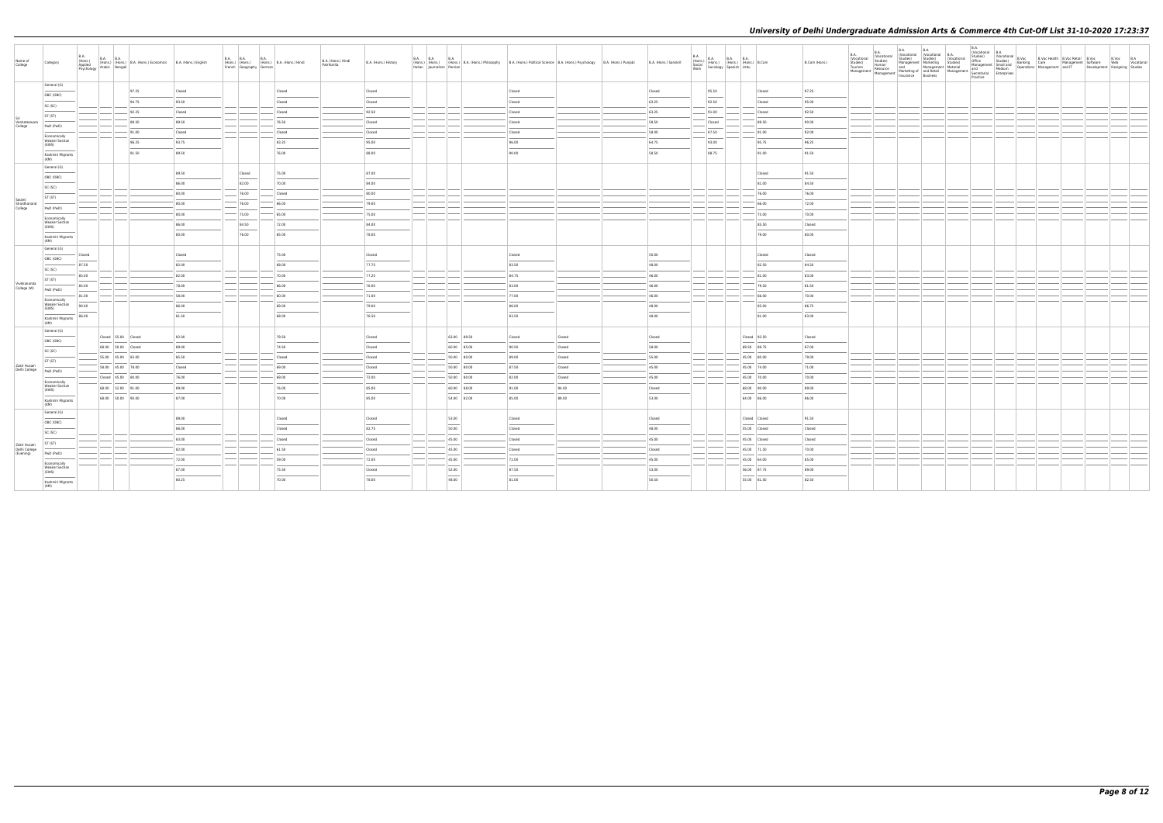| Name of<br>College              | Category                                       | <b>B.A.</b><br>B.A. B.A. B.A. B.A. (Hons.) B.A. (Hons.) Economics B.A. (Hons.) English Applied Problem B.A. (Hons.) English Psychology Arabic Bengali |       |        | French Geography German | B.A. B.A. B.A. B.A. (Hons.) B.A. (Hons.) Hindi | B.A. (Hons.) Hindi<br>Patrikarita | B.A. (Hons.) History | Italian Journalism Persian | B.A. B.A. B.A. B.A. B.A. (Hons.) B.A. (Hons.) Philosophy B.A. (Hons.) Political Science B.A. (Hons.) Psychology B.A. (Hons.) Punjabi |        |        | B.A. (Hons.) Sanskrit | B.A.<br>Work | B.A. (Hons.) B.A. B.A. B.A. (Hons.) B.Com<br>Social (Hons.) (Hons.) (Hons.) B.Com<br>Work Sociology Spanish Urdu |               | B.Com (Hons.) | B.A.<br>(Vocational<br>Studies)<br>Tourism<br>Management | Studies)<br>Human |  |  |  | Development Designing Studies | B.Voc B.A<br>Web Vocational |  |
|---------------------------------|------------------------------------------------|-------------------------------------------------------------------------------------------------------------------------------------------------------|-------|--------|-------------------------|------------------------------------------------|-----------------------------------|----------------------|----------------------------|--------------------------------------------------------------------------------------------------------------------------------------|--------|--------|-----------------------|--------------|------------------------------------------------------------------------------------------------------------------|---------------|---------------|----------------------------------------------------------|-------------------|--|--|--|-------------------------------|-----------------------------|--|
|                                 | General (G)                                    |                                                                                                                                                       | 97.25 | Closed |                         | Closed                                         |                                   | Closed               |                            |                                                                                                                                      | Closed |        | Closed                |              | 95.50                                                                                                            | Closed        | 97.25         |                                                          |                   |  |  |  |                               |                             |  |
|                                 | OBC (OBC)                                      |                                                                                                                                                       | 94.75 | 93.50  |                         | Closed                                         |                                   | Closed               |                            |                                                                                                                                      | Closed |        | 63.25                 |              | 92.50                                                                                                            | Closed        | 95.00         |                                                          |                   |  |  |  |                               |                             |  |
|                                 | SC (SC)                                        |                                                                                                                                                       |       |        |                         |                                                |                                   |                      |                            |                                                                                                                                      |        |        |                       |              |                                                                                                                  |               |               |                                                          |                   |  |  |  |                               |                             |  |
|                                 | ST (ST)                                        |                                                                                                                                                       | 92.25 | Closed |                         | Closed                                         |                                   | 92.50                |                            |                                                                                                                                      | Closed |        | 63.25                 |              | 91.00                                                                                                            | Closed        | 92.50         |                                                          |                   |  |  |  |                               |                             |  |
| Venketeswara<br>College         | PwD (PwD)                                      |                                                                                                                                                       | 89.50 | 89.50  |                         | 76.50                                          |                                   | Closed               |                            |                                                                                                                                      | Closed |        | 58.50                 |              | Closed                                                                                                           | 89.50         | 90.00         |                                                          |                   |  |  |  |                               |                             |  |
|                                 | Economically<br><b>Weaker Section</b>          |                                                                                                                                                       | 91.00 | Closed |                         | Closed                                         |                                   | Closed               |                            |                                                                                                                                      | Closed |        | 58.00                 |              | 87.50                                                                                                            | 91.00         | 92.00         |                                                          |                   |  |  |  |                               |                             |  |
|                                 | (EWS)                                          |                                                                                                                                                       | 96.25 | 93.75  |                         | 83.25                                          |                                   | 95.00                |                            |                                                                                                                                      | 96.00  |        | 64.75                 |              | 93.00                                                                                                            | 95.75         | 96.25         |                                                          |                   |  |  |  |                               |                             |  |
|                                 | Kashmiri Migrants<br>(KM)                      |                                                                                                                                                       | 91.50 | 89.50  |                         | 76.00                                          |                                   | 88.00                |                            |                                                                                                                                      | 90.00  |        | 58.50                 |              | 88.75                                                                                                            | 91.00         | 91.50         |                                                          |                   |  |  |  |                               |                             |  |
|                                 | General (G)                                    |                                                                                                                                                       |       |        |                         |                                                |                                   |                      |                            |                                                                                                                                      |        |        |                       |              |                                                                                                                  |               |               |                                                          |                   |  |  |  |                               |                             |  |
|                                 | OBC (OBC)                                      |                                                                                                                                                       |       | 89.50  | Closed                  | 75.00                                          |                                   | 87.00                |                            |                                                                                                                                      |        |        |                       |              |                                                                                                                  | Closed        | 91.50         |                                                          |                   |  |  |  |                               |                             |  |
|                                 | SC (SC)                                        |                                                                                                                                                       |       | 86.00  | 82.00                   | 70.00                                          |                                   | 84.00                |                            |                                                                                                                                      |        |        |                       |              |                                                                                                                  | 81.00         | 84.50         |                                                          |                   |  |  |  |                               |                             |  |
|                                 | ST (ST)                                        |                                                                                                                                                       |       | 80.00  | 76.00                   | Closed                                         |                                   | 80.00                |                            |                                                                                                                                      |        |        |                       |              |                                                                                                                  | 76.00         | 76.00         |                                                          |                   |  |  |  |                               |                             |  |
| Swami<br>Shardhanand<br>College | PwD (PwD)                                      |                                                                                                                                                       |       | 80.00  | 76.00                   | 66.00                                          |                                   | 79.00                |                            |                                                                                                                                      |        |        |                       |              |                                                                                                                  | 66.00         | 72.00         |                                                          |                   |  |  |  |                               |                             |  |
|                                 | Economically                                   |                                                                                                                                                       |       | 80.00  | $-$ 75.00               | 65.00                                          |                                   | 75.00                |                            |                                                                                                                                      |        |        |                       |              |                                                                                                                  | 75.00         | 70.00         |                                                          |                   |  |  |  |                               |                             |  |
|                                 | <b>Weaker Section</b><br>(EWS)                 |                                                                                                                                                       |       | 86.00  | 84.50                   | 72.00                                          |                                   | 84.00                |                            |                                                                                                                                      |        |        |                       |              |                                                                                                                  | 85.50         | Closed        |                                                          |                   |  |  |  |                               |                             |  |
|                                 | Kashmiri Migrants<br>(KM)                      |                                                                                                                                                       |       | 80.00  | 76.00                   | 65.00                                          |                                   | 78.00                |                            |                                                                                                                                      |        |        |                       |              |                                                                                                                  | 79.00         | 80.00         |                                                          |                   |  |  |  |                               |                             |  |
|                                 | General (G)<br>OBC (OBC)                       | Closed                                                                                                                                                |       | Closed |                         | 75.00                                          |                                   | Closed               |                            |                                                                                                                                      | Closed |        | 50.00                 |              |                                                                                                                  | Closed        | Closed        |                                                          |                   |  |  |  |                               |                             |  |
|                                 | SC (SC)                                        | 87.50                                                                                                                                                 |       | 82.00  |                         | 68.00                                          |                                   | 77.75                |                            |                                                                                                                                      | 83.50  |        | 48.00                 |              |                                                                                                                  | 82.50         | 84.50         |                                                          |                   |  |  |  |                               |                             |  |
|                                 | ST (ST)                                        | 85.00                                                                                                                                                 |       | 82.00  |                         | 70.00                                          |                                   | 77.25                |                            |                                                                                                                                      | 84.75  |        | 46.00                 |              |                                                                                                                  | 81.00         | 83.00         |                                                          |                   |  |  |  |                               |                             |  |
| Vivekananda<br>College (W)      | PwD (PwD)                                      | 85.00                                                                                                                                                 |       | 78.00  |                         | 66.00                                          |                                   | 76.00                |                            |                                                                                                                                      | 83.00  |        | 46.00                 |              |                                                                                                                  | 79.50         | 81.50         |                                                          |                   |  |  |  |                               |                             |  |
|                                 |                                                | 81.00                                                                                                                                                 |       | 58.00  |                         | 60.00                                          |                                   | 71.00                |                            |                                                                                                                                      | 77.00  |        | 46.00                 |              |                                                                                                                  | 66.00         | 70.00         |                                                          |                   |  |  |  |                               |                             |  |
|                                 | Economically<br><b>Weaker Section</b><br>(EWS) | 90.00                                                                                                                                                 |       | 86.00  |                         | 69.00                                          |                                   | 79.00                |                            |                                                                                                                                      | 86.00  |        | 48.00                 |              |                                                                                                                  | 85.00         | 86.75         |                                                          |                   |  |  |  |                               |                             |  |
|                                 | Kashmiri Migrants<br>(KM)                      | 86.00                                                                                                                                                 |       | 81.50  |                         | 68.00                                          |                                   | 76.50                |                            |                                                                                                                                      | 83.50  |        | 48.00                 |              |                                                                                                                  | 81.00         | 83.00         |                                                          |                   |  |  |  |                               |                             |  |
|                                 | General (G)                                    |                                                                                                                                                       |       |        |                         |                                                |                                   |                      |                            |                                                                                                                                      |        |        |                       |              |                                                                                                                  |               |               |                                                          |                   |  |  |  |                               |                             |  |
|                                 | OBC (OBC)                                      | Closed 55.00 Closed                                                                                                                                   |       | 92.00  |                         | 79.50                                          |                                   | Closed               |                            | 63.00 89.50                                                                                                                          | Closed | Closed | Closed                |              |                                                                                                                  | Closed 93.50  | Closed        |                                                          |                   |  |  |  |                               |                             |  |
|                                 | SC (SC)                                        | 68.00 50.00 Closed                                                                                                                                    |       | 89.00  |                         | 74.50                                          |                                   | Closed               |                            | 60.00 85.00                                                                                                                          | 90.50  | Closed | 58.00                 |              |                                                                                                                  | 69.50 89.75   | 87.00         |                                                          |                   |  |  |  |                               |                             |  |
|                                 | ST (ST)                                        | 55.00 45.00 83.00                                                                                                                                     |       | 85.50  |                         | Closed                                         |                                   | Closed               |                            | 50.00 80.00                                                                                                                          | 89.00  | Closed | 55.00                 |              |                                                                                                                  | 45.00 80.00   | 79.00         |                                                          |                   |  |  |  |                               |                             |  |
| Zakir Husain<br>Delhi College   | PwD (PwD)                                      | 58.00 45.00 78.00                                                                                                                                     |       | Closed |                         | 69.00                                          |                                   | Closed               |                            | 50.00 80.00                                                                                                                          | 87.50  | Closed | 45.00                 |              |                                                                                                                  | 45.00 74.00   | 71.00         |                                                          |                   |  |  |  |                               |                             |  |
|                                 | Economically                                   | Closed 45.00 80.00                                                                                                                                    |       | 76.00  |                         | 69.00                                          |                                   | $-72.00$             |                            | 50.00 80.00                                                                                                                          | 82.00  | Closed | 45.00                 |              |                                                                                                                  | 45.00 70.00   | 70.00         |                                                          |                   |  |  |  |                               |                             |  |
|                                 | <b>Weaker Section</b><br>(EWS)                 | 68.00 52.00 91.00                                                                                                                                     |       | 89.00  |                         | 76.00                                          |                                   | 85.00                |                            | 60.00 88.00                                                                                                                          | 91.00  | 94.00  | Closed                |              |                                                                                                                  | 68.00 90.00   | 89.00         |                                                          |                   |  |  |  |                               |                             |  |
|                                 | Kashmiri Migrants<br>(KM)                      | 68.00 50.00 90.00                                                                                                                                     |       | 87.00  |                         | 70.00                                          |                                   | 85.00                |                            | 54.00 82.00                                                                                                                          | 85.00  | 89.00  | 53.00                 |              |                                                                                                                  | 64.00 86.00   | 86.00         |                                                          |                   |  |  |  |                               |                             |  |
|                                 | General (G)                                    |                                                                                                                                                       |       | 89.00  |                         | Closed                                         |                                   | Closed               |                            | 53.00                                                                                                                                | Closed |        | Closed                |              |                                                                                                                  | Closed Closed | 91.50         |                                                          |                   |  |  |  |                               |                             |  |
|                                 | OBC (OBC)                                      |                                                                                                                                                       |       | 86.00  |                         | Closed                                         |                                   | 82.75                |                            | 50.00                                                                                                                                | Closed |        | 48.00                 |              |                                                                                                                  | 55.00 Closed  | Closed        |                                                          |                   |  |  |  |                               |                             |  |
|                                 | SC (SC)                                        |                                                                                                                                                       |       | 83.00  |                         | Closed                                         |                                   | Closed               |                            | 45.00                                                                                                                                | Closed |        | 45.00                 |              |                                                                                                                  | 45.00 Closed  | Closed        |                                                          |                   |  |  |  |                               |                             |  |
| Zakir Husain<br>Delhi College   | ST (ST)                                        |                                                                                                                                                       |       | 82.00  |                         | 61.50                                          |                                   | Closed               |                            | 45.00                                                                                                                                | Closed |        | Closed                |              |                                                                                                                  | 45.00 71.50   | 70.00         |                                                          |                   |  |  |  |                               |                             |  |
| (Evening)                       | PwD (PwD)                                      |                                                                                                                                                       |       | 72.00  |                         | 59.00                                          |                                   | 72.00                |                            | 45.00                                                                                                                                | 72.00  |        | 45.00                 |              |                                                                                                                  | 45.00 64.00   | 65.00         |                                                          |                   |  |  |  |                               |                             |  |
|                                 | Economically<br><b>Weaker Section</b>          |                                                                                                                                                       |       | 87.00  |                         | 75.50                                          |                                   | Closed               |                            | 52.00                                                                                                                                | 87.50  |        | 53.00                 |              |                                                                                                                  | 56.00 87.75   | 89.00         |                                                          |                   |  |  |  |                               |                             |  |
|                                 | (EWS)                                          |                                                                                                                                                       |       |        |                         |                                                |                                   |                      |                            |                                                                                                                                      |        |        |                       |              |                                                                                                                  |               |               |                                                          |                   |  |  |  |                               |                             |  |
|                                 | Kashmiri Migrants<br>(KM)                      |                                                                                                                                                       |       | 80.25  |                         | 70.00                                          |                                   | 78.00                |                            | 48.00                                                                                                                                | 81.00  |        | 50.50                 |              |                                                                                                                  | 55.00 81.50   | 82.50         |                                                          |                   |  |  |  |                               |                             |  |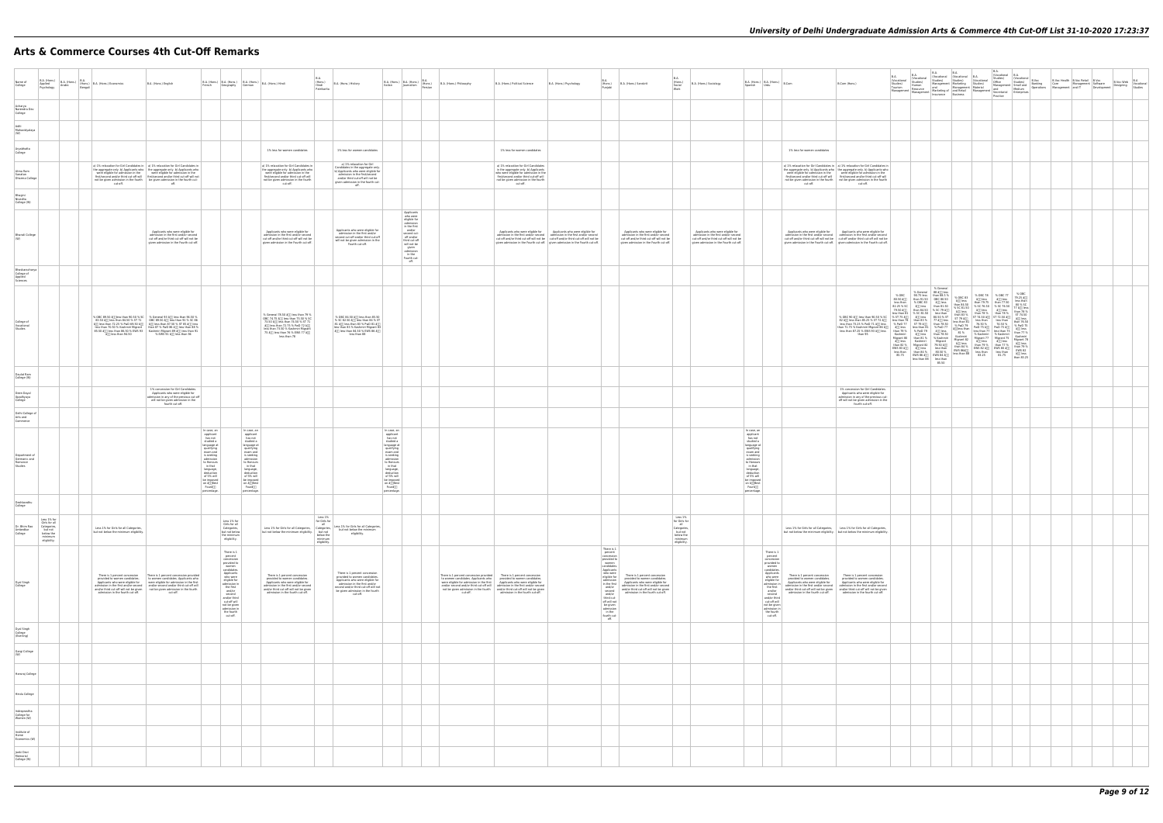# **Arts & Commerce Courses 4th Cut-Off Remarks**

| Name of<br>College                                  | Applied<br>Psychology                                                                          | Arabic<br>Bengali | B.A. (Hons.) B.A. (Hons.) B.A. (Hons.) B.A. (Hons.) Economics                  | B.A. (Hons.) English                                                                                                                                                                                                                                                                                                                                                                                                                          |                                                                                                                                                                                                                              | Geography<br>German                                                                                                                                                                                                                                               |                                                                                                                                                                                                                                                                  | B.A.<br>(Hons.)<br>Hindi<br>B.A. (Hons.) History<br>Patrikarita                                                                                                                                                                                                                                                                                                                          | B.A. (Hons.) B.A. (Hons.) B.A. (Hons.) (Hons.)                                                                                                                                                                                                                    |                                                                                                                                                                                     | B.A. (Hons.) Philosophy                                                                                                                   | B.A. (Hons.) Political Science                                                                                                                                                                                                                                | B.A. (Hons.) Psychology                                                                                                                                                                                                                             | B.A.<br>(Hons.)<br>Punjabi                                                                                                                                                                                                                                                                                                                                         | B.A. (Hons.) Sanskrit                                                                                                                                                                                                    | B.A.<br>(Hons.)<br>Social<br>Work                                                                 | B.A. (Hons.) Sociology                                                                                                                                         | $B.A.$ (Hons.) $B.A.$ (Hons.) $B.Com$<br>Spanish Urdu                                                                                                                                                                                                                         |                                                                | B.Com (Hons.)                                                                                                                                                                                                                                                                                                                                                                                                                  |           |  |  | B.Voc Health<br>Care Management Software<br>Management and IT<br>Developmen | $\begin{tabular}{ c c c } \hline B.Voc & B.Voc Web & B.A & \\\hline Software & Bivoc Web & Vocational\\ Development & Designing & Studies \\ \hline \end{tabular}$ |  |
|-----------------------------------------------------|------------------------------------------------------------------------------------------------|-------------------|--------------------------------------------------------------------------------|-----------------------------------------------------------------------------------------------------------------------------------------------------------------------------------------------------------------------------------------------------------------------------------------------------------------------------------------------------------------------------------------------------------------------------------------------|------------------------------------------------------------------------------------------------------------------------------------------------------------------------------------------------------------------------------|-------------------------------------------------------------------------------------------------------------------------------------------------------------------------------------------------------------------------------------------------------------------|------------------------------------------------------------------------------------------------------------------------------------------------------------------------------------------------------------------------------------------------------------------|------------------------------------------------------------------------------------------------------------------------------------------------------------------------------------------------------------------------------------------------------------------------------------------------------------------------------------------------------------------------------------------|-------------------------------------------------------------------------------------------------------------------------------------------------------------------------------------------------------------------------------------------------------------------|-------------------------------------------------------------------------------------------------------------------------------------------------------------------------------------|-------------------------------------------------------------------------------------------------------------------------------------------|---------------------------------------------------------------------------------------------------------------------------------------------------------------------------------------------------------------------------------------------------------------|-----------------------------------------------------------------------------------------------------------------------------------------------------------------------------------------------------------------------------------------------------|--------------------------------------------------------------------------------------------------------------------------------------------------------------------------------------------------------------------------------------------------------------------------------------------------------------------------------------------------------------------|--------------------------------------------------------------------------------------------------------------------------------------------------------------------------------------------------------------------------|---------------------------------------------------------------------------------------------------|----------------------------------------------------------------------------------------------------------------------------------------------------------------|-------------------------------------------------------------------------------------------------------------------------------------------------------------------------------------------------------------------------------------------------------------------------------|----------------------------------------------------------------|--------------------------------------------------------------------------------------------------------------------------------------------------------------------------------------------------------------------------------------------------------------------------------------------------------------------------------------------------------------------------------------------------------------------------------|-----------|--|--|-----------------------------------------------------------------------------|--------------------------------------------------------------------------------------------------------------------------------------------------------------------|--|
| Acharya<br>Narendra Dev<br>College                  |                                                                                                |                   |                                                                                |                                                                                                                                                                                                                                                                                                                                                                                                                                               |                                                                                                                                                                                                                              |                                                                                                                                                                                                                                                                   |                                                                                                                                                                                                                                                                  |                                                                                                                                                                                                                                                                                                                                                                                          |                                                                                                                                                                                                                                                                   |                                                                                                                                                                                     |                                                                                                                                           |                                                                                                                                                                                                                                                               |                                                                                                                                                                                                                                                     |                                                                                                                                                                                                                                                                                                                                                                    |                                                                                                                                                                                                                          |                                                                                                   |                                                                                                                                                                |                                                                                                                                                                                                                                                                               |                                                                |                                                                                                                                                                                                                                                                                                                                                                                                                                |           |  |  |                                                                             |                                                                                                                                                                    |  |
| Aditi<br>Mahavidyalaya<br>(W)                       |                                                                                                |                   |                                                                                |                                                                                                                                                                                                                                                                                                                                                                                                                                               |                                                                                                                                                                                                                              |                                                                                                                                                                                                                                                                   |                                                                                                                                                                                                                                                                  |                                                                                                                                                                                                                                                                                                                                                                                          |                                                                                                                                                                                                                                                                   |                                                                                                                                                                                     |                                                                                                                                           |                                                                                                                                                                                                                                                               |                                                                                                                                                                                                                                                     |                                                                                                                                                                                                                                                                                                                                                                    |                                                                                                                                                                                                                          |                                                                                                   |                                                                                                                                                                |                                                                                                                                                                                                                                                                               |                                                                |                                                                                                                                                                                                                                                                                                                                                                                                                                |           |  |  |                                                                             |                                                                                                                                                                    |  |
| Aryabhatta<br>College                               |                                                                                                |                   |                                                                                |                                                                                                                                                                                                                                                                                                                                                                                                                                               |                                                                                                                                                                                                                              |                                                                                                                                                                                                                                                                   | 1% less for women candidates                                                                                                                                                                                                                                     | 1% less for women candidates                                                                                                                                                                                                                                                                                                                                                             |                                                                                                                                                                                                                                                                   |                                                                                                                                                                                     |                                                                                                                                           | 1% less for women candidates                                                                                                                                                                                                                                  |                                                                                                                                                                                                                                                     |                                                                                                                                                                                                                                                                                                                                                                    |                                                                                                                                                                                                                          |                                                                                                   |                                                                                                                                                                |                                                                                                                                                                                                                                                                               | 1% less for women candidates                                   |                                                                                                                                                                                                                                                                                                                                                                                                                                |           |  |  |                                                                             |                                                                                                                                                                    |  |
| Atma Ram<br>Sanatan<br>Dharma College               |                                                                                                |                   |                                                                                | a) 1% relaxation for Girl Candidates in   a) 1% relaxation for Girl Candidates in<br>of the aggregate only. b) Applicants who the aggregate only. b) Applicants who were eligible for admission in the were eligible for admission in the first/second and/or third cut-off will first/second and/or third cut-off<br>native contract the mail of the fourth of the fourth cut-<br>not be given admission in the fourth cut-<br>cut-off. off. |                                                                                                                                                                                                                              |                                                                                                                                                                                                                                                                   | a) 1% relaxation for Girl Candidates in<br>a) 179 relaxation to 'unit candidates in<br>the aggregate only. b) Applicants who<br>were eligible for admission in the<br>first/second and/or third cut-off will<br>not be given admission in the fourth<br>cut-off. | a) 1% relaxation for Girl<br>Candidates in the aggregate only.<br>b) Applicants who were eligible for<br>admission in the first/second<br>and/or third cut-off will not be<br>given admission in the fourth cut-<br>off.                                                                                                                                                                 |                                                                                                                                                                                                                                                                   |                                                                                                                                                                                     |                                                                                                                                           | a) 1% relaxation for Girl Candidates<br>a) The relaxation for Girl Campioters<br>in the aggregate only. b) Applicants<br>who were eligible for admission in the<br>first/second and/or third cut-off will<br>not be given admission in the fourth<br>cut-off. |                                                                                                                                                                                                                                                     |                                                                                                                                                                                                                                                                                                                                                                    |                                                                                                                                                                                                                          |                                                                                                   |                                                                                                                                                                |                                                                                                                                                                                                                                                                               |                                                                | a) 1% relaxation for Girl Candidates in a) 1% relaxation for Girl Candidates in<br>of the aggregate only. b) Applicants who the aggregate only. b) Applicants who<br>were eligible for admission in the were eligible for admission in the first/second and/or third cut-off will first/second and/or third cut-off<br>not be given admission in the fourth not be given admission in the fourth<br>cut-off. cut-off. cut-off. |           |  |  |                                                                             |                                                                                                                                                                    |  |
| Bhagini<br>Nivedita<br>College (W)                  |                                                                                                |                   |                                                                                |                                                                                                                                                                                                                                                                                                                                                                                                                                               |                                                                                                                                                                                                                              |                                                                                                                                                                                                                                                                   |                                                                                                                                                                                                                                                                  |                                                                                                                                                                                                                                                                                                                                                                                          |                                                                                                                                                                                                                                                                   | Applicants                                                                                                                                                                          |                                                                                                                                           |                                                                                                                                                                                                                                                               |                                                                                                                                                                                                                                                     |                                                                                                                                                                                                                                                                                                                                                                    |                                                                                                                                                                                                                          |                                                                                                   |                                                                                                                                                                |                                                                                                                                                                                                                                                                               |                                                                |                                                                                                                                                                                                                                                                                                                                                                                                                                |           |  |  |                                                                             |                                                                                                                                                                    |  |
| <b>Bharati College</b>                              |                                                                                                |                   |                                                                                | Applicants who were eligible for<br>admission in the first and/or second<br>cut-off and/or third cut-off will not be<br>given admission in the Fourth cut-off                                                                                                                                                                                                                                                                                 |                                                                                                                                                                                                                              |                                                                                                                                                                                                                                                                   | Applicants who were eligible for<br>admission in the first and/or second<br>cut-off and/or third cut-off will not be<br>given admission in the Fourth cut-off.                                                                                                   | Applicants who were eligible for<br>admission in the first and/or<br>second cut-off and/or third cut-off<br>will not be given admission in the<br>Fourth cut-off.                                                                                                                                                                                                                        |                                                                                                                                                                                                                                                                   | who were<br>eligible for<br>admission<br>in the first<br>and/or<br>second cut-<br>off and/or<br>third cut-off<br>will not be<br>given<br>admission<br>in the<br>Fourth cut-<br>off. |                                                                                                                                           | Applicants who were eligible for                                                                                                                                                                                                                              | Applicants who were eligible for<br>admission in the first and/or second<br>cut-off and/or third cut-off will not be<br>cut-off and/or third cut-off will not be<br>given admission in the Fourth cut-off.   given admission in the Fourth cut-off. |                                                                                                                                                                                                                                                                                                                                                                    | Applicants who were eligible for<br>admission in the first and/or second<br>cut-off and/or third cut-off will not be<br>given admission in the Fourth cut-off.                                                           |                                                                                                   | Applicants who were eligible for<br>admission in the first and/or second<br>cut-off and/or third cut-off will not be<br>given admission in the Fourth cut-off. |                                                                                                                                                                                                                                                                               | Applicants who were eligible for                               | Applicants who were eligible for<br>admission in the first and/or second<br>cut-off and/or shows admission in the first and/or second<br>cut-off and/or third cut-off will not be<br>cut-off and/or third cut-off will not be<br>given admission in the Fourth cut-off.   given admission in the Fourth cut-off.                                                                                                               |           |  |  |                                                                             |                                                                                                                                                                    |  |
| Bhaskaracharya<br>College of<br>Applied<br>Sciences |                                                                                                |                   |                                                                                |                                                                                                                                                                                                                                                                                                                                                                                                                                               |                                                                                                                                                                                                                              |                                                                                                                                                                                                                                                                   |                                                                                                                                                                                                                                                                  |                                                                                                                                                                                                                                                                                                                                                                                          |                                                                                                                                                                                                                                                                   |                                                                                                                                                                                     |                                                                                                                                           |                                                                                                                                                                                                                                                               |                                                                                                                                                                                                                                                     |                                                                                                                                                                                                                                                                                                                                                                    |                                                                                                                                                                                                                          |                                                                                                   |                                                                                                                                                                |                                                                                                                                                                                                                                                                               |                                                                |                                                                                                                                                                                                                                                                                                                                                                                                                                |           |  |  |                                                                             |                                                                                                                                                                    |  |
| College of<br>Vocational<br>Studies                 |                                                                                                |                   |                                                                                | % OBC 89.50 å [ ] less than 90.50 % SC % General 93 å [ ] less than 94.50 %<br>83.50 am less than 84.50 % 57.71 (and 85.50 am less than 91.% SC 86<br>All less than 72.25 % PWD 69.50 am less than 91.% SC 86<br>less than 77.25 % PWD 69.50 am less than 87.50 % ST 85 am less than 88.%<br>85.50 âm 195.50 \$ EWS 93<br>85.50 âm 196.50 % EWS 93<br>85.50 âm 196.50 % EWS 93<br>86.50 % EWS 91 âm 196.50 % EWS 91 âm 194.50                 |                                                                                                                                                                                                                              |                                                                                                                                                                                                                                                                   | % General 78.50 å[j] less than 79 %<br>OBC 74.75 å[j] less than 75.50 % SC<br>73.50 å[j] less than 74.50 % ST 71<br>å[j] less than 72.75 % PwD 72 å[j]<br>less than 73.50 % Kashmiri Migrant<br>75 â[j] less than 76 % EWS 77 â[j]<br>less than 78               | % OBC 84.50 â[j] less than 85.50<br>% SC 82.50 and less than 84 % ST<br>81 and less than 83 % PwD 81 and<br>less than 83 % Kashmiri Migrant 83<br>8[] less than 84.50 % EWS 86 8[]<br>less than 88                                                                                                                                                                                       |                                                                                                                                                                                                                                                                   |                                                                                                                                                                                     |                                                                                                                                           |                                                                                                                                                                                                                                                               |                                                                                                                                                                                                                                                     |                                                                                                                                                                                                                                                                                                                                                                    |                                                                                                                                                                                                                          |                                                                                                   |                                                                                                                                                                |                                                                                                                                                                                                                                                                               |                                                                |                                                                                                                                                                                                                                                                                                                                                                                                                                | % General |  |  |                                                                             |                                                                                                                                                                    |  |
| Daulat Ram<br>College (W)                           |                                                                                                |                   |                                                                                |                                                                                                                                                                                                                                                                                                                                                                                                                                               |                                                                                                                                                                                                                              |                                                                                                                                                                                                                                                                   |                                                                                                                                                                                                                                                                  |                                                                                                                                                                                                                                                                                                                                                                                          |                                                                                                                                                                                                                                                                   |                                                                                                                                                                                     |                                                                                                                                           |                                                                                                                                                                                                                                                               |                                                                                                                                                                                                                                                     |                                                                                                                                                                                                                                                                                                                                                                    |                                                                                                                                                                                                                          |                                                                                                   |                                                                                                                                                                |                                                                                                                                                                                                                                                                               |                                                                |                                                                                                                                                                                                                                                                                                                                                                                                                                |           |  |  |                                                                             |                                                                                                                                                                    |  |
| Deen Daval<br>Upadhyaya<br>College                  |                                                                                                |                   |                                                                                | 1% concession for Girl Candidates.<br>Applicants who were eligible for<br>mission in any of the previous cut-off<br>will not be given admission in the<br>fourth cut-off.                                                                                                                                                                                                                                                                     |                                                                                                                                                                                                                              |                                                                                                                                                                                                                                                                   |                                                                                                                                                                                                                                                                  |                                                                                                                                                                                                                                                                                                                                                                                          |                                                                                                                                                                                                                                                                   |                                                                                                                                                                                     |                                                                                                                                           |                                                                                                                                                                                                                                                               |                                                                                                                                                                                                                                                     |                                                                                                                                                                                                                                                                                                                                                                    |                                                                                                                                                                                                                          |                                                                                                   |                                                                                                                                                                |                                                                                                                                                                                                                                                                               |                                                                | 1% concession for Girl Candidates<br>Applicants who were eligible for<br>admission in any of the previous cut-<br>off will not be given admission in the<br>fourth cut-off.                                                                                                                                                                                                                                                    |           |  |  |                                                                             |                                                                                                                                                                    |  |
| Delhi College of<br>Arts and<br>Commerce            |                                                                                                |                   |                                                                                |                                                                                                                                                                                                                                                                                                                                                                                                                                               |                                                                                                                                                                                                                              |                                                                                                                                                                                                                                                                   |                                                                                                                                                                                                                                                                  |                                                                                                                                                                                                                                                                                                                                                                                          |                                                                                                                                                                                                                                                                   |                                                                                                                                                                                     |                                                                                                                                           |                                                                                                                                                                                                                                                               |                                                                                                                                                                                                                                                     |                                                                                                                                                                                                                                                                                                                                                                    |                                                                                                                                                                                                                          |                                                                                                   |                                                                                                                                                                |                                                                                                                                                                                                                                                                               |                                                                |                                                                                                                                                                                                                                                                                                                                                                                                                                |           |  |  |                                                                             |                                                                                                                                                                    |  |
| Department of<br>Germanic and<br>Romance<br>Studies |                                                                                                |                   |                                                                                |                                                                                                                                                                                                                                                                                                                                                                                                                                               | In case, an<br>applicant<br>has not<br>studied a<br>language at<br>qualifying<br>exam and<br>is seeking<br>admission<br>to Honours<br>in that<br>language,<br>deduction<br>of 5% will<br>be imposed<br>on angest<br>Fourage. | In case, an<br>applicant studied a<br>has not studied a<br>language at qualifying exam and admission<br>at seeking admission to thonours<br>in that language, deduction of 5% will<br>be imposed being apple Four<br>applies Four-four-four-four-f                |                                                                                                                                                                                                                                                                  |                                                                                                                                                                                                                                                                                                                                                                                          | In case, an<br>applicant<br>has not<br>studied a<br>language at<br>qualifying<br>exam and<br>is seeking<br>admission<br>to Honours<br>in that<br>language,<br>deduction<br>of 5% will<br>be imposed<br>on $\frac{\text{d}}{\text{d}}$ Best<br>Four<br>percentage. |                                                                                                                                                                                     |                                                                                                                                           |                                                                                                                                                                                                                                                               |                                                                                                                                                                                                                                                     |                                                                                                                                                                                                                                                                                                                                                                    |                                                                                                                                                                                                                          |                                                                                                   |                                                                                                                                                                | In case, an<br>applicant<br>has not<br>studied a<br>studied<br>almogage at<br>qualifying<br>exam and<br>is seeking<br>admission<br>to Homoura<br>deduction<br>of 5% will<br>be imposed<br>be imposed<br>on $\delta$ [[] Best<br>Four $\delta$ <sup>[]</sup> []<br>percentage. |                                                                |                                                                                                                                                                                                                                                                                                                                                                                                                                |           |  |  |                                                                             |                                                                                                                                                                    |  |
| Deshbandhu<br>College                               |                                                                                                |                   |                                                                                |                                                                                                                                                                                                                                                                                                                                                                                                                                               |                                                                                                                                                                                                                              |                                                                                                                                                                                                                                                                   |                                                                                                                                                                                                                                                                  |                                                                                                                                                                                                                                                                                                                                                                                          |                                                                                                                                                                                                                                                                   |                                                                                                                                                                                     |                                                                                                                                           |                                                                                                                                                                                                                                                               |                                                                                                                                                                                                                                                     |                                                                                                                                                                                                                                                                                                                                                                    |                                                                                                                                                                                                                          |                                                                                                   |                                                                                                                                                                |                                                                                                                                                                                                                                                                               |                                                                |                                                                                                                                                                                                                                                                                                                                                                                                                                |           |  |  |                                                                             |                                                                                                                                                                    |  |
| Dr. Bhim Rao<br>Ambedkar<br>College                 | Less 1% for<br>Girls for all<br>Categories,<br>but not<br>below the<br>minimum<br>eligibility. |                   | Less 1% for Girls for all Categories<br>but not below the minimum eligibility. |                                                                                                                                                                                                                                                                                                                                                                                                                                               |                                                                                                                                                                                                                              | Less 1% for<br>Girls for all<br>Categories,<br>but not below<br>the minimum<br>eligibility.                                                                                                                                                                       |                                                                                                                                                                                                                                                                  | Less 1%<br>for Girls for<br>all<br>$\left[\begin{array}{c c} \text{Less 1% for Gints for all Categorical,} & \text{Less 1% for Gints for all Categorical,} \\ \text{but not below the minimum eligibility.} & \text{but not below the minimum} \\ \text{below the minimum} & \text{below the minimum} \\ \text{and } & \text{the maximum} \end{array}\right]$<br>minimum<br>eligibility. |                                                                                                                                                                                                                                                                   |                                                                                                                                                                                     |                                                                                                                                           |                                                                                                                                                                                                                                                               |                                                                                                                                                                                                                                                     |                                                                                                                                                                                                                                                                                                                                                                    |                                                                                                                                                                                                                          | Less 1%<br>for Girls for<br>all<br>Categories,<br>but not<br>below the<br>minimum<br>eligibility. |                                                                                                                                                                |                                                                                                                                                                                                                                                                               |                                                                | Less 1% for Girls for all Categories, Less 1% for Girls for all Categories<br>but not below the minimum eligibility. but not below the minimum eligibility.                                                                                                                                                                                                                                                                    |           |  |  |                                                                             |                                                                                                                                                                    |  |
| Dyal Singh<br>College                               |                                                                                                |                   | There is 1 percent concession<br>provided to women candidates.                 | There is 1 percent concession provided<br>to women candidates. Applicants who<br>Applicants who were eligible for were eligible for and<br>interfacts and the first admission in the first admission the first and<br>of the cut-off will not be given and the second and/or short of the fourth<br>admission in the fo                                                                                                                       |                                                                                                                                                                                                                              | There is 1<br>percent<br>concession<br>provided to<br>women<br>candidates.<br>cain<br>Applicants<br>who were<br>eligible for<br>admission in<br>the first<br>and/or<br>and/or<br>and/or<br>cut-off will<br>not be given<br>admission in<br>the fourth<br>cut-off. | There is 1 percent concession<br>provided to women candidates.<br>Applicants who were eligible for<br>admission in the first and/or second<br>and/or third cut-off will not be given<br>admission in the fourth cut-off.                                         | There is 1 percent concession<br>provided to women candidates.<br>Applicants who were eligible for<br>admission in the first and/or<br>second and/or third cut-off will not<br>be given admission in the fourth<br>cut-off.                                                                                                                                                              |                                                                                                                                                                                                                                                                   |                                                                                                                                                                                     | There is 1 percent concession provided There is 1 percent concession<br>to women candidates. Applicants who provided to women candidates. |                                                                                                                                                                                                                                                               |                                                                                                                                                                                                                                                     | There is 1<br>percent<br>$\begin{array}{c} \text{concession} \\ \text{provided to} \\ \text{women} \\ \text{candidates.} \end{array}$<br>Applicants<br>Applicants<br>who were<br>who were<br>eligible for<br>admission<br>the first<br>and/or<br>and/or<br>third cut-<br>be given<br>admission<br>fourth cut-<br>fourth cut-<br>off will not<br>fourth cut-<br>off | There is 1 percent concession<br>provided to women candidates.<br>Applicants who were eligible for<br>admission in the first and/or second<br>and/or third cut-off will not be given<br>admission in the fourth cut-off. |                                                                                                   |                                                                                                                                                                | There is 1<br>percent<br>concession<br>provided to<br>women<br>candidates.<br>Applicants<br>who were<br>eligible for<br>admission in<br>the first<br>and/or<br>second<br>and/or third<br>cut-off will<br>not be given<br>admission in<br>the fourth<br>cut-off.               | There is 1 percent concession<br>provided to women candidates. | There is 1 nerrent concession<br>provided to women candidates.<br>provide the method way. The provide the provide the proposed of applicants who were eligible for<br>admission in the first and/or second admission in the first and/or second<br>and/or third cut-off will not be given<br>and/or secon                                                                                                                      |           |  |  |                                                                             |                                                                                                                                                                    |  |
| Dyal Singh<br>College<br>(Evening)                  |                                                                                                |                   |                                                                                |                                                                                                                                                                                                                                                                                                                                                                                                                                               |                                                                                                                                                                                                                              |                                                                                                                                                                                                                                                                   |                                                                                                                                                                                                                                                                  |                                                                                                                                                                                                                                                                                                                                                                                          |                                                                                                                                                                                                                                                                   |                                                                                                                                                                                     |                                                                                                                                           |                                                                                                                                                                                                                                                               |                                                                                                                                                                                                                                                     |                                                                                                                                                                                                                                                                                                                                                                    |                                                                                                                                                                                                                          |                                                                                                   |                                                                                                                                                                |                                                                                                                                                                                                                                                                               |                                                                |                                                                                                                                                                                                                                                                                                                                                                                                                                |           |  |  |                                                                             |                                                                                                                                                                    |  |
| Gargi College<br>(W)                                |                                                                                                |                   |                                                                                |                                                                                                                                                                                                                                                                                                                                                                                                                                               |                                                                                                                                                                                                                              |                                                                                                                                                                                                                                                                   |                                                                                                                                                                                                                                                                  |                                                                                                                                                                                                                                                                                                                                                                                          |                                                                                                                                                                                                                                                                   |                                                                                                                                                                                     |                                                                                                                                           |                                                                                                                                                                                                                                                               |                                                                                                                                                                                                                                                     |                                                                                                                                                                                                                                                                                                                                                                    |                                                                                                                                                                                                                          |                                                                                                   |                                                                                                                                                                |                                                                                                                                                                                                                                                                               |                                                                |                                                                                                                                                                                                                                                                                                                                                                                                                                |           |  |  |                                                                             |                                                                                                                                                                    |  |
| Hansraj College                                     |                                                                                                |                   |                                                                                |                                                                                                                                                                                                                                                                                                                                                                                                                                               |                                                                                                                                                                                                                              |                                                                                                                                                                                                                                                                   |                                                                                                                                                                                                                                                                  |                                                                                                                                                                                                                                                                                                                                                                                          |                                                                                                                                                                                                                                                                   |                                                                                                                                                                                     |                                                                                                                                           |                                                                                                                                                                                                                                                               |                                                                                                                                                                                                                                                     |                                                                                                                                                                                                                                                                                                                                                                    |                                                                                                                                                                                                                          |                                                                                                   |                                                                                                                                                                |                                                                                                                                                                                                                                                                               |                                                                |                                                                                                                                                                                                                                                                                                                                                                                                                                |           |  |  |                                                                             |                                                                                                                                                                    |  |
| Hindu College                                       |                                                                                                |                   |                                                                                |                                                                                                                                                                                                                                                                                                                                                                                                                                               |                                                                                                                                                                                                                              |                                                                                                                                                                                                                                                                   |                                                                                                                                                                                                                                                                  |                                                                                                                                                                                                                                                                                                                                                                                          |                                                                                                                                                                                                                                                                   |                                                                                                                                                                                     |                                                                                                                                           |                                                                                                                                                                                                                                                               |                                                                                                                                                                                                                                                     |                                                                                                                                                                                                                                                                                                                                                                    |                                                                                                                                                                                                                          |                                                                                                   |                                                                                                                                                                |                                                                                                                                                                                                                                                                               |                                                                |                                                                                                                                                                                                                                                                                                                                                                                                                                |           |  |  |                                                                             |                                                                                                                                                                    |  |
| Indraprastha<br>College for<br>Women (W)            |                                                                                                |                   |                                                                                |                                                                                                                                                                                                                                                                                                                                                                                                                                               |                                                                                                                                                                                                                              |                                                                                                                                                                                                                                                                   |                                                                                                                                                                                                                                                                  |                                                                                                                                                                                                                                                                                                                                                                                          |                                                                                                                                                                                                                                                                   |                                                                                                                                                                                     |                                                                                                                                           |                                                                                                                                                                                                                                                               |                                                                                                                                                                                                                                                     |                                                                                                                                                                                                                                                                                                                                                                    |                                                                                                                                                                                                                          |                                                                                                   |                                                                                                                                                                |                                                                                                                                                                                                                                                                               |                                                                |                                                                                                                                                                                                                                                                                                                                                                                                                                |           |  |  |                                                                             |                                                                                                                                                                    |  |
| Institute of<br>Home<br>Economics (W)               |                                                                                                |                   |                                                                                |                                                                                                                                                                                                                                                                                                                                                                                                                                               |                                                                                                                                                                                                                              |                                                                                                                                                                                                                                                                   |                                                                                                                                                                                                                                                                  |                                                                                                                                                                                                                                                                                                                                                                                          |                                                                                                                                                                                                                                                                   |                                                                                                                                                                                     |                                                                                                                                           |                                                                                                                                                                                                                                                               |                                                                                                                                                                                                                                                     |                                                                                                                                                                                                                                                                                                                                                                    |                                                                                                                                                                                                                          |                                                                                                   |                                                                                                                                                                |                                                                                                                                                                                                                                                                               |                                                                |                                                                                                                                                                                                                                                                                                                                                                                                                                |           |  |  |                                                                             |                                                                                                                                                                    |  |
| Janki Devi<br>Memorial<br>College (W)               |                                                                                                |                   |                                                                                |                                                                                                                                                                                                                                                                                                                                                                                                                                               |                                                                                                                                                                                                                              |                                                                                                                                                                                                                                                                   |                                                                                                                                                                                                                                                                  |                                                                                                                                                                                                                                                                                                                                                                                          |                                                                                                                                                                                                                                                                   |                                                                                                                                                                                     |                                                                                                                                           |                                                                                                                                                                                                                                                               |                                                                                                                                                                                                                                                     |                                                                                                                                                                                                                                                                                                                                                                    |                                                                                                                                                                                                                          |                                                                                                   |                                                                                                                                                                |                                                                                                                                                                                                                                                                               |                                                                |                                                                                                                                                                                                                                                                                                                                                                                                                                |           |  |  |                                                                             |                                                                                                                                                                    |  |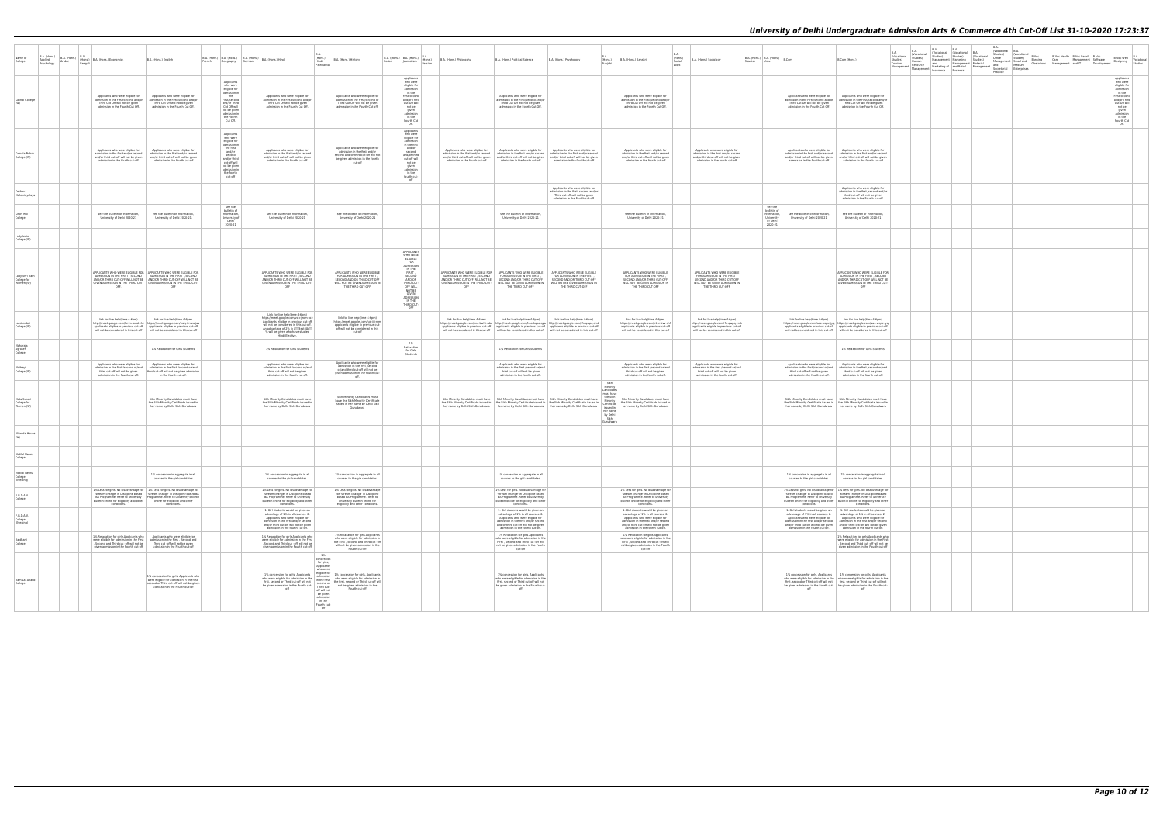|                                                                         |                                                                                                                                                  |                                                                                                                                                                                                                                                                                                                             |                                                                                                                                                                                  |                                                                                                                                                                                                                                                            |                                                                                                                                                                                |                                                                                                                                                                                         |                                                                                                               |                                                                                                                                                                                                                                                                                                                                                                                  |                                                                                                                                                      |                                                                                         |                                                                                                                                                                                                                                                                       |                          |                                                                                                                                                            |         |                                                                        |                                                                                                                                                                                                                                                                                                                                                |                                                                                                                                                                        | B.A.                                                                                                  | B.A.                                                                                                                                                                            | B.A. | B.A. |                                                                                                                                                                                                                                                                                                                      |                                                             |                                                                                                                                                                               |                                        |
|-------------------------------------------------------------------------|--------------------------------------------------------------------------------------------------------------------------------------------------|-----------------------------------------------------------------------------------------------------------------------------------------------------------------------------------------------------------------------------------------------------------------------------------------------------------------------------|----------------------------------------------------------------------------------------------------------------------------------------------------------------------------------|------------------------------------------------------------------------------------------------------------------------------------------------------------------------------------------------------------------------------------------------------------|--------------------------------------------------------------------------------------------------------------------------------------------------------------------------------|-----------------------------------------------------------------------------------------------------------------------------------------------------------------------------------------|---------------------------------------------------------------------------------------------------------------|----------------------------------------------------------------------------------------------------------------------------------------------------------------------------------------------------------------------------------------------------------------------------------------------------------------------------------------------------------------------------------|------------------------------------------------------------------------------------------------------------------------------------------------------|-----------------------------------------------------------------------------------------|-----------------------------------------------------------------------------------------------------------------------------------------------------------------------------------------------------------------------------------------------------------------------|--------------------------|------------------------------------------------------------------------------------------------------------------------------------------------------------|---------|------------------------------------------------------------------------|------------------------------------------------------------------------------------------------------------------------------------------------------------------------------------------------------------------------------------------------------------------------------------------------------------------------------------------------|------------------------------------------------------------------------------------------------------------------------------------------------------------------------|-------------------------------------------------------------------------------------------------------|---------------------------------------------------------------------------------------------------------------------------------------------------------------------------------|------|------|----------------------------------------------------------------------------------------------------------------------------------------------------------------------------------------------------------------------------------------------------------------------------------------------------------------------|-------------------------------------------------------------|-------------------------------------------------------------------------------------------------------------------------------------------------------------------------------|----------------------------------------|
| B.A. (Hons.)<br>B.A. (Hons.)<br>Name of<br>Applied<br>College<br>Arabic | (Hons.) B.A. (Hons.) Economics<br>Benga                                                                                                          | B.A. (Hons.) English                                                                                                                                                                                                                                                                                                        | Geography                                                                                                                                                                        | B.A.<br>B.A. (Hons.) B.A. (Hons.) B.A. (Hons.) B.A. (Hons.) Hindi<br>(Hons.)<br>Hindi<br>German<br>Patrikarita                                                                                                                                             | B.A. (Hons.) History                                                                                                                                                           | $\begin{tabular}{ c c } \hline B.A. (Hons.) & B.A. (Hons.) & B.A. \\ Italian & Journalism & (Hons.) \\ \hline \end{tabular}$                                                            | B.A. (Hons.) Philosophy                                                                                       | B.A. (Hons.) Political Science                                                                                                                                                                                                                                                                                                                                                   | B.A. (Hons.) Psychology                                                                                                                              | (Hons.)                                                                                 | B.A. (Hons.) Sanskrit                                                                                                                                                                                                                                                 | R A<br>(Hons.)<br>Social | B.A. (Hons.) Sociology                                                                                                                                     | Snanish | $\vert$ B.A. (Hons.) $\vert$ B.A. (Hons.) $\vert$ B.Com<br><b>Urdu</b> |                                                                                                                                                                                                                                                                                                                                                | B.Com (Hons.)                                                                                                                                                          | (Vocational<br>Studies)<br>Tourism<br>Resource<br>Management   Management   Marketing or   and notice | B.A. B.A. B.A. B.A. B.A.<br>I (Vocational (Vocational B.A. (Vocational Studies) Studies) (Vocational<br>Studies) Management Marketing Studies)<br>Human and Management Material |      |      | The Contractional B.A.<br>Studies) (Vocational Studies)<br>(Vocational B.Voc<br>Studies) Studies) (Volcatorial Management Marketing Cudies) Management Marketing Cudies) Management Small and Banking<br>and Management Marketing Cudies) Management Small and Banking<br>and Marketing of and Retail Management and | B.Voc Health B.Voc Retail B.Voc<br>Care Management Software | B.Voc Web                                                                                                                                                                     | B.A<br>B. Voc Web<br>Designing Studies |
| Kalindi Colleg                                                          | Applicants who were eligible for<br>admission in the First/Second and/or<br>Third Cut Off will not be given<br>admission in the Fourth Cut Off.  | Applicants who were eligible fo<br>admission in the First/Second and/or<br>Third Cut Off will not be given<br>admission in the Fourth Cut Off                                                                                                                                                                               | Applicants<br>who were<br>eligible for<br>admission in<br>the<br>First/Second<br>and/or Third<br>Cut Off will<br>not be given<br>admission in<br>the Fourth<br>Cut Off.          | Applicants who were eligible for<br>admission in the First/Second and/c<br>Third Cut Off will not be given<br>admission in the Fourth Cut Off                                                                                                              | Applicants who were eligible for<br>admission in the First/Second or<br>Third Cut Off will not be given<br>admission in the Fourth Cut off.                                    | Applicants<br>who were<br>eligible for<br>admission<br>in the<br>First/Second<br>and/or Third<br>Cut Off will<br>not be<br>given<br>admission<br>in the<br>Fourth Cut<br>Off.           |                                                                                                               | Applicants who were eligible for<br>admission in the First/Second and/or<br>Third Cut Off will not be given<br>admission in the Fourth Cut Off.                                                                                                                                                                                                                                  |                                                                                                                                                      |                                                                                         | Applicants who were eligible for<br>admission in the First/Second and/or<br>Third Cut Off will not be given<br>admission in the Fourth Cut Off                                                                                                                        |                          |                                                                                                                                                            |         |                                                                        | Applicants who were eligible for<br>admission in the First/Second and/or<br>Third Cut Off will not be given<br>admission in the Fourth Cut Off.                                                                                                                                                                                                | Applicants who were eligible for<br>admission in the First/Second and/or<br>Third Cut Off will not be given<br>admission in the Fourth Cut Off                         |                                                                                                       |                                                                                                                                                                                 |      |      |                                                                                                                                                                                                                                                                                                                      |                                                             | Applicants<br>who were<br>eligible for<br>admission<br>in the<br>First/Second<br>and/or Third<br>Cut Off will<br>not be<br>given<br>admission<br>in the<br>Fourth Cut<br>Off. |                                        |
| Kamala Nehn<br>College (W)                                              | Applicants who were eligible for<br>and/or third cut-off will not be given<br>admission in the fourth cut-off                                    | Applicants who were eligible for<br>admission in the first and/or second admission in the first and/or second<br>and/or third cut-off will not be given<br>admission in the fourth cut-off                                                                                                                                  | Applicants<br>who were<br>eligible for<br>admission in<br>the first<br>and/or<br>second<br>and/or third<br>cut-off will<br>not be given<br>admission in<br>the fourth<br>cut-off | Applicants who were eligible for<br>admission in the first and/or second<br>and/or third cut-off will not be given<br>admission in the fourth cut-off                                                                                                      | Applicants who were eligible for<br>admission in the first and/or<br>second and/or third cut-off will not<br>be given admission in the fourth<br>cut-off                       | Applicants<br>who were<br>eligible for<br>admission<br>in the first<br>and/or<br>second<br>and/or third<br>cut-off will<br>not be<br>given<br>admission<br>in the<br>fourth cut-<br>off | Applicants who were eligible for<br>and/or third cut-off will not be given<br>admission in the fourth cut-off | Applicants who were eligible for<br>admission in the first and/or second   admission in the first and/or second   admission in the first and/or second<br>admission in the fourth cut-off                                                                                                                                                                                        | Applicants who were eligible for<br>and/or third cut-off will not be given and/or third cut-off will not be given<br>admission in the fourth cut-off |                                                                                         | Applicants who were eligible for<br>admission in the first and/or second<br>and/or third cut-off will not be give<br>admission in the fourth cut-off                                                                                                                  |                          | Applicants who were eligible for<br>admission in the first and/or second<br>and/or third cut-off will not be give<br>admission in the fourth cut-off       |         |                                                                        | Applicants who were eligible for<br>admission in the first and/or second admission in the first and/or second<br>and/or third cut-off will not be given<br>admission in the fourth cut-off                                                                                                                                                     | Applicants who were eligible for<br>and/or third cut-off will not be given<br>admission in the fourth cut-off                                                          |                                                                                                       |                                                                                                                                                                                 |      |      |                                                                                                                                                                                                                                                                                                                      |                                                             |                                                                                                                                                                               |                                        |
| Keshav<br>Mahavidyalay                                                  |                                                                                                                                                  |                                                                                                                                                                                                                                                                                                                             |                                                                                                                                                                                  |                                                                                                                                                                                                                                                            |                                                                                                                                                                                |                                                                                                                                                                                         |                                                                                                               |                                                                                                                                                                                                                                                                                                                                                                                  | Applicants who were eligible for<br>admission in the first, second and/or<br>Third cut-off will not be given<br>admission in the Fourth cut-off.     |                                                                                         |                                                                                                                                                                                                                                                                       |                          |                                                                                                                                                            |         |                                                                        |                                                                                                                                                                                                                                                                                                                                                | Applicants who were eligible for<br>admission in the first, second and/or<br>third cut-off will not be given<br>admission in the Fourth cut-off.                       |                                                                                                       |                                                                                                                                                                                 |      |      |                                                                                                                                                                                                                                                                                                                      |                                                             |                                                                                                                                                                               |                                        |
| Kirori Mal<br>College                                                   | see the bulletin of information<br>University of Delhi 2020-21                                                                                   | see the bulletin of information<br>University of Delhi 2020-21                                                                                                                                                                                                                                                              | see the<br>bulletin of<br>information,<br>University of<br>Delhi<br>2020-21                                                                                                      | see the bulletin of information<br>University of Delhi 2020-21                                                                                                                                                                                             | see the bulletin of information<br>University of Delhi 2020-21                                                                                                                 |                                                                                                                                                                                         |                                                                                                               | see the bulletin of information<br>University of Delhi 2020-21                                                                                                                                                                                                                                                                                                                   |                                                                                                                                                      |                                                                                         | see the bulletin of information<br>University of Delhi 2020-21                                                                                                                                                                                                        |                          |                                                                                                                                                            |         | bulletin of<br>information<br>University<br>of Delh<br>2020-21         | see the bulletin of information.<br>University of Delhi 2020-21                                                                                                                                                                                                                                                                                | see the bulletin of information<br>University of Delhi 2020-21                                                                                                         |                                                                                                       |                                                                                                                                                                                 |      |      |                                                                                                                                                                                                                                                                                                                      |                                                             |                                                                                                                                                                               |                                        |
| College (W)                                                             |                                                                                                                                                  |                                                                                                                                                                                                                                                                                                                             |                                                                                                                                                                                  |                                                                                                                                                                                                                                                            |                                                                                                                                                                                |                                                                                                                                                                                         |                                                                                                               |                                                                                                                                                                                                                                                                                                                                                                                  |                                                                                                                                                      |                                                                                         |                                                                                                                                                                                                                                                                       |                          |                                                                                                                                                            |         |                                                                        |                                                                                                                                                                                                                                                                                                                                                |                                                                                                                                                                        |                                                                                                       |                                                                                                                                                                                 |      |      |                                                                                                                                                                                                                                                                                                                      |                                                             |                                                                                                                                                                               |                                        |
| Lady Shri Ran<br>College for<br>Women (W)                               | OFF.                                                                                                                                             | APPLICANTS WHO WERE ELIGIBLE FOR APPLICANTS WHO WERE ELIGIBLE FOR<br>ADMISSION IN THE FIRST , SECOND ADMISSION IN THE FIRST , SECOND AND/OR THIRD CUT-OFF WILL NOT BE<br>GIVEN ADMISSION IN THE THIRD CUT- GIVEN ADMISSION IN THE THIRD CUT<br>OFF                                                                          |                                                                                                                                                                                  | APPLICANTS WHO WERE ELIGIBLE FOR<br>ADMISSION IN THE FIRST, SECOND<br>AND/OR THIRD CUT-OFF WILL NOT RE<br>GIVEN ADMISSION IN THE THIRD CUT<br>OFF                                                                                                          | APPLICANTS WHO WERE FLIGIRLE.<br>FOR ADMISSION IN THE FIRST<br>SECOND AND/OR THIRD CUT-OFF<br>WILL NOT BE GIVEN ADMISSION IN<br>THE THIRD CUT-OFF                              | APPLICANTS<br>WHO WERE<br>ELIGIBLE<br>FOR<br>ADMISSION<br>IN THE<br>FIRST,<br>SECOND<br>AND/OR<br>THIRD CUT-<br>OFF WILL<br>NOT BE<br>GIVEN<br>ADMISSION<br>IN THE<br>THIRD CUT-<br>OFF | GIVEN ADMISSION IN THE THIRD CUT-<br>OFF                                                                      | APPLICANTS WHO WERE FLIGIRLE FOR APPLICANTS WHO WERE FLIGIRLE<br>ADMISSION IN THE FIRST, SECOND FOR ADMISSION IN THE FIRST, AND/OR THIRD CUT-OFF WILL NOT BE SECOND AND/OR THIRD CUT-OFF<br>WILL NOT BE GIVEN ADMISSION IN<br>THE THIRD CUT-OFF                                                                                                                                  | APPLICANTS WHO WERE ELIGIBLE<br>FOR ADMISSION IN THE FIRST<br>SECOND AND/OR THIRD CUT-OFF<br>WILL NOT BE GIVEN ADMISSION IN<br>THE THIRD CUT-OFF     |                                                                                         | APPLICANTS WHO WERE ELIGIBLE FOR ADMISSION IN THE FIRST<br>SECOND AND/OR THIRD CUT-OFF<br>WILL NOT BE GIVEN ADMISSION IN<br>THE THIRD CUT-OFF                                                                                                                         |                          | APPLICANTS WHO WERE ELIGIBLE<br>FOR ADMISSION IN THE FIRST,<br>SECOND AND/OR THIRD CUT-OF<br>WILL NOT BE GIVEN ADMISSION IN<br>THE THIRD CUT-OFF           |         |                                                                        |                                                                                                                                                                                                                                                                                                                                                | APPLICANTS WHO WERE ELIGIBLE FOR<br>ADMISSION IN THE FIRST, SECOND<br>AND/OR THIRD CUT-OFF WILL NOT BE<br>GIVEN ADMISSION IN THE THIRD CUT-<br>OFF                     |                                                                                                       |                                                                                                                                                                                 |      |      |                                                                                                                                                                                                                                                                                                                      |                                                             |                                                                                                                                                                               |                                        |
| Lakshmibai<br>College (W)                                               | link for live help(time 4-6pm)                                                                                                                   | link for live help(time 4-6pm)<br>http://meet.google.com/hmm-sxsd-zhz https://meet.google.com/mzq-imww-jaa<br>applicants eligible in previous cut-off applicants eligible in previous cut-off will not be considered in this cut-off will not be considered in this cut-off                                                 |                                                                                                                                                                                  | Link for live help(time 4-6pm)<br>https://meet.google.com/vcb-jeom-bcz<br>Applicants eligible in previous cut-off<br>will not be considered in this cut-off.<br>n advantage of 2% in å[][Best 4å[][<br>% will be given who have studied<br>Hindi Elective. | link for live help(time 4-6pm)<br>https://meet.google.com/sqf-jiii-njm<br>applicants eligible in previous cut-<br>off will not be considered in this<br>cut-off                |                                                                                                                                                                                         | link for live help(time 4-6pm)                                                                                | link for live help(time 4-6pm)<br>https://meet.google.com/cne-bwht-wbe http://meet.google.com/hea-kgpo-gpa http://meet.google.com/rfn-gwpg-cmk<br>applicants eligible in previous cut-off applicants eligible in previous cut-off applicants eligible in previous cut-off will not be considered in this cut-off will not be considered in this cut-off will not be considered i | link for live help(time 4-6pm)                                                                                                                       |                                                                                         | link for live help(time 4-6pm)<br>https://meet.google.com/trb-mkvv-shf<br>applicants eligible in previous cut-off<br>will not be considered in this cut-off                                                                                                           |                          | link for live help(time 4-6pm)<br>http://meet.google.com/rfn-gwpg-cmk<br>applicants eligible in previous cut-off<br>will not be considered in this cut-off |         |                                                                        | link for live help(time 4-6pm)<br>https://meet.google.com/aae-wgnc-jyg https://meet.google.com/aae-wgnc-jyg<br>applicants eligible in previous cut-off applicants eligible in previous cut-off will not be considered in this cut-off will not be considered in this cut-off                                                                   | link for live help(time 4-6pm)                                                                                                                                         |                                                                                                       |                                                                                                                                                                                 |      |      |                                                                                                                                                                                                                                                                                                                      |                                                             |                                                                                                                                                                               |                                        |
| Maharaja<br>Agrasen<br>College                                          |                                                                                                                                                  | 1% Relaxation for Girls Students                                                                                                                                                                                                                                                                                            |                                                                                                                                                                                  | 1% Relaxation for Girls Students                                                                                                                                                                                                                           |                                                                                                                                                                                | 1%<br>Relaxation<br>for Girls<br>Students                                                                                                                                               |                                                                                                               | 1% Relaxation for Girls Students                                                                                                                                                                                                                                                                                                                                                 |                                                                                                                                                      |                                                                                         |                                                                                                                                                                                                                                                                       |                          |                                                                                                                                                            |         |                                                                        |                                                                                                                                                                                                                                                                                                                                                | 1% Relaxation for Girls Students                                                                                                                                       |                                                                                                       |                                                                                                                                                                                 |      |      |                                                                                                                                                                                                                                                                                                                      |                                                             |                                                                                                                                                                               |                                        |
| Maitreyi<br>College (W)                                                 | Applicants who were eligible for<br>admission in the first /second or/and<br>third cut-off will not be given<br>admission in the fourth cut-off. | Applicants who were eligible for<br>admission in the first /second or/and<br>third cut-off will not be given admission<br>in the fourth cut-off.                                                                                                                                                                            |                                                                                                                                                                                  | Applicants who were eligible for<br>dmission in the first /second or/and<br>third cut-off will not be given<br>admission in the fourth cut-off.                                                                                                            | Applicants who were eligible for<br>admission in the first /second<br>or/and third cut-off will not be<br>given admission in the fourth cut<br>off.                            |                                                                                                                                                                                         |                                                                                                               | Applicants who were eligible for<br>admission in the first /second or/and<br>third cut-off will not be given<br>admission in the fourth cut-off.                                                                                                                                                                                                                                 |                                                                                                                                                      |                                                                                         | Applicants who were eligible for<br>admission in the first /second or/and<br>third cut-off will not be given<br>admission in the fourth cut-off.                                                                                                                      |                          | Applicants who were eligible for<br>admission in the first /second or/and<br>third cut-off will not be given<br>admission in the fourth cut-off            |         |                                                                        | Applicants who were eligible for<br>admission in the first /second or/and<br>third cut-off will not be given<br>admission in the fourth cut-off.                                                                                                                                                                                               | Applicants who were eligible for<br>admission in the first /second or/and<br>third cut-off will not be given<br>admission in the fourth cut-off.                       |                                                                                                       |                                                                                                                                                                                 |      |      |                                                                                                                                                                                                                                                                                                                      |                                                             |                                                                                                                                                                               |                                        |
| Mata Sundr<br>College for<br>Women (W)                                  |                                                                                                                                                  | Sikh Minority Candidates must have<br>the Sikh Minority Certificate issued in<br>her name by Delhi Sikh Gurudwara                                                                                                                                                                                                           |                                                                                                                                                                                  | Sikh Minority Candidates must have<br>the Sikh Minority Certificate issued in<br>her name by Delhi Sikh Gurudwara                                                                                                                                          | Sikh Minority Candidates must<br>have the Sikh Minority Certificate<br>issued in her name by Delhi Sikh<br>Gurudwara                                                           |                                                                                                                                                                                         |                                                                                                               | her name by Delhi Sikh Gurudwara   her name by Delhi Sikh Gurudwara   her name by Delhi Sikh Gurudwara                                                                                                                                                                                                                                                                           |                                                                                                                                                      | Sikh<br>Minority<br>must have<br>issued in<br>her name<br>by Delhi<br>Sikh<br>Gurudwara | Sikh Minority Candidates must have Skh Minority Candidates must have Skh Minority Candidates must have the Skh<br>the Skh Minority Certificate issued in the Skh Minority Certificate issued in the skh Minority Certificate in M<br>her name by Delhi Sikh Gurudwara |                          |                                                                                                                                                            |         |                                                                        | Sikh Minority Candidates must have Sikh Minority Candidates must have<br>the Sikh Minority Certificate issued in the Sikh Minority Certificate issued in<br>her name by Delhi Sikh Gurudwara her name by Delhi Sikh Gurudwara                                                                                                                  |                                                                                                                                                                        |                                                                                                       |                                                                                                                                                                                 |      |      |                                                                                                                                                                                                                                                                                                                      |                                                             |                                                                                                                                                                               |                                        |
| Miranda Hous                                                            |                                                                                                                                                  |                                                                                                                                                                                                                                                                                                                             |                                                                                                                                                                                  |                                                                                                                                                                                                                                                            |                                                                                                                                                                                |                                                                                                                                                                                         |                                                                                                               |                                                                                                                                                                                                                                                                                                                                                                                  |                                                                                                                                                      |                                                                                         |                                                                                                                                                                                                                                                                       |                          |                                                                                                                                                            |         |                                                                        |                                                                                                                                                                                                                                                                                                                                                |                                                                                                                                                                        |                                                                                                       |                                                                                                                                                                                 |      |      |                                                                                                                                                                                                                                                                                                                      |                                                             |                                                                                                                                                                               |                                        |
| Motilal Nehru<br>College                                                |                                                                                                                                                  |                                                                                                                                                                                                                                                                                                                             |                                                                                                                                                                                  |                                                                                                                                                                                                                                                            |                                                                                                                                                                                |                                                                                                                                                                                         |                                                                                                               |                                                                                                                                                                                                                                                                                                                                                                                  |                                                                                                                                                      |                                                                                         |                                                                                                                                                                                                                                                                       |                          |                                                                                                                                                            |         |                                                                        |                                                                                                                                                                                                                                                                                                                                                |                                                                                                                                                                        |                                                                                                       |                                                                                                                                                                                 |      |      |                                                                                                                                                                                                                                                                                                                      |                                                             |                                                                                                                                                                               |                                        |
| Motilal Nehru<br>(Evening)                                              |                                                                                                                                                  | 1% concession in aggregate in all<br>courses to the girl candidates                                                                                                                                                                                                                                                         |                                                                                                                                                                                  | 1% concession in aggregate in all<br>courses to the girl candidates                                                                                                                                                                                        | 1% concession in aggregate in all<br>courses to the girl candidate                                                                                                             |                                                                                                                                                                                         |                                                                                                               | 1% concession in aggregate in all<br>courses to the girl candidates                                                                                                                                                                                                                                                                                                              |                                                                                                                                                      |                                                                                         |                                                                                                                                                                                                                                                                       |                          |                                                                                                                                                            |         |                                                                        | 1% concession in aggregate in all 1% concession in aggregate in all<br>courses to the girl candidates.                                                                                                                                                                                                                                         | courses to the girl candidate                                                                                                                                          |                                                                                                       |                                                                                                                                                                                 |      |      |                                                                                                                                                                                                                                                                                                                      |                                                             |                                                                                                                                                                               |                                        |
| P.G.D.A.V.<br>College                                                   | conditions.                                                                                                                                      | 1% Less for girls. No disadvantage for 1% Less for girls. No disadvantage for<br>Stream change' in Discipline based<br>BA Programme. Refer to university<br>bulletin bulletin online for eligibility and other<br>Discipline based<br>Discriming for eligibility and other<br>online for eligibility and other<br>online fo |                                                                                                                                                                                  | 1% Less for girls. No disadvantage for<br>'stream change' in Discipline based<br>BA Programme. Refer to university<br>bulletin online for eligibility and other<br>conditions.                                                                             | 1% Less for girls. No disadvantage<br>for 'stream change' in Discipline<br>based BA Programme. Refer to<br>university bulletin online for<br>eligibility and other conditions. |                                                                                                                                                                                         |                                                                                                               | 1% Less for girls. No disadvantage for<br>'stream change' in Discipline based<br>BA Programme. Refer to university<br>bulletin online for eligibility and other<br>conditions                                                                                                                                                                                                    |                                                                                                                                                      |                                                                                         | 1% Less for girls. No disadvantage for<br>'stream change' in Discipline based<br>BA Programme. Refer to university<br>bulletin online for eligibility and other<br>conditions.                                                                                        |                          |                                                                                                                                                            |         |                                                                        | 1% Less for girls. No disadvantage for   1% Less for girls. No disadvantage for<br>'stream change' in Discipline based 'stream change' in Discipline based<br>BA Programme. Refer to university BA Programme. Refer to university<br>bulletin online for eligibility and other bulletin online for eligibility and other<br>conditions.        | condition:                                                                                                                                                             |                                                                                                       |                                                                                                                                                                                 |      |      |                                                                                                                                                                                                                                                                                                                      |                                                             |                                                                                                                                                                               |                                        |
| P.G.D.A.V.<br>College<br>(Evening)                                      |                                                                                                                                                  |                                                                                                                                                                                                                                                                                                                             |                                                                                                                                                                                  | 1. Girl students would be given an<br>advantage of 1% in all courses, 2.<br>Applicants who were eligible for<br>admission in the first and/or second<br>and/or third cut-off will not be given<br>admission in the fourth cut-off.                         |                                                                                                                                                                                |                                                                                                                                                                                         |                                                                                                               | 1. Girl students would be given an<br>advantage of 1% in all courses. 2<br>Applicants who were eligible for<br>admission in the first and/or second<br>and/or third cut-off will not be given<br>admission in the fourth cut-off.                                                                                                                                                |                                                                                                                                                      |                                                                                         | 1. Girl students would be given an<br>advantage of 1% in all courses. 2<br>Applicants who were eligible for<br>admission in the first and/or second<br>and/or third cut-off will not be given<br>admission in the fourth cut-off.                                     |                          |                                                                                                                                                            |         |                                                                        | 1. Girl students would be given an 1. Girl students would be given an<br>advantage of 1% in all courses. 2.<br>Applicants who were eligible for<br>admission in the first and/or second admission in the first and/or second<br>and/or third cut-off will not be given and/or third cut-off will not be given admission in the fourth cut-off. | advantage of 1% in all courses. 2<br>Applicants who were eligible for                                                                                                  |                                                                                                       |                                                                                                                                                                                 |      |      |                                                                                                                                                                                                                                                                                                                      |                                                             |                                                                                                                                                                               |                                        |
| Rajdhani<br>College                                                     | given admission in the Fourth cut-off                                                                                                            | 1% Relaxation for girls.Applicants who   Applicants who were eligible for<br>were eligible for admission in the First admission in the First , Second and<br>Second and Third cut -off will not be Third cut -off will not be given<br>admission in the Fourth cut-off                                                      |                                                                                                                                                                                  | 1% Relaxation for girls.Applicants who<br>were eligible for admission in the First<br>, Second and Third cut -off will not be<br>given admission in the Fourth cut-off                                                                                     | 1% Relaxation for girls.Applicants<br>who were eligible for admission in<br>the First , Second and Third cut -off<br>will not be given admission in the<br>Fourth cut-off      |                                                                                                                                                                                         |                                                                                                               | 1% Relaxation for girls.Applicants<br>who were eligible for admission in the<br>First , Second and Third cut -off will<br>not be given admission in the Fourth<br>cut-off                                                                                                                                                                                                        |                                                                                                                                                      |                                                                                         | 1% Relaxation for girls Applicants<br>who were eligible for admission in the<br>First , Second and Third cut -off will<br>not be given admission in the Fourth<br>cut-off                                                                                             |                          |                                                                                                                                                            |         |                                                                        |                                                                                                                                                                                                                                                                                                                                                | 1% Relaxation for girls.Applicants who<br>were eligible for admission in the First<br>, Second and Third cut -off will not be<br>given admission in the Fourth cut-off |                                                                                                       |                                                                                                                                                                                 |      |      |                                                                                                                                                                                                                                                                                                                      |                                                             |                                                                                                                                                                               |                                        |
| Ram Lal Anand<br>College                                                |                                                                                                                                                  | 1% concession for girls, Applicants who<br>were eligible for admission in the first.<br>second or Third cut-off will not be given<br>admission in the Fourth cut-off                                                                                                                                                        |                                                                                                                                                                                  | 1% concession for girls, Applicants<br>$\frac{1}{2}$ in the material of the selfished in the self of the self of the self of the self of the self of the self of the self of the method in the method in the first, second or Third<br>off                 | 1%<br>concession<br>for girls,<br>Applicants<br>who were<br>Fourth cut-off<br>off will not<br>be given<br>admission<br>in the<br>Fourth cut-<br>off                            |                                                                                                                                                                                         |                                                                                                               | 1% concession for girls, Applicants<br>who were eligible for admission in the<br>first, second or Third cut-off will not<br>be given admission in the Fourth cut-<br>off                                                                                                                                                                                                         |                                                                                                                                                      |                                                                                         |                                                                                                                                                                                                                                                                       |                          |                                                                                                                                                            |         |                                                                        | 1% concession for girls, Applicants 1% concession for girls, Applicants<br>who were eligible for admission in the who were eligible for admission in the<br>first, second or Third cut-off will not first, second or Third cut-off will not<br>be given admission in the Fourth cut- be given admission in the Fourth cut-<br>off              | off                                                                                                                                                                    |                                                                                                       |                                                                                                                                                                                 |      |      |                                                                                                                                                                                                                                                                                                                      |                                                             |                                                                                                                                                                               |                                        |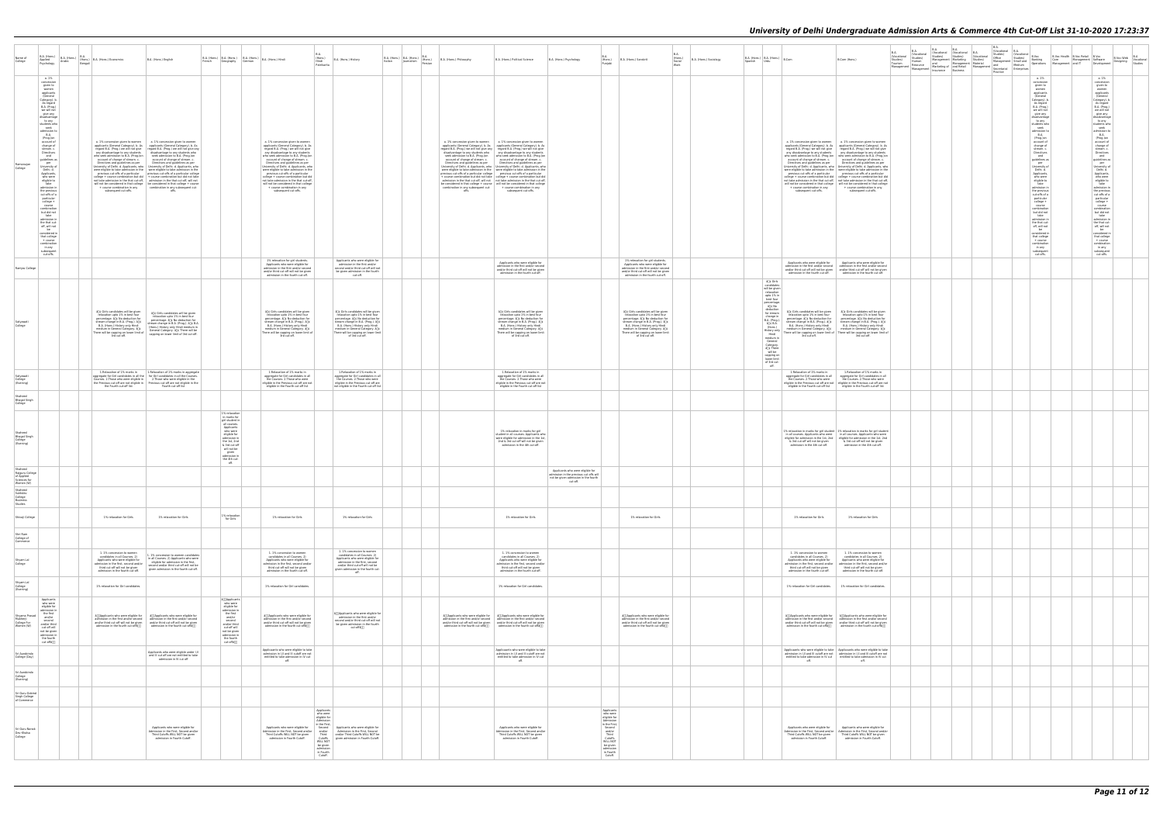| Name of<br>College                                                    | $\left  \begin{array}{cc} \text{B.A. (Hons.)} \\ \cdot \end{array} \right $ $\left  \begin{array}{c} \text{B.A. (Hons.)} \end{array} \right $<br>Applied<br>Psychology                                                                                                                                                                                                                                                                                                                                                                                                                                                                                                                                              | B.A<br>Arabic<br>Benga | (Hons.) B.A. (Hons.) Economics                                                                                                                                                                                                                                                                        | B.A. (Hons.) English                                                                                                                                                                                                                                                                                                                                                                                                                                                                                                                                                                                                                                                                                                                                                                                                                                                                                                                                                                                                              |                                                                                                                                                                                                                     | B.A. (Hons.) B.A. (Hons.)   B.A. (Hons.)   B.A. (Hons.) Hindi<br>German                                                                                                                                                                                                                                                                                                                                                                                                                                                                                                                                              | B.A.<br>(Hons.)<br>Hindi<br>Patrikarita                                                                                           | B.A. (Hons.) History                                                                                                                                                                                                                                                                       | B.A<br>B.A. (Hons.) B.A. (Hons.)<br>Journalism (Hons.)<br>Italian | B.A. (Hons.) Philosophy                                                                                                  | B.A. (Hons.) Political Science                                                                                                                                                                                                                                                                                                                                                                                                                                                                                                                                                                                                                                                                                                                                                                                                                                                                                                                                                                                                    | B.A. (Hons.) Psychology                                                                                                        | B.A.<br>(Hons.)<br>Punjabi                                                                                                                                                                                                                | B.A. (Hons.) Sanskrit                                                                                                                                                                                                                                                                       | B.A.<br>(Hons.)<br>Social<br>Work | B.A. (Hons.) Sociology | $\begin{array}{ c c c c c c }\n\hline\n\text{B.A. (Hons.)} & \text{B.A. (Hons.)} & \text{B.Com} \\ \hline\n\end{array}$<br>Urdu                                                                                                                                                                    |                                                                                                                                                                                                                                                                                                                          | B.Com (Hons.)                                                                                                                                                                                                                                                                                                                                                                                                                                                                                                                                                                                                                         |  |  |                                                                                                                                                                                                                                                                                                                                                                                                                                                                                                                                                                                                                                                                                                                                                                                                             | B.Voc Health B.Voc Retail B.Voc<br>Care<br>Care Management Software | B.A<br><b>B.Voc Web</b><br>B.VOC WED<br>Designing Vocational                                                                                                                                                                                                                                                                                                                                                                                                                                                                                                                                                                                                                                                                                           |
|-----------------------------------------------------------------------|---------------------------------------------------------------------------------------------------------------------------------------------------------------------------------------------------------------------------------------------------------------------------------------------------------------------------------------------------------------------------------------------------------------------------------------------------------------------------------------------------------------------------------------------------------------------------------------------------------------------------------------------------------------------------------------------------------------------|------------------------|-------------------------------------------------------------------------------------------------------------------------------------------------------------------------------------------------------------------------------------------------------------------------------------------------------|-----------------------------------------------------------------------------------------------------------------------------------------------------------------------------------------------------------------------------------------------------------------------------------------------------------------------------------------------------------------------------------------------------------------------------------------------------------------------------------------------------------------------------------------------------------------------------------------------------------------------------------------------------------------------------------------------------------------------------------------------------------------------------------------------------------------------------------------------------------------------------------------------------------------------------------------------------------------------------------------------------------------------------------|---------------------------------------------------------------------------------------------------------------------------------------------------------------------------------------------------------------------|----------------------------------------------------------------------------------------------------------------------------------------------------------------------------------------------------------------------------------------------------------------------------------------------------------------------------------------------------------------------------------------------------------------------------------------------------------------------------------------------------------------------------------------------------------------------------------------------------------------------|-----------------------------------------------------------------------------------------------------------------------------------|--------------------------------------------------------------------------------------------------------------------------------------------------------------------------------------------------------------------------------------------------------------------------------------------|-------------------------------------------------------------------|--------------------------------------------------------------------------------------------------------------------------|-----------------------------------------------------------------------------------------------------------------------------------------------------------------------------------------------------------------------------------------------------------------------------------------------------------------------------------------------------------------------------------------------------------------------------------------------------------------------------------------------------------------------------------------------------------------------------------------------------------------------------------------------------------------------------------------------------------------------------------------------------------------------------------------------------------------------------------------------------------------------------------------------------------------------------------------------------------------------------------------------------------------------------------|--------------------------------------------------------------------------------------------------------------------------------|-------------------------------------------------------------------------------------------------------------------------------------------------------------------------------------------------------------------------------------------|---------------------------------------------------------------------------------------------------------------------------------------------------------------------------------------------------------------------------------------------------------------------------------------------|-----------------------------------|------------------------|----------------------------------------------------------------------------------------------------------------------------------------------------------------------------------------------------------------------------------------------------------------------------------------------------|--------------------------------------------------------------------------------------------------------------------------------------------------------------------------------------------------------------------------------------------------------------------------------------------------------------------------|---------------------------------------------------------------------------------------------------------------------------------------------------------------------------------------------------------------------------------------------------------------------------------------------------------------------------------------------------------------------------------------------------------------------------------------------------------------------------------------------------------------------------------------------------------------------------------------------------------------------------------------|--|--|-------------------------------------------------------------------------------------------------------------------------------------------------------------------------------------------------------------------------------------------------------------------------------------------------------------------------------------------------------------------------------------------------------------------------------------------------------------------------------------------------------------------------------------------------------------------------------------------------------------------------------------------------------------------------------------------------------------------------------------------------------------------------------------------------------------|---------------------------------------------------------------------|--------------------------------------------------------------------------------------------------------------------------------------------------------------------------------------------------------------------------------------------------------------------------------------------------------------------------------------------------------------------------------------------------------------------------------------------------------------------------------------------------------------------------------------------------------------------------------------------------------------------------------------------------------------------------------------------------------------------------------------------------------|
| Ramanujar<br>College                                                  | a. 1%<br>given to<br>women<br>applicants<br>(General<br>Category). b.<br>As regard<br>B.A. (Prog.)<br>we will not<br>give any<br>disadvantage<br>to any<br>students who<br>seek<br>admission to<br>B.A.<br>(Prog.)on<br>account of<br>change of<br>stream. c.<br>$\begin{array}{c} \text{Directives}\\ \text{and} \end{array}$<br>quidelines as<br>per<br>University of<br>Delhi. d.<br>Applicants,<br>who were<br>eligible to<br>take<br>admission in<br>the previous<br>cut-offs of a<br>particular<br>college +<br>course<br>combination<br>but did not<br>take<br>admission in<br>the that cut-<br>off, will not<br>be<br>considered in<br>that college<br>$+ \frac{1}{1}$<br>in any<br>subsequent<br>cut-offs. |                        | any disadvantage to any students<br>who seek admission to B.A. (Prog.)on                                                                                                                                                                                                                              | a. 1% concession given to women a. 1% concession given to women<br>applicants (General Category). b. As<br>regard B.A. (Prog.) we will not give<br>regard B.A. (Prog.) we will not give<br>regard B.A. (Prog.) we will not give<br>disadvantage to any students who<br>seek admission to B.A. (Prog.)on<br>account of change of stream. C.<br>Directives and guidelines as per Directives and guidelines as per University of Delhi. d. Applicants, who University of Delhi. d. Applicants, who<br>were eligible to take admission in the were eligible to take admission in the previous cut-offs of a particular previous cut-offs of a particular<br>college + course combination but did $+$ course combination but did not take<br>not take admission in the that cut-off, admission in the that cut-off, will not<br>will not be considered in that college   be considered in that college + course<br>+ course combination in any combination in any subsequent cut-<br>subsequent cut-subsequent cut-offs. $\frac{1}{2}$ |                                                                                                                                                                                                                     | a. 1% concession given to women<br>a. The concession given to women<br>applicants (General Category). b. As<br>regard B.A. (Prog.) we will not give<br>any disadvantage to any students<br>who seek admission to B.A. (Prog.)on<br>account of change of stream. c.<br>Directives and guidelines as per<br>University of Delhi. d. Applicants, who<br>were eligible to take admission in the<br>previous cut-offs of a particular<br>college + course combination but did<br>not take admission in the that cut-off,<br>will not be considered in that college<br>+ course combination in any<br>subsequent cut-offs. |                                                                                                                                   |                                                                                                                                                                                                                                                                                            |                                                                   | combination in any subsequent cut-<br>ourse combination in any offs.<br>subsequent cut-<br>offs.<br>subsequent cut-offs. | a. 1% concession given to women   a. 1% concession given to women<br>applicants (General Category). b. As applicants (General Category). b. As applicants (General Category). b. As<br>regard B.A. (Prog.) we will not give any regard B.A. (Prog.) we will not give<br>disadvantage to any students who any disadvantage to any students<br>seek admission to B.A. (Prog.)on who seek admission to B.A. (Prog.)on<br>account of change of stream. c.<br>Directives and guidelines as per<br>University of Delhi. d. Applicants, who University of Delhi. d. Applicants, who<br>one can be the basic of the state of the state of the state admission in the previous cut-offs of a particular college previous cut-offs of a particular<br>+ course combination but did not take college + course combination but did<br>admission in the that cut-off, will not a be considered in the that cut-off, will not take admission in the that cut-off, be considered in that college + course will not be considered in that college |                                                                                                                                |                                                                                                                                                                                                                                           |                                                                                                                                                                                                                                                                                             |                                   |                        |                                                                                                                                                                                                                                                                                                    | a. 1% concession given to women a. 1% concession given to women<br>any disadvantage to any students<br>who seek admission to B.A. (Prog.)on who seek admission to B.A. (Prog.)on<br>will not be considered in that college will not be considered in that college<br>+ course combination in any<br>subsequent cut-offs. | applicants (General Category). b. As applicants (General Category). b. As<br>regard B.A. (Prog.) we will not give regard B.A. (Prog.) we will not give<br>account of change of stream. c.<br>Directives and guidelines as per Directives and guidelines as per Directives and guidelines as per Directives and guidelines as per University of Delhi. d. Applicants, who<br>were eligible to take admission in the were eligible to take admission in the previous cut-offs of a particular<br>not take admission in the that cut-off, not take admission in the that cut-off,<br>+ course combination in any<br>subsequent cut-offs. |  |  | a. 1%<br>concession<br>given to<br>women<br>applicants<br>(General<br>Category). b.<br>As regard<br>B.A. (Prog.)<br>we will not<br>give any<br>disadvantage<br>to any<br>students who<br>seek<br>admission to<br>B.A.<br>B.A.<br>(Prog.)on<br>account of<br>change of<br>stream. c.<br>$\begin{array}{c} \text{Directives}\\ \text{and} \end{array}$<br>guidelines as<br>per<br>University of<br>Delhi. d.<br>Applicants,<br>who were<br>eligible to<br>take<br>admission in<br>the previous<br>cut-offs of a<br>particular<br>$\begin{array}{c} \text{college } + \\ \text{course} \\ \text{combination} \\ \text{but did not} \end{array}$<br>take<br>admission in<br>the that cut-<br>off, will not<br>be<br>considered in<br>that college<br>$+ coursecombination$<br>in any<br>subsequent<br>cut-offs. |                                                                     | a. 1%<br>concession<br>given to<br>women<br>applicants<br>(General<br>Category). b.<br>As regard<br>B.A. (Prog.)<br>we will not<br>give any<br>disadvantage<br>to any<br>students who<br>seek<br>admission to<br>B.A.<br>(Prog.)on<br>account of<br>change of<br>stream. c.<br>Directives<br>and<br>$\begin{tabular}{l} \hline\textbf{guidelines as per}\\ \hline \textbf{Der}\end{tabular}$ University of Delhi. d. Applicants,<br>who were<br>eligible to<br>take<br>admission in<br>the previous<br>cut-offs of a<br>particular<br>college +<br>course<br>combination<br>but did not<br>take<br>admission in<br>the that cut-<br>off, will not<br>be<br>considered in<br>that college<br>$+ coursecombination$<br>in any<br>subsequent<br>cut-offs. |
| Ramias College                                                        |                                                                                                                                                                                                                                                                                                                                                                                                                                                                                                                                                                                                                                                                                                                     |                        |                                                                                                                                                                                                                                                                                                       |                                                                                                                                                                                                                                                                                                                                                                                                                                                                                                                                                                                                                                                                                                                                                                                                                                                                                                                                                                                                                                   |                                                                                                                                                                                                                     | 1% relexation for girl students.<br>Applicants who were eligible for<br>admission in the first and/or second<br>animission in the risk analysis second<br>and/or third cut-off will not be given<br>admission in the fourth cut-off.                                                                                                                                                                                                                                                                                                                                                                                 |                                                                                                                                   | Applicants who were eligible for<br>admission in the first and/or<br>second and/or third cut-off will not<br>be given admission in the fourth<br>cut-off.                                                                                                                                  |                                                                   |                                                                                                                          | Applicants who were eligible for<br>admission in the first and/or second<br>and/or third cut-off will not be given<br>admission in the fourth cut-off.                                                                                                                                                                                                                                                                                                                                                                                                                                                                                                                                                                                                                                                                                                                                                                                                                                                                            |                                                                                                                                |                                                                                                                                                                                                                                           | 1% relexation for girl students.<br>Applicants who were eligible for<br>admission in the first and/or second<br>and/or third cut-off will not be give<br>admission in the fourth cut-off.                                                                                                   |                                   |                        |                                                                                                                                                                                                                                                                                                    | Annlicants who were eligible for<br>and/or third cut-off will not be given and/or third cut-off will not be given admission in the fourth cut-off. admission in the fourth cut-off.                                                                                                                                      | Applicants who were eligible for<br>admission in the first and/or second admission in the first and/or second                                                                                                                                                                                                                                                                                                                                                                                                                                                                                                                         |  |  |                                                                                                                                                                                                                                                                                                                                                                                                                                                                                                                                                                                                                                                                                                                                                                                                             |                                                                     |                                                                                                                                                                                                                                                                                                                                                                                                                                                                                                                                                                                                                                                                                                                                                        |
| Satyawat<br>College                                                   |                                                                                                                                                                                                                                                                                                                                                                                                                                                                                                                                                                                                                                                                                                                     |                        | â[]¢ Girls candidates will be given<br>relaxation unto 1% in hest four<br>percentage. a[]¢ No deduction for<br>stream change in B.A. (Prog.). â[]¢<br>B.A. (Hons.) History only Hindi<br>medium in General Category. $\delta$ <sup>1</sup><br>There will be capping on lower limit of<br>3rd cut-off. | â[]¢ Girls candidates will be given<br>relaxation upto 1% in best four<br>percentage. $\delta$ of No deduction for<br>stream change in B.A. (Prog.), âlle B.A.<br>(Hons.) History only Hindi medium in<br>General Category. â[]¢ There will be<br>capping on lower limit of 3rd cut-off.                                                                                                                                                                                                                                                                                                                                                                                                                                                                                                                                                                                                                                                                                                                                          |                                                                                                                                                                                                                     | â[]¢ Girls candidates will be given<br>relaxation upto 1% in best four<br>percentage. â[]¢ No deduction for<br>stream change in B.A. (Prog.). â[]¢<br>B.A. (Hons.) History only Hindi<br>medium in General Category. $\frac{5}{4}$<br>There will be capping on lower limit of<br>3rd cut-off.                                                                                                                                                                                                                                                                                                                        |                                                                                                                                   | â[]¢ Girls candidates will be given<br>relaxation unto 1% in hest four<br>percentage. and No deduction fo<br>stream change in B.A. (Prog.). â[]¢<br>B.A. (Hons.) History only Hindi<br>medium in General Category. $\delta$ [c]<br>There will be capping on lower limit<br>of 3rd cut-off. |                                                                   |                                                                                                                          | â[]¢ Girls candidates will be given<br>relaxation upto 1% in best four<br>percentage. a <sup>[]¢</sup> No deduction fo<br>stream change in B.A. (Prog.). â<br>B.A. (Hons.) History only Hindi<br>medium in General Category. $\delta$ []¢<br>There will be capping on lower limit<br>of 3rd cut-off.                                                                                                                                                                                                                                                                                                                                                                                                                                                                                                                                                                                                                                                                                                                              |                                                                                                                                |                                                                                                                                                                                                                                           | â[]¢ Girls candidates will be given<br>relaxation upto 1% in best four<br>percentage. a <sup>[]¢</sup> No deduction fr<br>tream change in B.A. (Prog.). and<br>B.A. (Hons.) History only Hindi<br>medium in General Category. and<br>There will be capping on lower limi<br>of 3rd cut-off. |                                   |                        | å∏¢ Girls<br>candidate<br>will be given<br>relaxation<br>upto 1% in<br>best four<br>percentage<br>â∏¢ No<br>deduction<br>for stream<br>change in<br>B.A. (Prog.).<br>â∏¢ B.A.<br>(Hons.)<br>medium in<br>General<br>Category.<br>å[]¢ There<br>will be<br>capping on<br>lower limit<br>of 3rd cut- | â[]¢ Girls candidates will be given<br>relaxation upto 1% in best four<br>percentage. â[]¢ No deduction for<br>stream change in B.A. (Prog.). â[]¢<br>B.A. (Hons.) History only Hindi<br>medium in General Category. $\delta$ of<br>3rd cut-off.                                                                         | â[]¢ Girls candidates will be given<br>relaxation upto 1% in best four<br>percentage. All the deduction for<br>stream change in B.A. (Prog.). All<br>B.A. (Hons.) History only Hindi<br>medium in General Category. $\delta$ <sup>1</sup><br>History only   There will be capping on lower limit of   There will be capping on lower limit of  <br>3rd cut-off.                                                                                                                                                                                                                                                                       |  |  |                                                                                                                                                                                                                                                                                                                                                                                                                                                                                                                                                                                                                                                                                                                                                                                                             |                                                                     |                                                                                                                                                                                                                                                                                                                                                                                                                                                                                                                                                                                                                                                                                                                                                        |
| Satyawat<br>College<br>(Evening)                                      |                                                                                                                                                                                                                                                                                                                                                                                                                                                                                                                                                                                                                                                                                                                     |                        |                                                                                                                                                                                                                                                                                                       | 1.Relaxation of 1% marks in 1.Relaxation of 1% marks in aggregate<br>aggregate for Girl candidates in all the for Girl candidates in all the Courses.<br>Courses. 2. Those who were eligible in   2. Those who were eligible in the<br>the Previous cut-off are not eligible in<br>the Frevious cut-off are not eligible in<br>the Fourth cut-off list<br>Fourth cut-off list<br>Fourth cut-off list<br>Fourth cut-off list                                                                                                                                                                                                                                                                                                                                                                                                                                                                                                                                                                                                       |                                                                                                                                                                                                                     | 1.Relaxation of 1% marks in<br>aggregate for Girl candidates in all<br>the Courses. 2. Those who were<br>eligible in the Previous cut-off are not<br>eligible in the Fourth cut-off list                                                                                                                                                                                                                                                                                                                                                                                                                             |                                                                                                                                   | 1.Relaxation of 1% marks in<br>aggregate for Girl candidates in all<br>the Courses. 2. Those who were<br>eligible in the Previous cut-off are<br>not eligible in the Fourth cut-off list                                                                                                   |                                                                   |                                                                                                                          | 1.Relaxation of 1% marks in<br>aggregate for Girl candidates in all<br>the Courses. 2. Those who were<br>eligible in the Previous cut-off are not<br>eligible in the Fourth cut-off list                                                                                                                                                                                                                                                                                                                                                                                                                                                                                                                                                                                                                                                                                                                                                                                                                                          |                                                                                                                                |                                                                                                                                                                                                                                           |                                                                                                                                                                                                                                                                                             |                                   |                        |                                                                                                                                                                                                                                                                                                    | 1.Relaxation of 1% marks in<br>eligible in the Previous cut-off are not<br>eligible in the Previous cut-off are not<br>eligible in the Fourth cut-off list<br>eligible in the Fourth cut-off list                                                                                                                        | 1.Relaxation of 1% marks in<br>aggregate for Girl candidates in all aggregate for Girl candidates in all<br>the Courses. 2.Those who were the Courses. 2.Those who were                                                                                                                                                                                                                                                                                                                                                                                                                                                               |  |  |                                                                                                                                                                                                                                                                                                                                                                                                                                                                                                                                                                                                                                                                                                                                                                                                             |                                                                     |                                                                                                                                                                                                                                                                                                                                                                                                                                                                                                                                                                                                                                                                                                                                                        |
| Shaheed<br><b>Bhagat Singh</b><br>College                             |                                                                                                                                                                                                                                                                                                                                                                                                                                                                                                                                                                                                                                                                                                                     |                        |                                                                                                                                                                                                                                                                                                       |                                                                                                                                                                                                                                                                                                                                                                                                                                                                                                                                                                                                                                                                                                                                                                                                                                                                                                                                                                                                                                   |                                                                                                                                                                                                                     |                                                                                                                                                                                                                                                                                                                                                                                                                                                                                                                                                                                                                      |                                                                                                                                   |                                                                                                                                                                                                                                                                                            |                                                                   |                                                                                                                          |                                                                                                                                                                                                                                                                                                                                                                                                                                                                                                                                                                                                                                                                                                                                                                                                                                                                                                                                                                                                                                   |                                                                                                                                |                                                                                                                                                                                                                                           |                                                                                                                                                                                                                                                                                             |                                   |                        |                                                                                                                                                                                                                                                                                                    |                                                                                                                                                                                                                                                                                                                          |                                                                                                                                                                                                                                                                                                                                                                                                                                                                                                                                                                                                                                       |  |  |                                                                                                                                                                                                                                                                                                                                                                                                                                                                                                                                                                                                                                                                                                                                                                                                             |                                                                     |                                                                                                                                                                                                                                                                                                                                                                                                                                                                                                                                                                                                                                                                                                                                                        |
| Bhagat Singh<br>College<br>(Evening)                                  |                                                                                                                                                                                                                                                                                                                                                                                                                                                                                                                                                                                                                                                                                                                     |                        |                                                                                                                                                                                                                                                                                                       |                                                                                                                                                                                                                                                                                                                                                                                                                                                                                                                                                                                                                                                                                                                                                                                                                                                                                                                                                                                                                                   | 1% relaxation<br>in marks for<br>girl student in<br>all courses.<br>Applicants<br>who were<br>eligible for<br>admission in<br>the 1st, 2nd<br>& 3rd cut-off<br>will not be<br>given<br>admission in<br>the 4th cut- |                                                                                                                                                                                                                                                                                                                                                                                                                                                                                                                                                                                                                      |                                                                                                                                   |                                                                                                                                                                                                                                                                                            |                                                                   |                                                                                                                          | 1% relaxation in marks for girl<br>student in all courses. Applicants who<br>were eligible for admission in the 1st.<br>2nd & 3rd cut-off will not be given<br>admission in the 4th cut-off.                                                                                                                                                                                                                                                                                                                                                                                                                                                                                                                                                                                                                                                                                                                                                                                                                                      |                                                                                                                                |                                                                                                                                                                                                                                           |                                                                                                                                                                                                                                                                                             |                                   |                        |                                                                                                                                                                                                                                                                                                    | in all courses. Applicants who were in all courses. Applicants who were<br>& 3rd cut-off will not be given<br>admission in the 4th cut-off.                                                                                                                                                                              | 1% relaxation in marks for girl student 1% relaxation in marks for girl student<br>eligible for admission in the 1st, 2nd eligible for admission in the 1st, 2nd<br>& 3rd cut-off will not be given<br>admission in the 4th cut-off.                                                                                                                                                                                                                                                                                                                                                                                                  |  |  |                                                                                                                                                                                                                                                                                                                                                                                                                                                                                                                                                                                                                                                                                                                                                                                                             |                                                                     |                                                                                                                                                                                                                                                                                                                                                                                                                                                                                                                                                                                                                                                                                                                                                        |
| Shaheed<br>Rajguru College<br>of Applied<br>Sciences for<br>Women (W) |                                                                                                                                                                                                                                                                                                                                                                                                                                                                                                                                                                                                                                                                                                                     |                        |                                                                                                                                                                                                                                                                                                       |                                                                                                                                                                                                                                                                                                                                                                                                                                                                                                                                                                                                                                                                                                                                                                                                                                                                                                                                                                                                                                   | off.                                                                                                                                                                                                                |                                                                                                                                                                                                                                                                                                                                                                                                                                                                                                                                                                                                                      |                                                                                                                                   |                                                                                                                                                                                                                                                                                            |                                                                   |                                                                                                                          |                                                                                                                                                                                                                                                                                                                                                                                                                                                                                                                                                                                                                                                                                                                                                                                                                                                                                                                                                                                                                                   | Applicants who were eligible for<br>admission in the previous cut offs will<br>not be given admission in the fourth<br>cut-off |                                                                                                                                                                                                                                           |                                                                                                                                                                                                                                                                                             |                                   |                        |                                                                                                                                                                                                                                                                                                    |                                                                                                                                                                                                                                                                                                                          |                                                                                                                                                                                                                                                                                                                                                                                                                                                                                                                                                                                                                                       |  |  |                                                                                                                                                                                                                                                                                                                                                                                                                                                                                                                                                                                                                                                                                                                                                                                                             |                                                                     |                                                                                                                                                                                                                                                                                                                                                                                                                                                                                                                                                                                                                                                                                                                                                        |
| Shaheed<br>Sukhdev<br>College<br>Business<br>Studies                  |                                                                                                                                                                                                                                                                                                                                                                                                                                                                                                                                                                                                                                                                                                                     |                        |                                                                                                                                                                                                                                                                                                       |                                                                                                                                                                                                                                                                                                                                                                                                                                                                                                                                                                                                                                                                                                                                                                                                                                                                                                                                                                                                                                   |                                                                                                                                                                                                                     |                                                                                                                                                                                                                                                                                                                                                                                                                                                                                                                                                                                                                      |                                                                                                                                   |                                                                                                                                                                                                                                                                                            |                                                                   |                                                                                                                          |                                                                                                                                                                                                                                                                                                                                                                                                                                                                                                                                                                                                                                                                                                                                                                                                                                                                                                                                                                                                                                   |                                                                                                                                |                                                                                                                                                                                                                                           |                                                                                                                                                                                                                                                                                             |                                   |                        |                                                                                                                                                                                                                                                                                                    |                                                                                                                                                                                                                                                                                                                          |                                                                                                                                                                                                                                                                                                                                                                                                                                                                                                                                                                                                                                       |  |  |                                                                                                                                                                                                                                                                                                                                                                                                                                                                                                                                                                                                                                                                                                                                                                                                             |                                                                     |                                                                                                                                                                                                                                                                                                                                                                                                                                                                                                                                                                                                                                                                                                                                                        |
| Shivaji College                                                       |                                                                                                                                                                                                                                                                                                                                                                                                                                                                                                                                                                                                                                                                                                                     |                        | 1% relaxation for Girls                                                                                                                                                                                                                                                                               | 1% relaxation for Girls                                                                                                                                                                                                                                                                                                                                                                                                                                                                                                                                                                                                                                                                                                                                                                                                                                                                                                                                                                                                           | 1% relaxation<br>for Girls                                                                                                                                                                                          | 1% relaxation for Girls                                                                                                                                                                                                                                                                                                                                                                                                                                                                                                                                                                                              |                                                                                                                                   | 1% relaxation for Girls                                                                                                                                                                                                                                                                    |                                                                   |                                                                                                                          | 1% relaxation for Girls                                                                                                                                                                                                                                                                                                                                                                                                                                                                                                                                                                                                                                                                                                                                                                                                                                                                                                                                                                                                           |                                                                                                                                |                                                                                                                                                                                                                                           | 1% relaxation for Girls                                                                                                                                                                                                                                                                     |                                   |                        |                                                                                                                                                                                                                                                                                                    | 1% relaxation for Girls                                                                                                                                                                                                                                                                                                  | 1% relaxation for Girls                                                                                                                                                                                                                                                                                                                                                                                                                                                                                                                                                                                                               |  |  |                                                                                                                                                                                                                                                                                                                                                                                                                                                                                                                                                                                                                                                                                                                                                                                                             |                                                                     |                                                                                                                                                                                                                                                                                                                                                                                                                                                                                                                                                                                                                                                                                                                                                        |
| Shri Ram<br>College of<br>Commerce                                    |                                                                                                                                                                                                                                                                                                                                                                                                                                                                                                                                                                                                                                                                                                                     |                        |                                                                                                                                                                                                                                                                                                       |                                                                                                                                                                                                                                                                                                                                                                                                                                                                                                                                                                                                                                                                                                                                                                                                                                                                                                                                                                                                                                   |                                                                                                                                                                                                                     |                                                                                                                                                                                                                                                                                                                                                                                                                                                                                                                                                                                                                      |                                                                                                                                   |                                                                                                                                                                                                                                                                                            |                                                                   |                                                                                                                          |                                                                                                                                                                                                                                                                                                                                                                                                                                                                                                                                                                                                                                                                                                                                                                                                                                                                                                                                                                                                                                   |                                                                                                                                |                                                                                                                                                                                                                                           |                                                                                                                                                                                                                                                                                             |                                   |                        |                                                                                                                                                                                                                                                                                                    |                                                                                                                                                                                                                                                                                                                          |                                                                                                                                                                                                                                                                                                                                                                                                                                                                                                                                                                                                                                       |  |  |                                                                                                                                                                                                                                                                                                                                                                                                                                                                                                                                                                                                                                                                                                                                                                                                             |                                                                     |                                                                                                                                                                                                                                                                                                                                                                                                                                                                                                                                                                                                                                                                                                                                                        |
| Shyam Lal<br>College                                                  |                                                                                                                                                                                                                                                                                                                                                                                                                                                                                                                                                                                                                                                                                                                     |                        | 1. 1% concession to women<br>candidates in all Courses. 2)<br>Applicants who were eligible for<br>admission in the first, second and/or<br>third cut-off will not be given<br>admission in the fourth cut-off.                                                                                        | 1.1% concession to women candidates<br>in all Courses. 2) Applicants who were<br>eligible for admission in the first,<br>second and/or third cut-off will not be<br>given admission in the fourth cut-off.                                                                                                                                                                                                                                                                                                                                                                                                                                                                                                                                                                                                                                                                                                                                                                                                                        |                                                                                                                                                                                                                     | 1.1% concession to women<br>candidates in all Courses, 2)<br>Applicants who were eligible for<br>admission in the first, second and/or<br>third cut-off will not be given<br>admission in the fourth cut-off.                                                                                                                                                                                                                                                                                                                                                                                                        |                                                                                                                                   | 1.1% concession to women<br>candidates in all Courses. 2)<br>Applicants who were eligible for<br>admission in the first, second<br>and/or third cut-off will not be<br>given admission in the fourth cut-                                                                                  |                                                                   |                                                                                                                          | 1. 1% concession to women<br>candidates in all Courses. 2)<br>Applicants who were eligible for<br>admission in the first, second and/o.<br>third cut-off will not be given<br>admission in the fourth cut-off                                                                                                                                                                                                                                                                                                                                                                                                                                                                                                                                                                                                                                                                                                                                                                                                                     |                                                                                                                                |                                                                                                                                                                                                                                           |                                                                                                                                                                                                                                                                                             |                                   |                        |                                                                                                                                                                                                                                                                                                    | 1. 1% concession to women<br>candidates in all Courses, 2)<br>Applicants who were eligible for<br>admission in the first, second and/or<br>third cut-off will not be given<br>admission in the fourth cut-off.                                                                                                           | 1.1% concession to women<br>candidates in all Courses, 2)<br>Applicants who were eligible fo<br>admission in the first, second and/or<br>third cut-off will not be given<br>admission in the fourth cut-off.                                                                                                                                                                                                                                                                                                                                                                                                                          |  |  |                                                                                                                                                                                                                                                                                                                                                                                                                                                                                                                                                                                                                                                                                                                                                                                                             |                                                                     |                                                                                                                                                                                                                                                                                                                                                                                                                                                                                                                                                                                                                                                                                                                                                        |
| Shyam Lal<br>College<br>(Evening)                                     |                                                                                                                                                                                                                                                                                                                                                                                                                                                                                                                                                                                                                                                                                                                     |                        | 1% relaxation for Girl candidates.                                                                                                                                                                                                                                                                    |                                                                                                                                                                                                                                                                                                                                                                                                                                                                                                                                                                                                                                                                                                                                                                                                                                                                                                                                                                                                                                   |                                                                                                                                                                                                                     | 1% relaxation for Girl candidates.                                                                                                                                                                                                                                                                                                                                                                                                                                                                                                                                                                                   |                                                                                                                                   | off.                                                                                                                                                                                                                                                                                       |                                                                   |                                                                                                                          | 1% relaxation for Girl candidates                                                                                                                                                                                                                                                                                                                                                                                                                                                                                                                                                                                                                                                                                                                                                                                                                                                                                                                                                                                                 |                                                                                                                                |                                                                                                                                                                                                                                           |                                                                                                                                                                                                                                                                                             |                                   |                        |                                                                                                                                                                                                                                                                                                    | 1% relaxation for Girl candidates. 1% relaxation for Girl candidates.                                                                                                                                                                                                                                                    |                                                                                                                                                                                                                                                                                                                                                                                                                                                                                                                                                                                                                                       |  |  |                                                                                                                                                                                                                                                                                                                                                                                                                                                                                                                                                                                                                                                                                                                                                                                                             |                                                                     |                                                                                                                                                                                                                                                                                                                                                                                                                                                                                                                                                                                                                                                                                                                                                        |
| Shyama Prasad<br>Mukherji<br>College For<br>Women (W)                 | Applicants<br>who were<br>eligible for<br>admission in<br>the first<br>and/or<br>second<br>and/or third<br>cut-off will<br>not be given<br>admission in<br>the fourth<br>cut-offâ[]                                                                                                                                                                                                                                                                                                                                                                                                                                                                                                                                 |                        | â <sub>0</sub> Applicants who were eligible for<br>admission in the first and/or second<br>admission in the fourth cut-offan                                                                                                                                                                          | å[[]Applicants who were eligible for<br>admission in the first and/or second<br>and/or third cut-off will not be given and/or third cut-off will not be given<br>admission in the fourth cut-offa[j]                                                                                                                                                                                                                                                                                                                                                                                                                                                                                                                                                                                                                                                                                                                                                                                                                              | <b>a</b> <sub>[]</sub> Applicants<br>who were<br>eligible for<br>admission in<br>the first<br>and/or<br>second<br>and/or third<br>cut-off will<br>not be given<br>admission in<br>the fourth<br>cut-offä[[]         | â<br>admission in the first and/or second<br>and/or third cut-off will not be given<br>admission in the fourth cut-offa[]]                                                                                                                                                                                                                                                                                                                                                                                                                                                                                           |                                                                                                                                   | <b>AFITApplicants who were eligible for</b><br>admission in the first and/or<br>second and/or third cut-off will not<br>be given admission in the fourth<br>cut-offace                                                                                                                     |                                                                   |                                                                                                                          | å[]]Applicants who were eligible for adil[]Applicants who were eligible for admission in the first and/or second admission in the first and/or second<br>and/or third cut-off will not be given and/or third cut-off will not be given<br>admission in the fourth cut-offacion admission in the fourth cut-offacion                                                                                                                                                                                                                                                                                                                                                                                                                                                                                                                                                                                                                                                                                                               |                                                                                                                                |                                                                                                                                                                                                                                           | â<br>admission in the first and/or second<br>and/or third cut-off will not be given<br>admission in the fourth cut-offall                                                                                                                                                                   |                                   |                        |                                                                                                                                                                                                                                                                                                    | and/or third cut-off will not be given and/or third cut-off will not be given<br>admission in the fourth cut-offact                                                                                                                                                                                                      | å[]]Applicants who were eligible for al[][Applicants who were eligible for admission in the first and/or second admission in the first and/or second<br>admission in the fourth cut-offa[]]                                                                                                                                                                                                                                                                                                                                                                                                                                           |  |  |                                                                                                                                                                                                                                                                                                                                                                                                                                                                                                                                                                                                                                                                                                                                                                                                             |                                                                     |                                                                                                                                                                                                                                                                                                                                                                                                                                                                                                                                                                                                                                                                                                                                                        |
| Sri Aurobindo<br>College (Day)                                        |                                                                                                                                                                                                                                                                                                                                                                                                                                                                                                                                                                                                                                                                                                                     |                        |                                                                                                                                                                                                                                                                                                       | Applicants who were eligible under I.II<br>and III cut off are not entitled to take<br>admission in IV cut off                                                                                                                                                                                                                                                                                                                                                                                                                                                                                                                                                                                                                                                                                                                                                                                                                                                                                                                    |                                                                                                                                                                                                                     | Applicaants who were eligible to take<br>admission in I, II and III cutoff are not<br>entitled to take admission in IV cut<br>off.                                                                                                                                                                                                                                                                                                                                                                                                                                                                                   |                                                                                                                                   |                                                                                                                                                                                                                                                                                            |                                                                   |                                                                                                                          | Applicaants who were eligible to take<br>admission in I,II and III cutoff are not<br>entitled to take admission in IV cut<br>off.                                                                                                                                                                                                                                                                                                                                                                                                                                                                                                                                                                                                                                                                                                                                                                                                                                                                                                 |                                                                                                                                |                                                                                                                                                                                                                                           |                                                                                                                                                                                                                                                                                             |                                   |                        |                                                                                                                                                                                                                                                                                                    | off.                                                                                                                                                                                                                                                                                                                     | Applicaants who were eligible to take   Applicaants who were eligible to take<br>admission in I, II and III cutoff are not admission in I, II and III cutoff are not<br>entitled to take admission in IV cut<br>entitled to take admission in IV cut<br>off.                                                                                                                                                                                                                                                                                                                                                                          |  |  |                                                                                                                                                                                                                                                                                                                                                                                                                                                                                                                                                                                                                                                                                                                                                                                                             |                                                                     |                                                                                                                                                                                                                                                                                                                                                                                                                                                                                                                                                                                                                                                                                                                                                        |
| Sri Aurobindo<br>College<br>(Evening)                                 |                                                                                                                                                                                                                                                                                                                                                                                                                                                                                                                                                                                                                                                                                                                     |                        |                                                                                                                                                                                                                                                                                                       |                                                                                                                                                                                                                                                                                                                                                                                                                                                                                                                                                                                                                                                                                                                                                                                                                                                                                                                                                                                                                                   |                                                                                                                                                                                                                     |                                                                                                                                                                                                                                                                                                                                                                                                                                                                                                                                                                                                                      |                                                                                                                                   |                                                                                                                                                                                                                                                                                            |                                                                   |                                                                                                                          |                                                                                                                                                                                                                                                                                                                                                                                                                                                                                                                                                                                                                                                                                                                                                                                                                                                                                                                                                                                                                                   |                                                                                                                                |                                                                                                                                                                                                                                           |                                                                                                                                                                                                                                                                                             |                                   |                        |                                                                                                                                                                                                                                                                                                    |                                                                                                                                                                                                                                                                                                                          |                                                                                                                                                                                                                                                                                                                                                                                                                                                                                                                                                                                                                                       |  |  |                                                                                                                                                                                                                                                                                                                                                                                                                                                                                                                                                                                                                                                                                                                                                                                                             |                                                                     |                                                                                                                                                                                                                                                                                                                                                                                                                                                                                                                                                                                                                                                                                                                                                        |
| Sri Guru Gobind<br>Singh College<br>of Commerce                       |                                                                                                                                                                                                                                                                                                                                                                                                                                                                                                                                                                                                                                                                                                                     |                        |                                                                                                                                                                                                                                                                                                       |                                                                                                                                                                                                                                                                                                                                                                                                                                                                                                                                                                                                                                                                                                                                                                                                                                                                                                                                                                                                                                   |                                                                                                                                                                                                                     |                                                                                                                                                                                                                                                                                                                                                                                                                                                                                                                                                                                                                      |                                                                                                                                   |                                                                                                                                                                                                                                                                                            |                                                                   |                                                                                                                          |                                                                                                                                                                                                                                                                                                                                                                                                                                                                                                                                                                                                                                                                                                                                                                                                                                                                                                                                                                                                                                   |                                                                                                                                |                                                                                                                                                                                                                                           |                                                                                                                                                                                                                                                                                             |                                   |                        |                                                                                                                                                                                                                                                                                                    |                                                                                                                                                                                                                                                                                                                          |                                                                                                                                                                                                                                                                                                                                                                                                                                                                                                                                                                                                                                       |  |  |                                                                                                                                                                                                                                                                                                                                                                                                                                                                                                                                                                                                                                                                                                                                                                                                             |                                                                     |                                                                                                                                                                                                                                                                                                                                                                                                                                                                                                                                                                                                                                                                                                                                                        |
| Sri Guru Nanak<br>Dev Khalsa<br>College                               |                                                                                                                                                                                                                                                                                                                                                                                                                                                                                                                                                                                                                                                                                                                     |                        |                                                                                                                                                                                                                                                                                                       | Applicants who were eligible for<br>Admission in the First, Second and/or<br>Third Cutoffs WILL NOT be given<br>admission in Fourth Cutoff.                                                                                                                                                                                                                                                                                                                                                                                                                                                                                                                                                                                                                                                                                                                                                                                                                                                                                       |                                                                                                                                                                                                                     | Applicants who were eligible for<br>Admission in the First, Second and/or<br>Third Cutoffs WILL NOT be given Third<br>admission in Fourth Cutoff. Cutoffs                                                                                                                                                                                                                                                                                                                                                                                                                                                            | Applicants<br>who were<br>eligible for<br>Admission<br>in the First,<br>WILL NOT<br>be given<br>admission<br>in Fourth<br>Cutoff. | Applicants who were eligible for<br>Admission in the First, Second<br>and/or Third Cutoffs WILL NOT be<br>given admission in Fourth Cutoff.                                                                                                                                                |                                                                   |                                                                                                                          | Applicants who were eligible for<br>Admission in the First, Second and/or<br>Third Cutoffs WILL NOT be given<br>admission in Fourth Cutoff.                                                                                                                                                                                                                                                                                                                                                                                                                                                                                                                                                                                                                                                                                                                                                                                                                                                                                       |                                                                                                                                | $\begin{array}{c} \mbox{Applicants}\\ \mbox{who were} \\ \mbox{displies for}\\ \mbox{In the First,} \\ \mbox{Sccord}\\ \mbox{and/or}\\ \mbox{Dard}\\ \mbox{WIL L NOT} \\ \mbox{be given}\\ \mbox{in fourth}\\ \mbox{Cutoff}. \end{array}$ |                                                                                                                                                                                                                                                                                             |                                   |                        |                                                                                                                                                                                                                                                                                                    | Applicants who were eligible for<br>Admission in the First. Second and/or   Admission in the First. Second and/or<br>Third Cutoffs WILL NOT be given<br>admission in Fourth Cutoff.                                                                                                                                      | Applicants who were eligible for<br>Third Cutoffs WILL NOT be given<br>admission in Fourth Cutoff.                                                                                                                                                                                                                                                                                                                                                                                                                                                                                                                                    |  |  |                                                                                                                                                                                                                                                                                                                                                                                                                                                                                                                                                                                                                                                                                                                                                                                                             |                                                                     |                                                                                                                                                                                                                                                                                                                                                                                                                                                                                                                                                                                                                                                                                                                                                        |